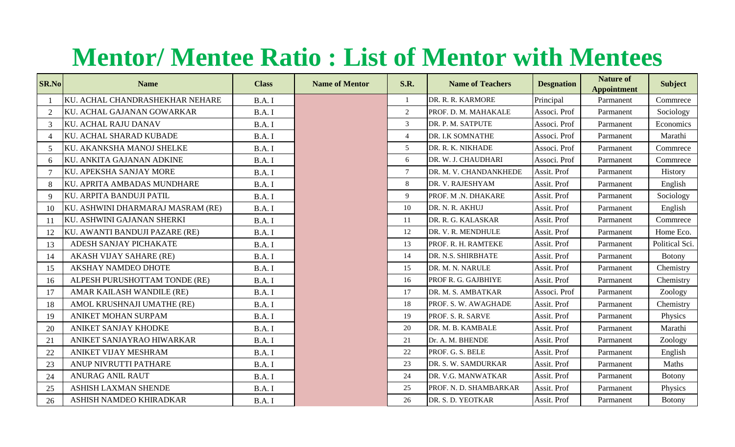## **Mentor/ Mentee Ratio : List of Mentor with Mentees**

| <b>SR.No</b>   | <b>Name</b>                       | <b>Class</b> | <b>Name of Mentor</b> | S.R.            | <b>Name of Teachers</b> | <b>Desgnation</b> | <b>Nature of</b><br><b>Appointment</b> | <b>Subject</b> |
|----------------|-----------------------------------|--------------|-----------------------|-----------------|-------------------------|-------------------|----------------------------------------|----------------|
|                | KU. ACHAL CHANDRASHEKHAR NEHARE   | B.A.I        |                       | $\mathbf{1}$    | DR. R. R. KARMORE       | Principal         | Parmanent                              | Commrece       |
| 2              | KU. ACHAL GAJANAN GOWARKAR        | B.A.I        |                       | $\overline{2}$  | PROF. D. M. MAHAKALE    | Associ. Prof      | Parmanent                              | Sociology      |
| 3              | <b>KU. ACHAL RAJU DANAV</b>       | B.A. I       |                       | $\mathfrak{Z}$  | DR. P. M. SATPUTE       | Associ. Prof      | Parmanent                              | Economics      |
| $\Delta$       | KU. ACHAL SHARAD KUBADE           | B.A.I        |                       | $\overline{4}$  | DR. I.K SOMNATHE        | Associ. Prof      | Parmanent                              | Marathi        |
| 5 <sup>5</sup> | KU. AKANKSHA MANOJ SHELKE         | B.A.I        |                       | 5 <sup>5</sup>  | DR. R. K. NIKHADE       | Associ. Prof      | Parmanent                              | Commrece       |
| 6              | KU. ANKITA GAJANAN ADKINE         | B.A.I        |                       | 6               | DR. W. J. CHAUDHARI     | Associ. Prof      | Parmanent                              | Commrece       |
|                | KU. APEKSHA SANJAY MORE           | B.A.I        |                       | $7\overline{ }$ | DR. M. V. CHANDANKHEDE  | Assit. Prof       | Parmanent                              | History        |
| 8              | KU. APRITA AMBADAS MUNDHARE       | B.A.I        |                       | 8               | DR. V. RAJESHYAM        | Assit. Prof       | Parmanent                              | English        |
| 9              | KU. ARPITA BANDUJI PATIL          | B.A. I       |                       | 9               | PROF. M.N. DHAKARE      | Assit. Prof       | Parmanent                              | Sociology      |
| 10             | KU. ASHWINI DHARMARAJ MASRAM (RE) | B.A. I       |                       | 10              | DR. N. R. AKHUJ         | Assit. Prof       | Parmanent                              | English        |
| 11             | KU. ASHWINI GAJANAN SHERKI        | B.A.I        |                       | 11              | DR. R. G. KALASKAR      | Assit. Prof       | Parmanent                              | Commrece       |
| 12             | KU. AWANTI BANDUJI PAZARE (RE)    | B.A.I        |                       | 12              | DR. V. R. MENDHULE      | Assit. Prof       | Parmanent                              | Home Eco.      |
| 13             | ADESH SANJAY PICHAKATE            | B.A.I        |                       | 13              | PROF. R. H. RAMTEKE     | Assit. Prof       | Parmanent                              | Political Sci. |
| 14             | <b>AKASH VIJAY SAHARE (RE)</b>    | B.A.I        |                       | 14              | DR. N.S. SHIRBHATE      | Assit. Prof       | Parmanent                              | <b>Botony</b>  |
| 15             | AKSHAY NAMDEO DHOTE               | B.A.I        |                       | 15              | DR. M. N. NARULE        | Assit. Prof       | Parmanent                              | Chemistry      |
| 16             | ALPESH PURUSHOTTAM TONDE (RE)     | B.A.I        |                       | 16              | PROF R. G. GAJBHIYE     | Assit. Prof       | Parmanent                              | Chemistry      |
| 17             | AMAR KAILASH WANDILE (RE)         | B.A.I        |                       | 17              | DR. M. S. AMBATKAR      | Associ. Prof      | Parmanent                              | Zoology        |
| 18             | AMOL KRUSHNAJI UMATHE (RE)        | B.A.I        |                       | 18              | PROF. S. W. AWAGHADE    | Assit. Prof       | Parmanent                              | Chemistry      |
| 19             | ANIKET MOHAN SURPAM               | B.A.I        |                       | 19              | PROF. S. R. SARVE       | Assit. Prof       | Parmanent                              | Physics        |
| 20             | ANIKET SANJAY KHODKE              | B.A. I       |                       | 20              | DR. M. B. KAMBALE       | Assit. Prof       | Parmanent                              | Marathi        |
| 21             | ANIKET SANJAYRAO HIWARKAR         | B.A.I        |                       | 21              | Dr. A. M. BHENDE        | Assit. Prof       | Parmanent                              | Zoology        |
| 22             | ANIKET VIJAY MESHRAM              | B.A.I        |                       | 22              | PROF. G. S. BELE        | Assit. Prof       | Parmanent                              | English        |
| 23             | ANUP NIVRUTTI PATHARE             | B.A.I        |                       | 23              | DR. S. W. SAMDURKAR     | Assit. Prof       | Parmanent                              | Maths          |
| 24             | ANURAG ANIL RAUT                  | B.A.I        |                       | 24              | DR. V.G. MANWATKAR      | Assit. Prof       | Parmanent                              | <b>Botony</b>  |
| 25             | ASHISH LAXMAN SHENDE              | B.A.I        |                       | 25              | PROF. N. D. SHAMBARKAR  | Assit. Prof       | Parmanent                              | Physics        |
| 26             | ASHISH NAMDEO KHIRADKAR           | B.A.I        |                       | 26              | DR. S. D. YEOTKAR       | Assit. Prof       | Parmanent                              | <b>Botony</b>  |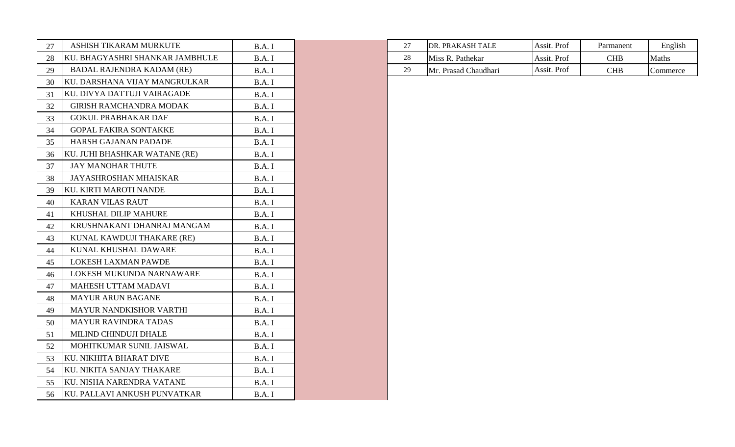| 27 | ASHISH TIKARAM MURKUTE           | B.A.I  |
|----|----------------------------------|--------|
| 28 | KU. BHAGYASHRI SHANKAR JAMBHULE  | B.A.I  |
| 29 | <b>BADAL RAJENDRA KADAM (RE)</b> | B.A.I  |
| 30 | KU. DARSHANA VIJAY MANGRULKAR    | B.A.I  |
| 31 | KU. DIVYA DATTUJI VAIRAGADE      | B.A.I  |
| 32 | <b>GIRISH RAMCHANDRA MODAK</b>   | B.A.I  |
| 33 | <b>GOKUL PRABHAKAR DAF</b>       | B.A.I  |
| 34 | <b>GOPAL FAKIRA SONTAKKE</b>     | B.A.I  |
| 35 | <b>HARSH GAJANAN PADADE</b>      | B.A.I  |
| 36 | KU. JUHI BHASHKAR WATANE (RE)    | B.A.I  |
| 37 | <b>JAY MANOHAR THUTE</b>         | B.A.I  |
| 38 | <b>JAYASHROSHAN MHAISKAR</b>     | B.A.I  |
| 39 | <b>KU. KIRTI MAROTI NANDE</b>    | B.A. I |
| 40 | <b>KARAN VILAS RAUT</b>          | B.A. I |
| 41 | KHUSHAL DILIP MAHURE             | B.A.I  |
| 42 | KRUSHNAKANT DHANRAJ MANGAM       | B.A.I  |
| 43 | KUNAL KAWDUJI THAKARE (RE)       | B.A.I  |
| 44 | KUNAL KHUSHAL DAWARE             | B.A. I |
| 45 | <b>LOKESH LAXMAN PAWDE</b>       | B.A.I  |
| 46 | LOKESH MUKUNDA NARNAWARE         | B.A.I  |
| 47 | <b>MAHESH UTTAM MADAVI</b>       | B.A.I  |
| 48 | <b>MAYUR ARUN BAGANE</b>         | B.A. I |
| 49 | MAYUR NANDKISHOR VARTHI          | B.A.I  |
| 50 | <b>MAYUR RAVINDRA TADAS</b>      | B.A.I  |
| 51 | MILIND CHINDUJI DHALE            | B.A.I  |
| 52 | MOHITKUMAR SUNIL JAISWAL         | B.A.I  |
| 53 | KU. NIKHITA BHARAT DIVE          | B.A.I  |
| 54 | KU. NIKITA SANJAY THAKARE        | B.A.I  |
| 55 | KU. NISHA NARENDRA VATANE        | B.A.I  |
| 56 | KU. PALLAVI ANKUSH PUNVATKAR     | B.A.I  |

| --<br>╌          | H TIKARAM MURKUTE<br>ASHISH                     | ו הרים |                        | <b>PRAKASH TALE</b><br>IDR. | Assit. Prof | Parmanent | English  |
|------------------|-------------------------------------------------|--------|------------------------|-----------------------------|-------------|-----------|----------|
| <b>KU</b><br>28  | <b>JAMBHULE</b><br>. BHAGYASHRI SHANKAR .       | ו הרים | $\sim$<br>$\angle$ O   | Miss<br>Pathekar<br>.<br>n. | Assit. Prof | CHB       | Maths    |
| 7Ο.<br><b>′−</b> | <b>KADAM</b> (RE)<br>. RAJENDRA<br><b>BADAL</b> | D.A. J | $\Delta$ c<br><u>.</u> | Prasad Chaudhari<br>Mr      | Assit. Prof | CHB       | Commerce |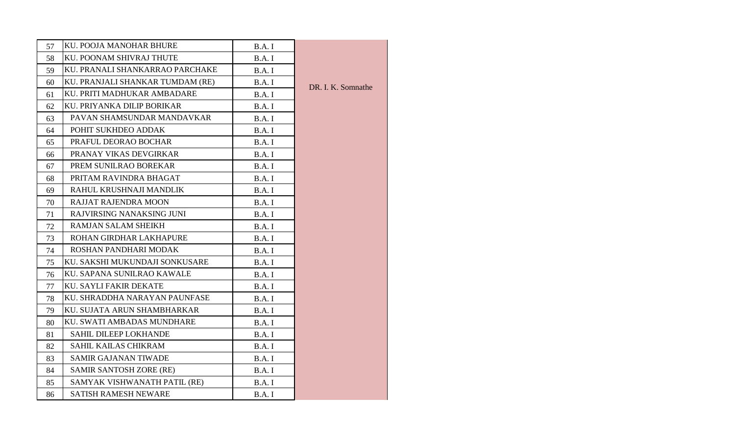| 57 | KU. POOJA MANOHAR BHURE          | B.A.I        |                    |
|----|----------------------------------|--------------|--------------------|
| 58 | KU. POONAM SHIVRAJ THUTE         | B.A.I        |                    |
| 59 | KU. PRANALI SHANKARRAO PARCHAKE  | B.A.I        |                    |
| 60 | KU. PRANJALI SHANKAR TUMDAM (RE) | <b>B.A.I</b> | DR. I. K. Somnathe |
| 61 | KU. PRITI MADHUKAR AMBADARE      | B.A.I        |                    |
| 62 | KU. PRIYANKA DILIP BORIKAR       | B.A.I        |                    |
| 63 | PAVAN SHAMSUNDAR MANDAVKAR       | B.A.I        |                    |
| 64 | POHIT SUKHDEO ADDAK              | B.A. I       |                    |
| 65 | PRAFUL DEORAO BOCHAR             | B.A.I        |                    |
| 66 | PRANAY VIKAS DEVGIRKAR           | B.A.I        |                    |
| 67 | PREM SUNILRAO BOREKAR            | B.A.I        |                    |
| 68 | PRITAM RAVINDRA BHAGAT           | B.A. I       |                    |
| 69 | RAHUL KRUSHNAJI MANDLIK          | B.A.I        |                    |
| 70 | RAJJAT RAJENDRA MOON             | B.A.I        |                    |
| 71 | RAJVIRSING NANAKSING JUNI        | B.A.I        |                    |
| 72 | <b>RAMJAN SALAM SHEIKH</b>       | B.A. I       |                    |
| 73 | ROHAN GIRDHAR LAKHAPURE          | B.A.I        |                    |
| 74 | ROSHAN PANDHARI MODAK            | B.A.I        |                    |
| 75 | KU. SAKSHI MUKUNDAJI SONKUSARE   | B.A.I        |                    |
| 76 | KU. SAPANA SUNILRAO KAWALE       | B.A.I        |                    |
| 77 | <b>KU. SAYLI FAKIR DEKATE</b>    | B.A.I        |                    |
| 78 | KU. SHRADDHA NARAYAN PAUNFASE    | B.A.I        |                    |
| 79 | KU. SUJATA ARUN SHAMBHARKAR      | B.A.I        |                    |
| 80 | KU. SWATI AMBADAS MUNDHARE       | B.A.I        |                    |
| 81 | <b>SAHIL DILEEP LOKHANDE</b>     | B.A.I        |                    |
| 82 | SAHIL KAILAS CHIKRAM             | B.A. I       |                    |
| 83 | <b>SAMIR GAJANAN TIWADE</b>      | B.A. I       |                    |
| 84 | <b>SAMIR SANTOSH ZORE (RE)</b>   | B.A.I        |                    |
| 85 | SAMYAK VISHWANATH PATIL (RE)     | B.A.I        |                    |
| 86 | <b>SATISH RAMESH NEWARE</b>      | B.A.I        |                    |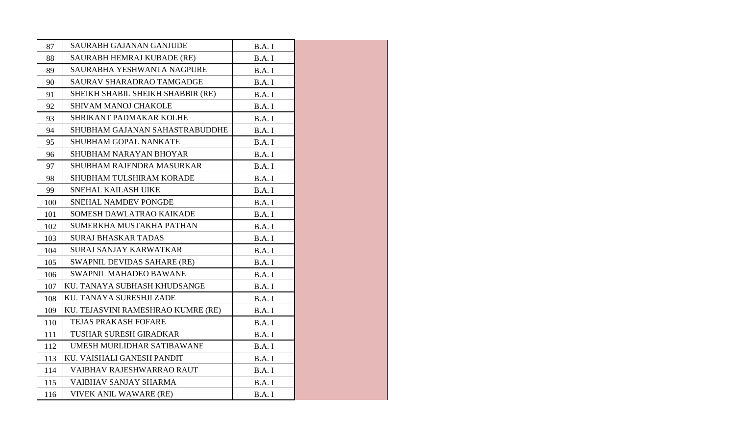| 87  | <b>SAURABH GAJANAN GANJUDE</b>     | B.A.I  |
|-----|------------------------------------|--------|
| 88  | SAURABH HEMRAJ KUBADE (RE)         | B.A.I  |
| 89  | SAURABHA YESHWANTA NAGPURE         | B.A.I  |
| 90  | SAURAV SHARADRAO TAMGADGE          | B.A.I  |
| 91  | SHEIKH SHABIL SHEIKH SHABBIR (RE)  | B.A.I  |
| 92  | SHIVAM MANOJ CHAKOLE               | B.A.I  |
| 93  | SHRIKANT PADMAKAR KOLHE            | B.A.I  |
| 94  | SHUBHAM GAJANAN SAHASTRABUDDHE     | B.A.I  |
| 95  | <b>SHUBHAM GOPAL NANKATE</b>       | B.A.I  |
| 96  | SHUBHAM NARAYAN BHOYAR             | B.A.I  |
| 97  | SHUBHAM RAJENDRA MASURKAR          | B.A.I  |
| 98  | SHUBHAM TULSHIRAM KORADE           | B.A.I  |
| 99  | SNEHAL KAILASH UIKE                | B.A.I  |
| 100 | SNEHAL NAMDEV PONGDE               | B.A. I |
| 101 | SOMESH DAWLATRAO KAIKADE           | B.A.I  |
| 102 | SUMERKHA MUSTAKHA PATHAN           | B.A.I  |
| 103 | <b>SURAJ BHASKAR TADAS</b>         | B.A.I  |
| 104 | <b>SURAJ SANJAY KARWATKAR</b>      | B.A. I |
| 105 | SWAPNIL DEVIDAS SAHARE (RE)        | B.A.I  |
| 106 | <b>SWAPNIL MAHADEO BAWANE</b>      | B.A.I  |
| 107 | KU. TANAYA SUBHASH KHUDSANGE       | B.A.I  |
| 108 | KU. TANAYA SURESHJI ZADE           | B.A.I  |
| 109 | KU. TEJASVINI RAMESHRAO KUMRE (RE) | B.A.I  |
| 110 | <b>TEJAS PRAKASH FOFARE</b>        | B.A.I  |
| 111 | <b>TUSHAR SURESH GIRADKAR</b>      | B.A.I  |
| 112 | UMESH MURLIDHAR SATIBAWANE         | B.A.I  |
| 113 | KU. VAISHALI GANESH PANDIT         | B.A.I  |
| 114 | VAIBHAV RAJESHWARRAO RAUT          | B.A.I  |
| 115 | VAIBHAV SANJAY SHARMA              | B.A.I  |
| 116 | VIVEK ANIL WAWARE (RE)             | B.A. I |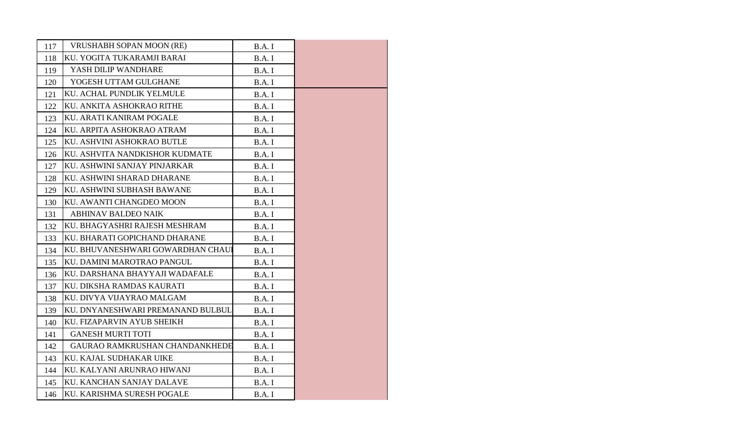| 117 | <b>VRUSHABH SOPAN MOON (RE)</b>   | B.A.I  |  |
|-----|-----------------------------------|--------|--|
| 118 | KU. YOGITA TUKARAMJI BARAI        | B.A.I  |  |
| 119 | YASH DILIP WANDHARE               | B.A.I  |  |
| 120 | YOGESH UTTAM GULGHANE             | B.A.I  |  |
| 121 | KU. ACHAL PUNDLIK YELMULE         | B.A.I  |  |
| 122 | KU. ANKITA ASHOKRAO RITHE         | B.A.I  |  |
| 123 | KU. ARATI KANIRAM POGALE          | B.A.I  |  |
| 124 | KU. ARPITA ASHOKRAO ATRAM         | B.A.I  |  |
| 125 | KU. ASHVINI ASHOKRAO BUTLE        | B.A.I  |  |
| 126 | KU. ASHVITA NANDKISHOR KUDMATE    | B.A.I  |  |
| 127 | KU. ASHWINI SANJAY PINJARKAR      | B.A.I  |  |
| 128 | KU. ASHWINI SHARAD DHARANE        | B.A.I  |  |
| 129 | KU. ASHWINI SUBHASH BAWANE        | B.A.I  |  |
| 130 | KU. AWANTI CHANGDEO MOON          | B.A. I |  |
| 131 | <b>ABHINAV BALDEO NAIK</b>        | B.A.I  |  |
| 132 | KU. BHAGYASHRI RAJESH MESHRAM     | B.A.I  |  |
| 133 | KU. BHARATI GOPICHAND DHARANE     | B.A. I |  |
| 134 | KU. BHUVANESHWARI GOWARDHAN CHAUI | B.A. I |  |
| 135 | KU. DAMINI MAROTRAO PANGUL        | B.A. I |  |
| 136 | KU. DARSHANA BHAYYAJI WADAFALE    | B.A.I  |  |
| 137 | KU. DIKSHA RAMDAS KAURATI         | B.A.I  |  |
| 138 | KU. DIVYA VIJAYRAO MALGAM         | B.A.I  |  |
| 139 | KU. DNYANESHWARI PREMANAND BULBUL | B.A. I |  |
| 140 | KU. FIZAPARVIN AYUB SHEIKH        | B.A.I  |  |
| 141 | <b>GANESH MURTI TOTI</b>          | B.A.I  |  |
| 142 | GAURAO RAMKRUSHAN CHANDANKHEDE    | B.A.I  |  |
| 143 | KU. KAJAL SUDHAKAR UIKE           | B.A.I  |  |
| 144 | KU. KALYANI ARUNRAO HIWANJ        | B.A.I  |  |
| 145 | KU. KANCHAN SANJAY DALAVE         | B.A.I  |  |
| 146 | KU. KARISHMA SURESH POGALE        | B.A. I |  |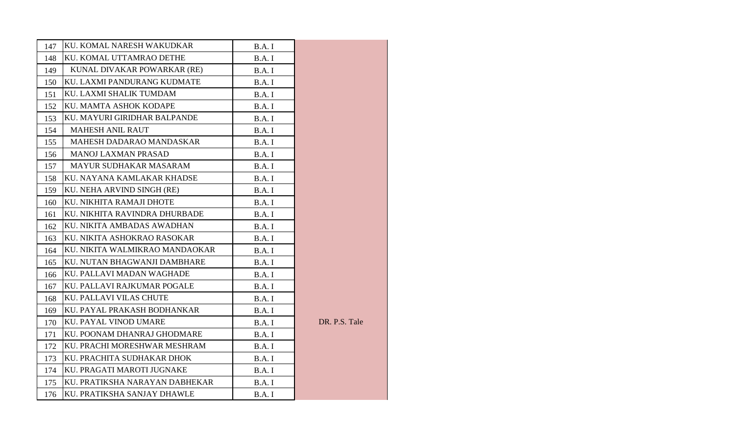| 147 | KU. KOMAL NARESH WAKUDKAR      | B.A.I |               |
|-----|--------------------------------|-------|---------------|
| 148 | KU. KOMAL UTTAMRAO DETHE       | B.A.I |               |
| 149 | KUNAL DIVAKAR POWARKAR (RE)    | B.A.I |               |
| 150 | KU. LAXMI PANDURANG KUDMATE    | B.A.I |               |
| 151 | KU. LAXMI SHALIK TUMDAM        | B.A.I |               |
| 152 | KU. MAMTA ASHOK KODAPE         | B.A.I |               |
| 153 | KU. MAYURI GIRIDHAR BALPANDE   | B.A.I |               |
| 154 | <b>MAHESH ANIL RAUT</b>        | B.A.I |               |
| 155 | MAHESH DADARAO MANDASKAR       | B.A.I |               |
| 156 | <b>MANOJ LAXMAN PRASAD</b>     | B.A.I |               |
| 157 | MAYUR SUDHAKAR MASARAM         | B.A.I |               |
| 158 | KU. NAYANA KAMLAKAR KHADSE     | B.A.I |               |
| 159 | KU. NEHA ARVIND SINGH (RE)     | B.A.I |               |
| 160 | KU. NIKHITA RAMAJI DHOTE       | B.A.I |               |
| 161 | KU. NIKHITA RAVINDRA DHURBADE  | B.A.I |               |
| 162 | KU. NIKITA AMBADAS AWADHAN     | B.A.I |               |
| 163 | KU. NIKITA ASHOKRAO RASOKAR    | B.A.I |               |
| 164 | KU. NIKITA WALMIKRAO MANDAOKAR | B.A.I |               |
| 165 | KU. NUTAN BHAGWANJI DAMBHARE   | B.A.I |               |
| 166 | KU. PALLAVI MADAN WAGHADE      | B.A.I |               |
| 167 | KU. PALLAVI RAJKUMAR POGALE    | B.A.I |               |
| 168 | KU. PALLAVI VILAS CHUTE        | B.A.I |               |
| 169 | KU. PAYAL PRAKASH BODHANKAR    | B.A.I |               |
| 170 | KU. PAYAL VINOD UMARE          | B.A.I | DR. P.S. Tale |
| 171 | KU. POONAM DHANRAJ GHODMARE    | B.A.I |               |
| 172 | KU. PRACHI MORESHWAR MESHRAM   | B.A.I |               |
| 173 | KU. PRACHITA SUDHAKAR DHOK     | B.A.I |               |
| 174 | KU. PRAGATI MAROTI JUGNAKE     | B.A.I |               |
| 175 | KU. PRATIKSHA NARAYAN DABHEKAR | B.A.I |               |
| 176 | KU. PRATIKSHA SANJAY DHAWLE    | B.A.I |               |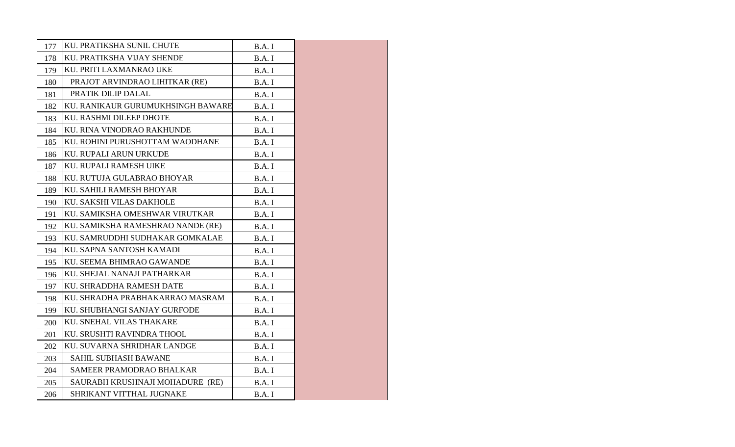| 177 | KU. PRATIKSHA SUNIL CHUTE         | B.A.I  |  |
|-----|-----------------------------------|--------|--|
| 178 | KU. PRATIKSHA VIJAY SHENDE        | B.A.I  |  |
| 179 | KU. PRITI LAXMANRAO UKE           | B.A.I  |  |
| 180 | PRAJOT ARVINDRAO LIHITKAR (RE)    | B.A.I  |  |
| 181 | PRATIK DILIP DALAL                | B.A.I  |  |
| 182 | KU. RANIKAUR GURUMUKHSINGH BAWARE | B.A. I |  |
| 183 | KU. RASHMI DILEEP DHOTE           | B.A.I  |  |
| 184 | KU. RINA VINODRAO RAKHUNDE        | B.A.I  |  |
| 185 | KU. ROHINI PURUSHOTTAM WAODHANE   | B.A.I  |  |
| 186 | KU. RUPALI ARUN URKUDE            | B.A. I |  |
| 187 | KU. RUPALI RAMESH UIKE            | B.A.I  |  |
| 188 | KU. RUTUJA GULABRAO BHOYAR        | B.A.I  |  |
| 189 | KU. SAHILI RAMESH BHOYAR          | B.A. I |  |
| 190 | KU. SAKSHI VILAS DAKHOLE          | B.A. I |  |
| 191 | KU. SAMIKSHA OMESHWAR VIRUTKAR    | B.A.I  |  |
| 192 | KU. SAMIKSHA RAMESHRAO NANDE (RE) | B.A.I  |  |
| 193 | KU. SAMRUDDHI SUDHAKAR GOMKALAE   | B.A.I  |  |
| 194 | KU. SAPNA SANTOSH KAMADI          | B.A. I |  |
| 195 | KU. SEEMA BHIMRAO GAWANDE         | B.A.I  |  |
| 196 | KU. SHEJAL NANAJI PATHARKAR       | B.A.I  |  |
| 197 | KU. SHRADDHA RAMESH DATE          | B.A.I  |  |
| 198 | KU. SHRADHA PRABHAKARRAO MASRAM   | B.A.I  |  |
| 199 | KU. SHUBHANGI SANJAY GURFODE      | B.A.I  |  |
| 200 | KU. SNEHAL VILAS THAKARE          | B.A.I  |  |
| 201 | KU. SRUSHTI RAVINDRA THOOL        | B.A.I  |  |
| 202 | KU. SUVARNA SHRIDHAR LANDGE       | B.A.I  |  |
| 203 | <b>SAHIL SUBHASH BAWANE</b>       | B.A.I  |  |
| 204 | <b>SAMEER PRAMODRAO BHALKAR</b>   | B.A.I  |  |
| 205 | SAURABH KRUSHNAJI MOHADURE (RE)   | B.A.I  |  |
| 206 | SHRIKANT VITTHAL JUGNAKE          | B.A. I |  |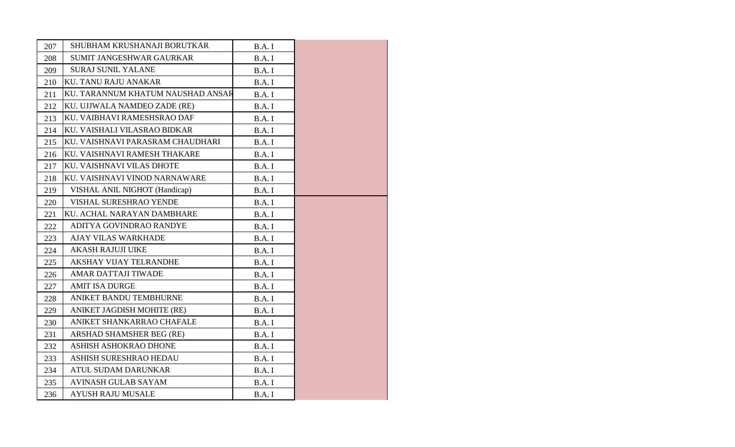| 207 | SHUBHAM KRUSHANAJI BORUTKAR       | B.A.I  |
|-----|-----------------------------------|--------|
| 208 | SUMIT JANGESHWAR GAURKAR          | B.A.I  |
| 209 | <b>SURAJ SUNIL YALANE</b>         | B.A.I  |
| 210 | <b>KU. TANU RAJU ANAKAR</b>       | B.A.I  |
| 211 | KU. TARANNUM KHATUM NAUSHAD ANSAR | B.A.I  |
| 212 | KU. UJJWALA NAMDEO ZADE (RE)      | B.A.I  |
| 213 | KU. VAIBHAVI RAMESHSRAO DAF       | B.A.I  |
| 214 | KU. VAISHALI VILASRAO BIDKAR      | B.A.I  |
| 215 | KU. VAISHNAVI PARASRAM CHAUDHARI  | B.A.I  |
| 216 | KU. VAISHNAVI RAMESH THAKARE      | B.A.I  |
| 217 | KU. VAISHNAVI VILAS DHOTE         | B.A.I  |
| 218 | KU. VAISHNAVI VINOD NARNAWARE     | B.A.I  |
| 219 | VISHAL ANIL NIGHOT (Handicap)     | B.A.I  |
| 220 | VISHAL SURESHRAO YENDE            | B.A.I  |
| 221 | KU. ACHAL NARAYAN DAMBHARE        | B.A.I  |
| 222 | ADITYA GOVINDRAO RANDYE           | B.A.I  |
| 223 | <b>AJAY VILAS WARKHADE</b>        | B.A.I  |
| 224 | <b>AKASH RAJUJI UIKE</b>          | B.A.I  |
| 225 | <b>AKSHAY VIJAY TELRANDHE</b>     | B.A.I  |
| 226 | <b>AMAR DATTAJI TIWADE</b>        | B.A. I |
| 227 | <b>AMIT ISA DURGE</b>             | B.A.I  |
| 228 | ANIKET BANDU TEMBHURNE            | B.A.I  |
| 229 | ANIKET JAGDISH MOHITE (RE)        | B.A.I  |
| 230 | ANIKET SHANKARRAO CHAFALE         | B.A.I  |
| 231 | ARSHAD SHAMSHER BEG (RE)          | B.A.I  |
| 232 | ASHISH ASHOKRAO DHONE             | B.A. I |
| 233 | ASHISH SURESHRAO HEDAU            | B.A.I  |
| 234 | ATUL SUDAM DARUNKAR               | B.A.I  |
| 235 | AVINASH GULAB SAYAM               | B.A.I  |
| 236 | <b>AYUSH RAJU MUSALE</b>          | B.A.I  |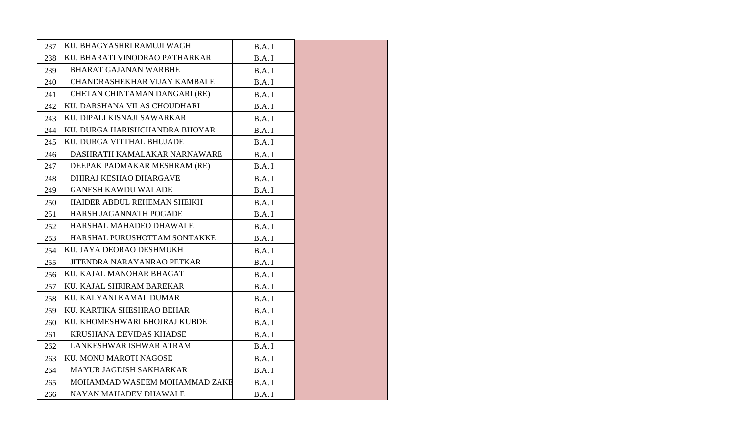| 237 | KU. BHAGYASHRI RAMUJI WAGH     | B.A.I  |  |
|-----|--------------------------------|--------|--|
| 238 | KU. BHARATI VINODRAO PATHARKAR | B.A.I  |  |
| 239 | <b>BHARAT GAJANAN WARBHE</b>   | B.A.I  |  |
| 240 | CHANDRASHEKHAR VIJAY KAMBALE   | B.A.I  |  |
| 241 | CHETAN CHINTAMAN DANGARI (RE)  | B.A.I  |  |
| 242 | KU. DARSHANA VILAS CHOUDHARI   | B.A.I  |  |
| 243 | KU. DIPALI KISNAJI SAWARKAR    | B.A. I |  |
| 244 | KU. DURGA HARISHCHANDRA BHOYAR | B.A. I |  |
| 245 | KU. DURGA VITTHAL BHUJADE      | B.A.I  |  |
| 246 | DASHRATH KAMALAKAR NARNAWARE   | B.A.I  |  |
| 247 | DEEPAK PADMAKAR MESHRAM (RE)   | B.A. I |  |
| 248 | DHIRAJ KESHAO DHARGAVE         | B.A. I |  |
| 249 | <b>GANESH KAWDU WALADE</b>     | B.A.I  |  |
| 250 | HAIDER ABDUL REHEMAN SHEIKH    | B.A.I  |  |
| 251 | HARSH JAGANNATH POGADE         | B.A. I |  |
| 252 | HARSHAL MAHADEO DHAWALE        | B.A. I |  |
| 253 | HARSHAL PURUSHOTTAM SONTAKKE   | B.A.I  |  |
| 254 | KU. JAYA DEORAO DESHMUKH       | B.A.I  |  |
| 255 | JITENDRA NARAYANRAO PETKAR     | B.A.I  |  |
| 256 | KU. KAJAL MANOHAR BHAGAT       | B.A. I |  |
| 257 | KU. KAJAL SHRIRAM BAREKAR      | B.A.I  |  |
| 258 | KU. KALYANI KAMAL DUMAR        | B.A.I  |  |
| 259 | KU. KARTIKA SHESHRAO BEHAR     | B.A.I  |  |
| 260 | KU. KHOMESHWARI BHOJRAJ KUBDE  | B.A. I |  |
| 261 | <b>KRUSHANA DEVIDAS KHADSE</b> | B.A.I  |  |
| 262 | LANKESHWAR ISHWAR ATRAM        | B.A.I  |  |
| 263 | KU. MONU MAROTI NAGOSE         | B.A.I  |  |
| 264 | MAYUR JAGDISH SAKHARKAR        | B.A.I  |  |
| 265 | MOHAMMAD WASEEM MOHAMMAD ZAKE  | B.A.I  |  |
| 266 | NAYAN MAHADEV DHAWALE          | B.A. I |  |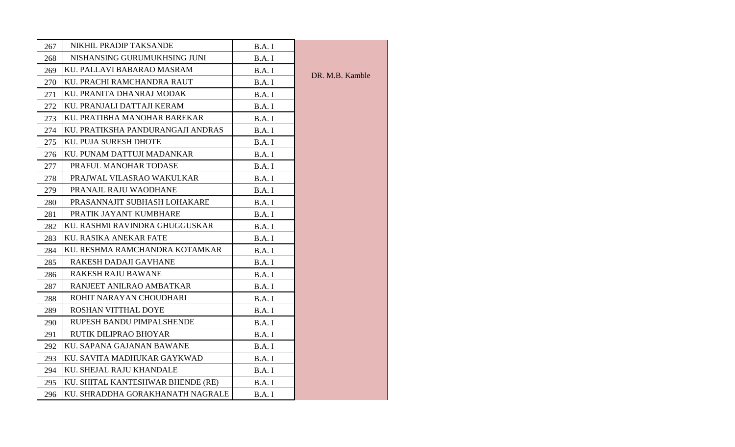| 267 | NIKHIL PRADIP TAKSANDE            | B.A.I  |                 |
|-----|-----------------------------------|--------|-----------------|
| 268 | NISHANSING GURUMUKHSING JUNI      | B.A.I  |                 |
| 269 | KU. PALLAVI BABARAO MASRAM        | B.A.I  | DR. M.B. Kamble |
| 270 | KU. PRACHI RAMCHANDRA RAUT        | B.A.I  |                 |
| 271 | KU. PRANITA DHANRAJ MODAK         | B.A.I  |                 |
| 272 | KU. PRANJALI DATTAJI KERAM        | B.A.I  |                 |
| 273 | KU. PRATIBHA MANOHAR BAREKAR      | B.A.I  |                 |
| 274 | KU. PRATIKSHA PANDURANGAJI ANDRAS | B.A.I  |                 |
| 275 | KU. PUJA SURESH DHOTE             | B.A.I  |                 |
| 276 | KU. PUNAM DATTUJI MADANKAR        | B.A.I  |                 |
| 277 | PRAFUL MANOHAR TODASE             | B.A.I  |                 |
| 278 | PRAJWAL VILASRAO WAKULKAR         | B.A.I  |                 |
| 279 | PRANAJL RAJU WAODHANE             | B.A.I  |                 |
| 280 | PRASANNAJIT SUBHASH LOHAKARE      | B.A. I |                 |
| 281 | PRATIK JAYANT KUMBHARE            | B.A.I  |                 |
| 282 | KU. RASHMI RAVINDRA GHUGGUSKAR    | B.A.I  |                 |
| 283 | KU. RASIKA ANEKAR FATE            | B.A.I  |                 |
| 284 | KU. RESHMA RAMCHANDRA KOTAMKAR    | B.A. I |                 |
| 285 | RAKESH DADAJI GAVHANE             | B.A.I  |                 |
| 286 | <b>RAKESH RAJU BAWANE</b>         | B.A.I  |                 |
| 287 | RANJEET ANILRAO AMBATKAR          | B.A.I  |                 |
| 288 | ROHIT NARAYAN CHOUDHARI           | B.A.I  |                 |
| 289 | ROSHAN VITTHAL DOYE               | B.A. I |                 |
| 290 | RUPESH BANDU PIMPALSHENDE         | B.A.I  |                 |
| 291 | RUTIK DILIPRAO BHOYAR             | B.A. I |                 |
| 292 | KU. SAPANA GAJANAN BAWANE         | B.A.I  |                 |
| 293 | KU. SAVITA MADHUKAR GAYKWAD       | B.A.I  |                 |
| 294 | KU. SHEJAL RAJU KHANDALE          | B.A.I  |                 |
| 295 | KU. SHITAL KANTESHWAR BHENDE (RE) | B.A.I  |                 |
| 296 | KU. SHRADDHA GORAKHANATH NAGRALE  | B.A.I  |                 |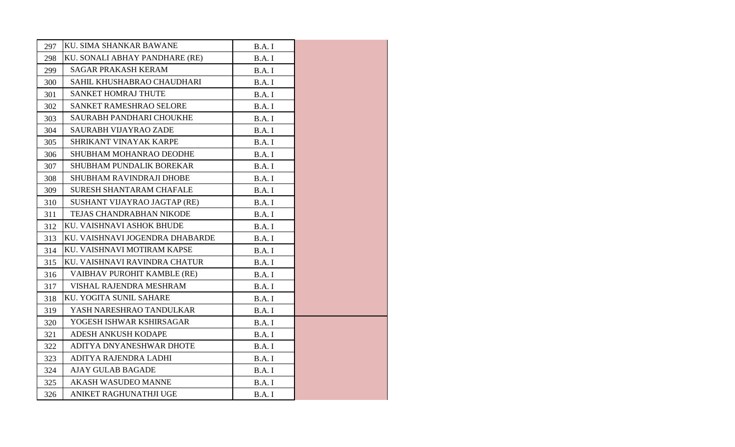| 297 | KU. SIMA SHANKAR BAWANE         | B.A.I  |  |
|-----|---------------------------------|--------|--|
| 298 | KU. SONALI ABHAY PANDHARE (RE)  | B.A.I  |  |
| 299 | <b>SAGAR PRAKASH KERAM</b>      | B.A.I  |  |
| 300 | SAHIL KHUSHABRAO CHAUDHARI      | B.A.I  |  |
| 301 | <b>SANKET HOMRAJ THUTE</b>      | B.A.I  |  |
| 302 | SANKET RAMESHRAO SELORE         | B.A.I  |  |
| 303 | <b>SAURABH PANDHARI CHOUKHE</b> | B.A.I  |  |
| 304 | SAURABH VIJAYRAO ZADE           | B.A.I  |  |
| 305 | SHRIKANT VINAYAK KARPE          | B.A.I  |  |
| 306 | SHUBHAM MOHANRAO DEODHE         | B.A.I  |  |
| 307 | SHUBHAM PUNDALIK BOREKAR        | B.A.I  |  |
| 308 | SHUBHAM RAVINDRAJI DHOBE        | B.A.I  |  |
| 309 | <b>SURESH SHANTARAM CHAFALE</b> | B.A.I  |  |
| 310 | SUSHANT VIJAYRAO JAGTAP (RE)    | B.A. I |  |
| 311 | TEJAS CHANDRABHAN NIKODE        | B.A.I  |  |
| 312 | KU. VAISHNAVI ASHOK BHUDE       | B.A.I  |  |
| 313 | KU. VAISHNAVI JOGENDRA DHABARDE | B.A.I  |  |
| 314 | KU. VAISHNAVI MOTIRAM KAPSE     | B.A.I  |  |
| 315 | KU. VAISHNAVI RAVINDRA CHATUR   | B.A.I  |  |
| 316 | VAIBHAV PUROHIT KAMBLE (RE)     | B.A.I  |  |
| 317 | VISHAL RAJENDRA MESHRAM         | B.A.I  |  |
| 318 | KU. YOGITA SUNIL SAHARE         | B.A.I  |  |
| 319 | YASH NARESHRAO TANDULKAR        | B.A.I  |  |
| 320 | YOGESH ISHWAR KSHIRSAGAR        | B.A.I  |  |
| 321 | <b>ADESH ANKUSH KODAPE</b>      | B.A.I  |  |
| 322 | ADITYA DNYANESHWAR DHOTE        | B.A. I |  |
| 323 | ADITYA RAJENDRA LADHI           | B.A.I  |  |
| 324 | <b>AJAY GULAB BAGADE</b>        | B.A.I  |  |
| 325 | <b>AKASH WASUDEO MANNE</b>      | B.A.I  |  |
| 326 | ANIKET RAGHUNATHJI UGE          | B.A.I  |  |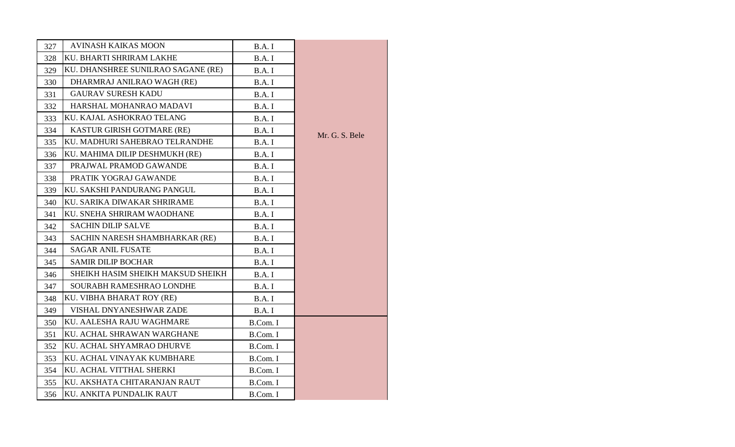| 327 | <b>AVINASH KAIKAS MOON</b>         | B.A.I    |                |
|-----|------------------------------------|----------|----------------|
| 328 | KU. BHARTI SHRIRAM LAKHE           | B.A.I    |                |
| 329 | KU. DHANSHREE SUNILRAO SAGANE (RE) | B.A.I    |                |
| 330 | DHARMRAJ ANILRAO WAGH (RE)         | B.A.I    |                |
| 331 | <b>GAURAV SURESH KADU</b>          | B.A.I    |                |
| 332 | HARSHAL MOHANRAO MADAVI            | B.A.I    |                |
| 333 | KU. KAJAL ASHOKRAO TELANG          | B.A.I    |                |
| 334 | KASTUR GIRISH GOTMARE (RE)         | B.A.I    |                |
| 335 | KU. MADHURI SAHEBRAO TELRANDHE     | B.A.I    | Mr. G. S. Bele |
| 336 | KU. MAHIMA DILIP DESHMUKH (RE)     | B.A.I    |                |
| 337 | PRAJWAL PRAMOD GAWANDE             | B.A.I    |                |
| 338 | PRATIK YOGRAJ GAWANDE              | B.A.I    |                |
| 339 | KU. SAKSHI PANDURANG PANGUL        | B.A.I    |                |
| 340 | KU. SARIKA DIWAKAR SHRIRAME        | B.A.I    |                |
| 341 | KU. SNEHA SHRIRAM WAODHANE         | B.A.I    |                |
| 342 | <b>SACHIN DILIP SALVE</b>          | B.A.I    |                |
| 343 | SACHIN NARESH SHAMBHARKAR (RE)     | B.A.I    |                |
| 344 | <b>SAGAR ANIL FUSATE</b>           | B.A.I    |                |
| 345 | <b>SAMIR DILIP BOCHAR</b>          | B.A.I    |                |
| 346 | SHEIKH HASIM SHEIKH MAKSUD SHEIKH  | B.A.I    |                |
| 347 | SOURABH RAMESHRAO LONDHE           | B.A.I    |                |
| 348 | KU. VIBHA BHARAT ROY (RE)          | B.A.I    |                |
| 349 | VISHAL DNYANESHWAR ZADE            | B.A.I    |                |
| 350 | KU. AALESHA RAJU WAGHMARE          | B.Com. I |                |
| 351 | KU. ACHAL SHRAWAN WARGHANE         | B.Com. I |                |
| 352 | KU. ACHAL SHYAMRAO DHURVE          | B.Com. I |                |
| 353 | KU. ACHAL VINAYAK KUMBHARE         | B.Com. I |                |
| 354 | KU. ACHAL VITTHAL SHERKI           | B.Com. I |                |
| 355 | KU. AKSHATA CHITARANJAN RAUT       | B.Com. I |                |
| 356 | KU. ANKITA PUNDALIK RAUT           | B.Com. I |                |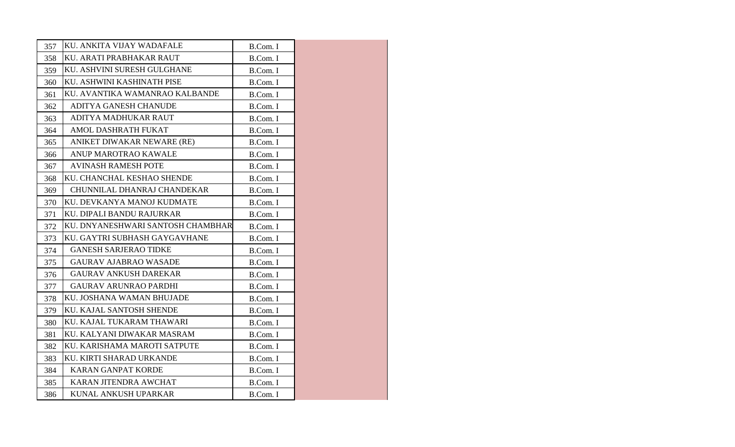| 357 | KU. ANKITA VIJAY WADAFALE         | B.Com. I |  |
|-----|-----------------------------------|----------|--|
| 358 | KU. ARATI PRABHAKAR RAUT          | B.Com. I |  |
| 359 | KU. ASHVINI SURESH GULGHANE       | B.Com. I |  |
| 360 | KU. ASHWINI KASHINATH PISE        | B.Com. I |  |
| 361 | KU. AVANTIKA WAMANRAO KALBANDE    | B.Com. I |  |
| 362 | ADITYA GANESH CHANUDE             | B.Com. I |  |
| 363 | ADITYA MADHUKAR RAUT              | B.Com. I |  |
| 364 | AMOL DASHRATH FUKAT               | B.Com. I |  |
| 365 | ANIKET DIWAKAR NEWARE (RE)        | B.Com. I |  |
| 366 | ANUP MAROTRAO KAWALE              | B.Com. I |  |
| 367 | <b>AVINASH RAMESH POTE</b>        | B.Com. I |  |
| 368 | KU. CHANCHAL KESHAO SHENDE        | B.Com. I |  |
| 369 | CHUNNILAL DHANRAJ CHANDEKAR       | B.Com. I |  |
| 370 | KU. DEVKANYA MANOJ KUDMATE        | B.Com. I |  |
| 371 | KU. DIPALI BANDU RAJURKAR         | B.Com. I |  |
| 372 | KU. DNYANESHWARI SANTOSH CHAMBHAR | B.Com. I |  |
| 373 | KU. GAYTRI SUBHASH GAYGAVHANE     | B.Com. I |  |
| 374 | <b>GANESH SARJERAO TIDKE</b>      | B.Com. I |  |
| 375 | <b>GAURAV AJABRAO WASADE</b>      | B.Com. I |  |
| 376 | <b>GAURAV ANKUSH DAREKAR</b>      | B.Com. I |  |
| 377 | <b>GAURAV ARUNRAO PARDHI</b>      | B.Com. I |  |
| 378 | KU. JOSHANA WAMAN BHUJADE         | B.Com. I |  |
| 379 | KU. KAJAL SANTOSH SHENDE          | B.Com. I |  |
| 380 | KU. KAJAL TUKARAM THAWARI         | B.Com. I |  |
| 381 | KU. KALYANI DIWAKAR MASRAM        | B.Com. I |  |
| 382 | KU. KARISHAMA MAROTI SATPUTE      | B.Com. I |  |
| 383 | KU. KIRTI SHARAD URKANDE          | B.Com. I |  |
| 384 | <b>KARAN GANPAT KORDE</b>         | B.Com. I |  |
| 385 | KARAN JITENDRA AWCHAT             | B.Com. I |  |
| 386 | KUNAL ANKUSH UPARKAR              | B.Com. I |  |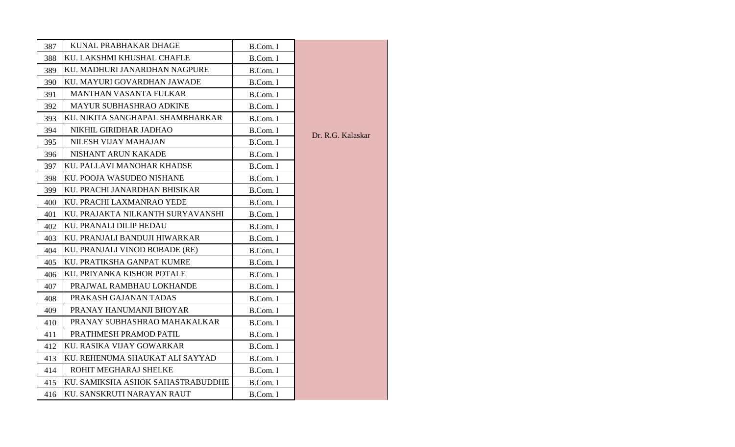| 387 | KUNAL PRABHAKAR DHAGE             | B.Com. I |                   |
|-----|-----------------------------------|----------|-------------------|
| 388 | KU. LAKSHMI KHUSHAL CHAFLE        | B.Com. I |                   |
| 389 | KU. MADHURI JANARDHAN NAGPURE     | B.Com. I |                   |
| 390 | KU. MAYURI GOVARDHAN JAWADE       | B.Com. I |                   |
| 391 | <b>MANTHAN VASANTA FULKAR</b>     | B.Com. I |                   |
| 392 | MAYUR SUBHASHRAO ADKINE           | B.Com. I |                   |
| 393 | KU. NIKITA SANGHAPAL SHAMBHARKAR  | B.Com. I |                   |
| 394 | NIKHIL GIRIDHAR JADHAO            | B.Com. I | Dr. R.G. Kalaskar |
| 395 | NILESH VIJAY MAHAJAN              | B.Com. I |                   |
| 396 | NISHANT ARUN KAKADE               | B.Com. I |                   |
| 397 | KU. PALLAVI MANOHAR KHADSE        | B.Com. I |                   |
| 398 | KU. POOJA WASUDEO NISHANE         | B.Com. I |                   |
| 399 | KU. PRACHI JANARDHAN BHISIKAR     | B.Com. I |                   |
| 400 | KU. PRACHI LAXMANRAO YEDE         | B.Com. I |                   |
| 401 | KU. PRAJAKTA NILKANTH SURYAVANSHI | B.Com. I |                   |
| 402 | KU. PRANALI DILIP HEDAU           | B.Com. I |                   |
| 403 | KU. PRANJALI BANDUJI HIWARKAR     | B.Com. I |                   |
| 404 | KU. PRANJALI VINOD BOBADE (RE)    | B.Com. I |                   |
| 405 | KU. PRATIKSHA GANPAT KUMRE        | B.Com. I |                   |
| 406 | KU. PRIYANKA KISHOR POTALE        | B.Com. I |                   |
| 407 | PRAJWAL RAMBHAU LOKHANDE          | B.Com. I |                   |
| 408 | PRAKASH GAJANAN TADAS             | B.Com. I |                   |
| 409 | PRANAY HANUMANJI BHOYAR           | B.Com. I |                   |
| 410 | PRANAY SUBHASHRAO MAHAKALKAR      | B.Com. I |                   |
| 411 | PRATHMESH PRAMOD PATIL            | B.Com. I |                   |
| 412 | KU. RASIKA VIJAY GOWARKAR         | B.Com. I |                   |
| 413 | KU. REHENUMA SHAUKAT ALI SAYYAD   | B.Com. I |                   |
| 414 | ROHIT MEGHARAJ SHELKE             | B.Com. I |                   |
| 415 | KU. SAMIKSHA ASHOK SAHASTRABUDDHE | B.Com. I |                   |
| 416 | KU. SANSKRUTI NARAYAN RAUT        | B.Com. I |                   |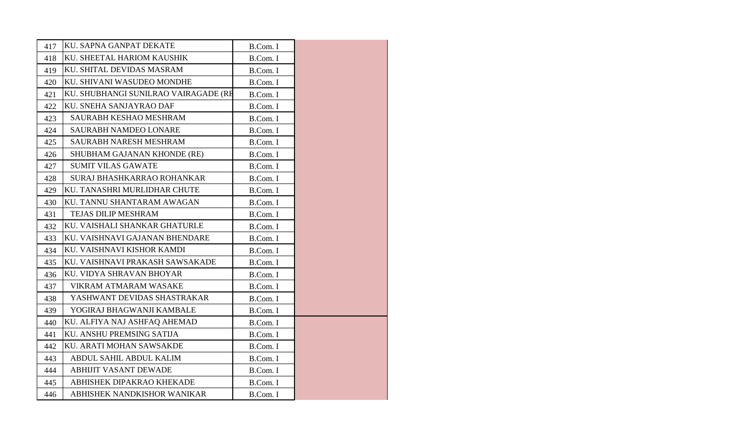| 417 | KU. SAPNA GANPAT DEKATE              | B.Com. I |
|-----|--------------------------------------|----------|
| 418 | KU. SHEETAL HARIOM KAUSHIK           | B.Com. I |
| 419 | KU. SHITAL DEVIDAS MASRAM            | B.Com. I |
| 420 | KU. SHIVANI WASUDEO MONDHE           | B.Com. I |
| 421 | KU. SHUBHANGI SUNILRAO VAIRAGADE (RE | B.Com. I |
| 422 | KU. SNEHA SANJAYRAO DAF              | B.Com. I |
| 423 | <b>SAURABH KESHAO MESHRAM</b>        | B.Com. I |
| 424 | <b>SAURABH NAMDEO LONARE</b>         | B.Com. I |
| 425 | SAURABH NARESH MESHRAM               | B.Com. I |
| 426 | SHUBHAM GAJANAN KHONDE (RE)          | B.Com. I |
| 427 | <b>SUMIT VILAS GAWATE</b>            | B.Com. I |
| 428 | SURAJ BHASHKARRAO ROHANKAR           | B.Com. I |
| 429 | KU. TANASHRI MURLIDHAR CHUTE         | B.Com. I |
| 430 | KU. TANNU SHANTARAM AWAGAN           | B.Com. I |
| 431 | <b>TEJAS DILIP MESHRAM</b>           | B.Com. I |
| 432 | KU. VAISHALI SHANKAR GHATURLE        | B.Com. I |
| 433 | KU. VAISHNAVI GAJANAN BHENDARE       | B.Com. I |
| 434 | KU. VAISHNAVI KISHOR KAMDI           | B.Com. I |
| 435 | KU. VAISHNAVI PRAKASH SAWSAKADE      | B.Com. I |
| 436 | KU. VIDYA SHRAVAN BHOYAR             | B.Com. I |
| 437 | VIKRAM ATMARAM WASAKE                | B.Com. I |
| 438 | YASHWANT DEVIDAS SHASTRAKAR          | B.Com. I |
| 439 | YOGIRAJ BHAGWANJI KAMBALE            | B.Com. I |
| 440 | KU. ALFIYA NAJ ASHFAQ AHEMAD         | B.Com. I |
| 441 | KU. ANSHU PREMSING SATIJA            | B.Com. I |
| 442 | KU. ARATI MOHAN SAWSAKDE             | B.Com. I |
| 443 | ABDUL SAHIL ABDUL KALIM              | B.Com. I |
| 444 | ABHIJIT VASANT DEWADE                | B.Com. I |
| 445 | ABHISHEK DIPAKRAO KHEKADE            | B.Com. I |
| 446 | ABHISHEK NANDKISHOR WANIKAR          | B.Com. I |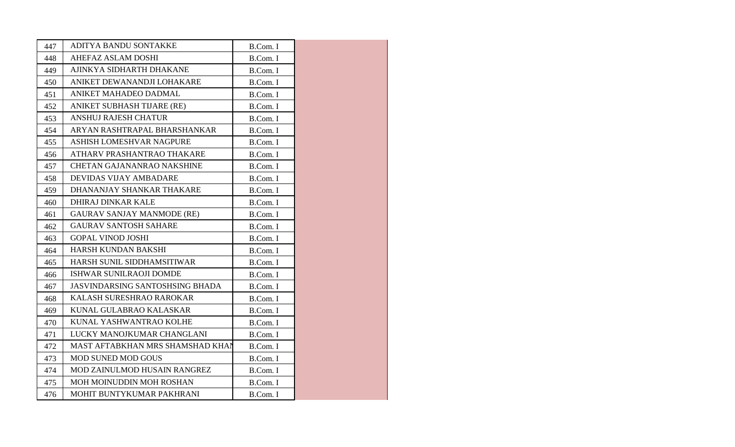|     | ADITYA BANDU SONTAKKE                  |          |
|-----|----------------------------------------|----------|
| 447 | <b>AHEFAZ ASLAM DOSHI</b>              | B.Com. I |
| 448 |                                        | B.Com. I |
| 449 | AJINKYA SIDHARTH DHAKANE               | B.Com. I |
| 450 | ANIKET DEWANANDJI LOHAKARE             | B.Com. I |
| 451 | ANIKET MAHADEO DADMAL                  | B.Com. I |
| 452 | ANIKET SUBHASH TIJARE (RE)             | B.Com. I |
| 453 | <b>ANSHUJ RAJESH CHATUR</b>            | B.Com. I |
| 454 | ARYAN RASHTRAPAL BHARSHANKAR           | B.Com. I |
| 455 | ASHISH LOMESHVAR NAGPURE               | B.Com. I |
| 456 | ATHARV PRASHANTRAO THAKARE             | B.Com. I |
| 457 | <b>CHETAN GAJANANRAO NAKSHINE</b>      | B.Com. I |
| 458 | DEVIDAS VIJAY AMBADARE                 | B.Com. I |
| 459 | DHANANJAY SHANKAR THAKARE              | B.Com. I |
| 460 | <b>DHIRAJ DINKAR KALE</b>              | B.Com. I |
| 461 | <b>GAURAV SANJAY MANMODE (RE)</b>      | B.Com. I |
| 462 | <b>GAURAV SANTOSH SAHARE</b>           | B.Com. I |
| 463 | <b>GOPAL VINOD JOSHI</b>               | B.Com. I |
| 464 | HARSH KUNDAN BAKSHI                    | B.Com. I |
| 465 | HARSH SUNIL SIDDHAMSITIWAR             | B.Com. I |
| 466 | ISHWAR SUNILRAOJI DOMDE                | B.Com. I |
| 467 | <b>JASVINDARSING SANTOSHSING BHADA</b> | B.Com. I |
| 468 | KALASH SURESHRAO RAROKAR               | B.Com. I |
| 469 | KUNAL GULABRAO KALASKAR                | B.Com. I |
| 470 | KUNAL YASHWANTRAO KOLHE                | B.Com. I |
| 471 | LUCKY MANOJKUMAR CHANGLANI             | B.Com. I |
| 472 | MAST AFTABKHAN MRS SHAMSHAD KHAN       | B.Com. I |
| 473 | <b>MOD SUNED MOD GOUS</b>              | B.Com. I |
| 474 | MOD ZAINULMOD HUSAIN RANGREZ           | B.Com. I |
| 475 | MOH MOINUDDIN MOH ROSHAN               | B.Com. I |
| 476 | MOHIT BUNTYKUMAR PAKHRANI              | B.Com. I |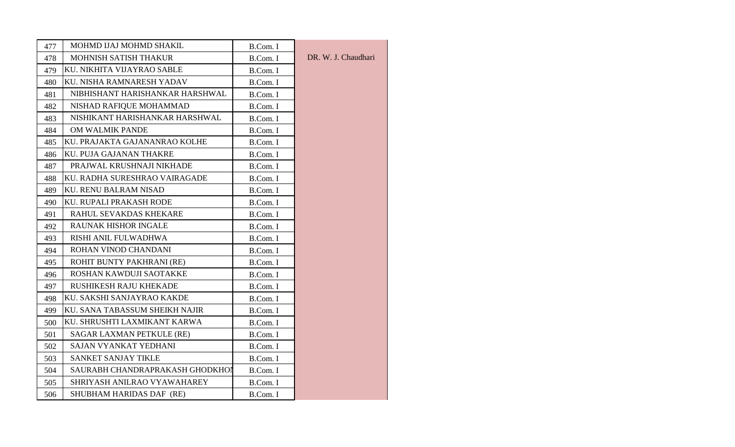| 477 | MOHMD IJAJ MOHMD SHAKIL         | B.Com. I |                     |
|-----|---------------------------------|----------|---------------------|
| 478 | MOHNISH SATISH THAKUR           | B.Com. I | DR. W. J. Chaudhari |
| 479 | KU. NIKHITA VIJAYRAO SABLE      | B.Com. I |                     |
| 480 | KU. NISHA RAMNARESH YADAV       | B.Com. I |                     |
| 481 | NIBHISHANT HARISHANKAR HARSHWAL | B.Com. I |                     |
| 482 | NISHAD RAFIQUE MOHAMMAD         | B.Com. I |                     |
| 483 | NISHIKANT HARISHANKAR HARSHWAL  | B.Com. I |                     |
| 484 | OM WALMIK PANDE                 | B.Com. I |                     |
| 485 | KU. PRAJAKTA GAJANANRAO KOLHE   | B.Com. I |                     |
| 486 | KU. PUJA GAJANAN THAKRE         | B.Com. I |                     |
| 487 | PRAJWAL KRUSHNAJI NIKHADE       | B.Com. I |                     |
| 488 | KU. RADHA SURESHRAO VAIRAGADE   | B.Com. I |                     |
| 489 | <b>KU. RENU BALRAM NISAD</b>    | B.Com. I |                     |
| 490 | KU. RUPALI PRAKASH RODE         | B.Com. I |                     |
| 491 | RAHUL SEVAKDAS KHEKARE          | B.Com. I |                     |
| 492 | <b>RAUNAK HISHOR INGALE</b>     | B.Com. I |                     |
| 493 | RISHI ANIL FULWADHWA            | B.Com. I |                     |
| 494 | ROHAN VINOD CHANDANI            | B.Com. I |                     |
| 495 | ROHIT BUNTY PAKHRANI (RE)       | B.Com. I |                     |
| 496 | ROSHAN KAWDUJI SAOTAKKE         | B.Com. I |                     |
| 497 | RUSHIKESH RAJU KHEKADE          | B.Com. I |                     |
| 498 | KU. SAKSHI SANJAYRAO KAKDE      | B.Com. I |                     |
| 499 | KU. SANA TABASSUM SHEIKH NAJIR  | B.Com. I |                     |
| 500 | KU. SHRUSHTI LAXMIKANT KARWA    | B.Com. I |                     |
| 501 | SAGAR LAXMAN PETKULE (RE)       | B.Com. I |                     |
| 502 | SAJAN VYANKAT YEDHANI           | B.Com. I |                     |
| 503 | <b>SANKET SANJAY TIKLE</b>      | B.Com. I |                     |
| 504 | SAURABH CHANDRAPRAKASH GHODKHOI | B.Com. I |                     |
| 505 | SHRIYASH ANILRAO VYAWAHAREY     | B.Com. I |                     |
| 506 | SHUBHAM HARIDAS DAF (RE)        | B.Com. I |                     |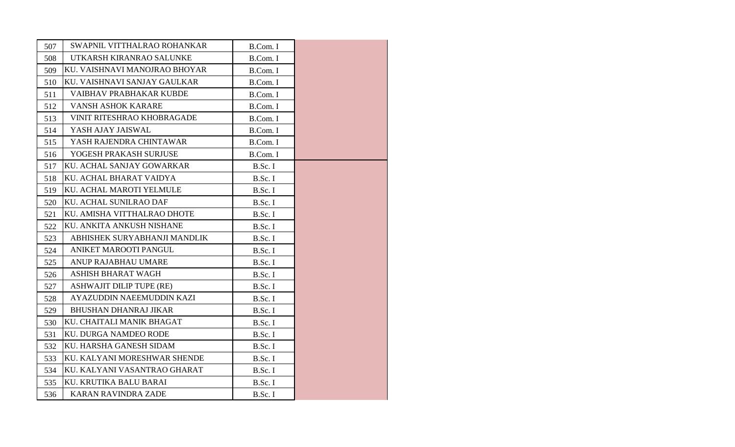| 507 | SWAPNIL VITTHALRAO ROHANKAR       | B.Com. I |  |
|-----|-----------------------------------|----------|--|
| 508 | UTKARSH KIRANRAO SALUNKE          | B.Com. I |  |
| 509 | KU. VAISHNAVI MANOJRAO BHOYAR     | B.Com. I |  |
| 510 | KU. VAISHNAVI SANJAY GAULKAR      | B.Com. I |  |
| 511 | VAIBHAV PRABHAKAR KUBDE           | B.Com. I |  |
| 512 | VANSH ASHOK KARARE                | B.Com. I |  |
| 513 | <b>VINIT RITESHRAO KHOBRAGADE</b> | B.Com. I |  |
| 514 | YASH AJAY JAISWAL                 | B.Com. I |  |
| 515 | YASH RAJENDRA CHINTAWAR           | B.Com. I |  |
| 516 | YOGESH PRAKASH SURJUSE            | B.Com. I |  |
| 517 | KU. ACHAL SANJAY GOWARKAR         | B.Sc. I  |  |
| 518 | KU. ACHAL BHARAT VAIDYA           | B.Sc. I  |  |
| 519 | KU. ACHAL MAROTI YELMULE          | B.Sc. I  |  |
| 520 | KU. ACHAL SUNILRAO DAF            | B.Sc. I  |  |
| 521 | KU. AMISHA VITTHALRAO DHOTE       | B.Sc. I  |  |
| 522 | KU. ANKITA ANKUSH NISHANE         | B.Sc. I  |  |
| 523 | ABHISHEK SURYABHANJI MANDLIK      | B.Sc. I  |  |
| 524 | ANIKET MAROOTI PANGUL             | B.Sc. I  |  |
| 525 | <b>ANUP RAJABHAU UMARE</b>        | B.Sc. I  |  |
| 526 | <b>ASHISH BHARAT WAGH</b>         | B.Sc. I  |  |
| 527 | <b>ASHWAJIT DILIP TUPE (RE)</b>   | B.Sc. I  |  |
| 528 | AYAZUDDIN NAEEMUDDIN KAZI         | B.Sc. I  |  |
| 529 | <b>BHUSHAN DHANRAJ JIKAR</b>      | B.Sc. I  |  |
| 530 | KU. CHAITALI MANIK BHAGAT         | B.Sc. I  |  |
| 531 | <b>KU. DURGA NAMDEO RODE</b>      | B.Sc. I  |  |
| 532 | KU. HARSHA GANESH SIDAM           | B.Sc. I  |  |
| 533 | KU. KALYANI MORESHWAR SHENDE      | B.Sc. I  |  |
| 534 | KU. KALYANI VASANTRAO GHARAT      | B.Sc. I  |  |
| 535 | KU. KRUTIKA BALU BARAI            | B.Sc. I  |  |
| 536 | <b>KARAN RAVINDRA ZADE</b>        | B.Sc. I  |  |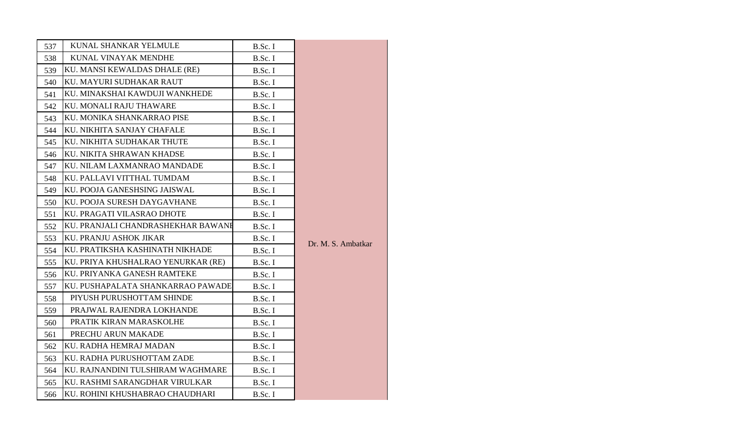| 537 | KUNAL SHANKAR YELMULE              | B.Sc. I |                    |
|-----|------------------------------------|---------|--------------------|
| 538 | KUNAL VINAYAK MENDHE               | B.Sc. I |                    |
| 539 | KU. MANSI KEWALDAS DHALE (RE)      | B.Sc. I |                    |
| 540 | KU. MAYURI SUDHAKAR RAUT           | B.Sc. I |                    |
| 541 | KU. MINAKSHAI KAWDUJI WANKHEDE     | B.Sc. I |                    |
| 542 | KU. MONALI RAJU THAWARE            | B.Sc. I |                    |
| 543 | KU. MONIKA SHANKARRAO PISE         | B.Sc. I |                    |
| 544 | KU. NIKHITA SANJAY CHAFALE         | B.Sc. I |                    |
| 545 | KU. NIKHITA SUDHAKAR THUTE         | B.Sc. I |                    |
| 546 | KU. NIKITA SHRAWAN KHADSE          | B.Sc. I |                    |
| 547 | KU. NILAM LAXMANRAO MANDADE        | B.Sc. I |                    |
| 548 | KU. PALLAVI VITTHAL TUMDAM         | B.Sc. I |                    |
| 549 | KU. POOJA GANESHSING JAISWAL       | B.Sc. I |                    |
| 550 | KU. POOJA SURESH DAYGAVHANE        | B.Sc. I |                    |
| 551 | KU. PRAGATI VILASRAO DHOTE         | B.Sc. I |                    |
| 552 | KU. PRANJALI CHANDRASHEKHAR BAWANE | B.Sc. I |                    |
| 553 | KU. PRANJU ASHOK JIKAR             | B.Sc. I | Dr. M. S. Ambatkar |
| 554 | KU. PRATIKSHA KASHINATH NIKHADE    | B.Sc. I |                    |
| 555 | KU. PRIYA KHUSHALRAO YENURKAR (RE) | B.Sc. I |                    |
| 556 | KU. PRIYANKA GANESH RAMTEKE        | B.Sc. I |                    |
| 557 | KU. PUSHAPALATA SHANKARRAO PAWADE  | B.Sc. I |                    |
| 558 | PIYUSH PURUSHOTTAM SHINDE          | B.Sc. I |                    |
| 559 | PRAJWAL RAJENDRA LOKHANDE          | B.Sc. I |                    |
| 560 | PRATIK KIRAN MARASKOLHE            | B.Sc. I |                    |
| 561 | PRECHU ARUN MAKADE                 | B.Sc. I |                    |
| 562 | KU. RADHA HEMRAJ MADAN             | B.Sc. I |                    |
| 563 | KU. RADHA PURUSHOTTAM ZADE         | B.Sc. I |                    |
| 564 | KU. RAJNANDINI TULSHIRAM WAGHMARE  | B.Sc. I |                    |
| 565 | KU. RASHMI SARANGDHAR VIRULKAR     | B.Sc. I |                    |
| 566 | KU. ROHINI KHUSHABRAO CHAUDHARI    | B.Sc. I |                    |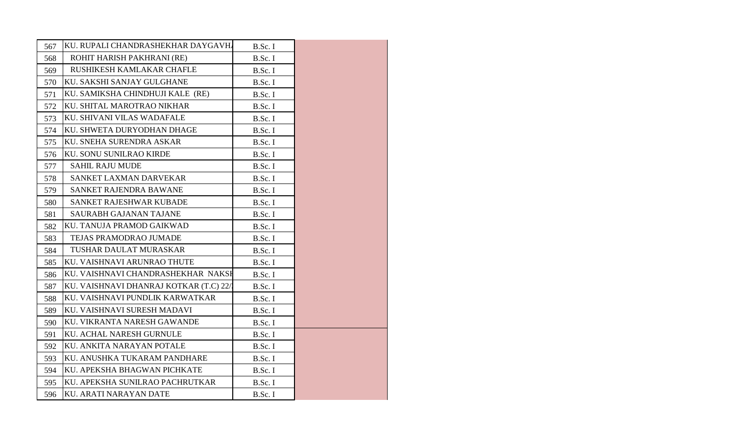| 567 | KU. RUPALI CHANDRASHEKHAR DAYGAVHA     | B.Sc. I |  |
|-----|----------------------------------------|---------|--|
| 568 | ROHIT HARISH PAKHRANI (RE)             | B.Sc. I |  |
| 569 | RUSHIKESH KAMLAKAR CHAFLE              | B.Sc. I |  |
| 570 | KU. SAKSHI SANJAY GULGHANE             | B.Sc. I |  |
| 571 | KU. SAMIKSHA CHINDHUJI KALE (RE)       | B.Sc. I |  |
| 572 | KU. SHITAL MAROTRAO NIKHAR             | B.Sc. I |  |
| 573 | KU. SHIVANI VILAS WADAFALE             | B.Sc. I |  |
| 574 | KU. SHWETA DURYODHAN DHAGE             | B.Sc. I |  |
| 575 | KU. SNEHA SURENDRA ASKAR               | B.Sc. I |  |
| 576 | KU. SONU SUNILRAO KIRDE                | B.Sc. I |  |
| 577 | <b>SAHIL RAJU MUDE</b>                 | B.Sc. I |  |
| 578 | SANKET LAXMAN DARVEKAR                 | B.Sc. I |  |
| 579 | SANKET RAJENDRA BAWANE                 | B.Sc. I |  |
| 580 | SANKET RAJESHWAR KUBADE                | B.Sc. I |  |
| 581 | <b>SAURABH GAJANAN TAJANE</b>          | B.Sc. I |  |
| 582 | KU. TANUJA PRAMOD GAIKWAD              | B.Sc. I |  |
| 583 | TEJAS PRAMODRAO JUMADE                 | B.Sc. I |  |
| 584 | TUSHAR DAULAT MURASKAR                 | B.Sc. I |  |
| 585 | KU. VAISHNAVI ARUNRAO THUTE            | B.Sc. I |  |
| 586 | KU. VAISHNAVI CHANDRASHEKHAR NAKSI     | B.Sc. I |  |
| 587 | KU. VAISHNAVI DHANRAJ KOTKAR (T.C) 22/ | B.Sc. I |  |
| 588 | KU. VAISHNAVI PUNDLIK KARWATKAR        | B.Sc. I |  |
| 589 | KU. VAISHNAVI SURESH MADAVI            | B.Sc. I |  |
| 590 | KU. VIKRANTA NARESH GAWANDE            | B.Sc. I |  |
| 591 | KU. ACHAL NARESH GURNULE               | B.Sc. I |  |
| 592 | KU. ANKITA NARAYAN POTALE              | B.Sc. I |  |
| 593 | KU. ANUSHKA TUKARAM PANDHARE           | B.Sc. I |  |
| 594 | KU. APEKSHA BHAGWAN PICHKATE           | B.Sc. I |  |
| 595 | KU. APEKSHA SUNILRAO PACHRUTKAR        | B.Sc. I |  |
| 596 | KU. ARATI NARAYAN DATE                 | B.Sc. I |  |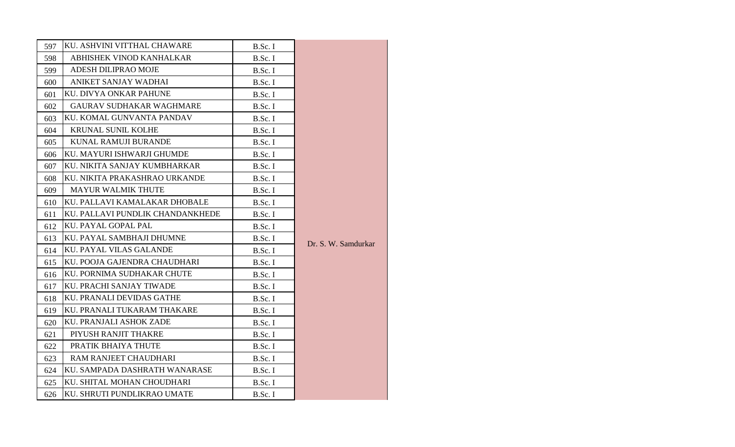| 597 | KU. ASHVINI VITTHAL CHAWARE      | B.Sc. I |                     |
|-----|----------------------------------|---------|---------------------|
| 598 | ABHISHEK VINOD KANHALKAR         | B.Sc. I |                     |
| 599 | ADESH DILIPRAO MOJE              | B.Sc. I |                     |
| 600 | ANIKET SANJAY WADHAI             | B.Sc. I |                     |
| 601 | KU. DIVYA ONKAR PAHUNE           | B.Sc. I |                     |
| 602 | <b>GAURAV SUDHAKAR WAGHMARE</b>  | B.Sc. I |                     |
| 603 | KU. KOMAL GUNVANTA PANDAV        | B.Sc. I |                     |
| 604 | KRUNAL SUNIL KOLHE               | B.Sc. I |                     |
| 605 | KUNAL RAMUJI BURANDE             | B.Sc. I |                     |
| 606 | KU. MAYURI ISHWARJI GHUMDE       | B.Sc. I |                     |
| 607 | KU. NIKITA SANJAY KUMBHARKAR     | B.Sc. I |                     |
| 608 | KU. NIKITA PRAKASHRAO URKANDE    | B.Sc. I |                     |
| 609 | <b>MAYUR WALMIK THUTE</b>        | B.Sc. I |                     |
| 610 | KU. PALLAVI KAMALAKAR DHOBALE    | B.Sc. I |                     |
| 611 | KU. PALLAVI PUNDLIK CHANDANKHEDE | B.Sc. I |                     |
| 612 | KU. PAYAL GOPAL PAL              | B.Sc. I |                     |
| 613 | KU. PAYAL SAMBHAJI DHUMNE        | B.Sc. I | Dr. S. W. Samdurkar |
| 614 | KU. PAYAL VILAS GALANDE          | B.Sc. I |                     |
| 615 | KU. POOJA GAJENDRA CHAUDHARI     | B.Sc. I |                     |
| 616 | KU. PORNIMA SUDHAKAR CHUTE       | B.Sc. I |                     |
| 617 | KU. PRACHI SANJAY TIWADE         | B.Sc. I |                     |
| 618 | KU. PRANALI DEVIDAS GATHE        | B.Sc. I |                     |
| 619 | KU. PRANALI TUKARAM THAKARE      | B.Sc. I |                     |
| 620 | KU. PRANJALI ASHOK ZADE          | B.Sc. I |                     |
| 621 | PIYUSH RANJIT THAKRE             | B.Sc. I |                     |
| 622 | PRATIK BHAIYA THUTE              | B.Sc. I |                     |
| 623 | RAM RANJEET CHAUDHARI            | B.Sc. I |                     |
| 624 | KU. SAMPADA DASHRATH WANARASE    | B.Sc. I |                     |
| 625 | KU. SHITAL MOHAN CHOUDHARI       | B.Sc. I |                     |
| 626 | KU. SHRUTI PUNDLIKRAO UMATE      | B.Sc. I |                     |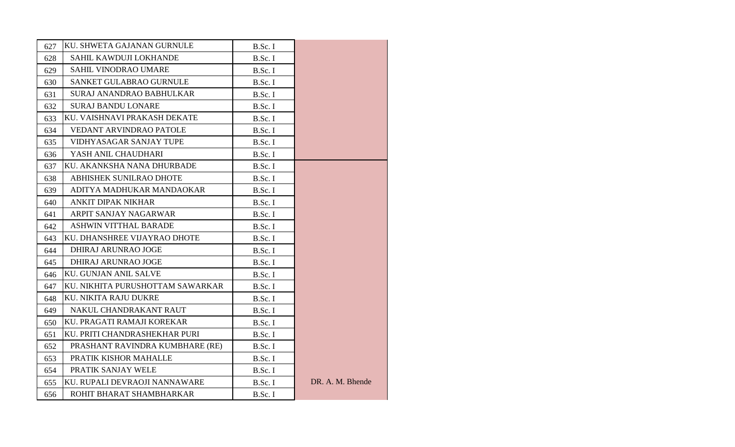| 627 | KU. SHWETA GAJANAN GURNULE       | B.Sc. I |                  |
|-----|----------------------------------|---------|------------------|
| 628 | SAHIL KAWDUJI LOKHANDE           | B.Sc. I |                  |
| 629 | <b>SAHIL VINODRAO UMARE</b>      | B.Sc. I |                  |
| 630 | SANKET GULABRAO GURNULE          | B.Sc. I |                  |
| 631 | SURAJ ANANDRAO BABHULKAR         | B.Sc. I |                  |
| 632 | <b>SURAJ BANDU LONARE</b>        | B.Sc. I |                  |
| 633 | KU. VAISHNAVI PRAKASH DEKATE     | B.Sc. I |                  |
| 634 | VEDANT ARVINDRAO PATOLE          | B.Sc. I |                  |
| 635 | VIDHYASAGAR SANJAY TUPE          | B.Sc. I |                  |
| 636 | YASH ANIL CHAUDHARI              | B.Sc. I |                  |
| 637 | KU. AKANKSHA NANA DHURBADE       | B.Sc. I |                  |
| 638 | ABHISHEK SUNILRAO DHOTE          | B.Sc. I |                  |
| 639 | ADITYA MADHUKAR MANDAOKAR        | B.Sc. I |                  |
| 640 | ANKIT DIPAK NIKHAR               | B.Sc. I |                  |
| 641 | ARPIT SANJAY NAGARWAR            | B.Sc. I |                  |
| 642 | <b>ASHWIN VITTHAL BARADE</b>     | B.Sc. I |                  |
| 643 | KU. DHANSHREE VIJAYRAO DHOTE     | B.Sc. I |                  |
| 644 | <b>DHIRAJ ARUNRAO JOGE</b>       | B.Sc. I |                  |
| 645 | <b>DHIRAJ ARUNRAO JOGE</b>       | B.Sc. I |                  |
| 646 | <b>KU. GUNJAN ANIL SALVE</b>     | B.Sc. I |                  |
| 647 | KU. NIKHITA PURUSHOTTAM SAWARKAR | B.Sc. I |                  |
| 648 | KU. NIKITA RAJU DUKRE            | B.Sc. I |                  |
| 649 | NAKUL CHANDRAKANT RAUT           | B.Sc. I |                  |
| 650 | KU. PRAGATI RAMAJI KOREKAR       | B.Sc. I |                  |
| 651 | KU. PRITI CHANDRASHEKHAR PURI    | B.Sc. I |                  |
| 652 | PRASHANT RAVINDRA KUMBHARE (RE)  | B.Sc. I |                  |
| 653 | PRATIK KISHOR MAHALLE            | B.Sc. I |                  |
| 654 | PRATIK SANJAY WELE               | B.Sc. I |                  |
| 655 | KU. RUPALI DEVRAOJI NANNAWARE    | B.Sc. I | DR. A. M. Bhende |
| 656 | ROHIT BHARAT SHAMBHARKAR         | B.Sc. I |                  |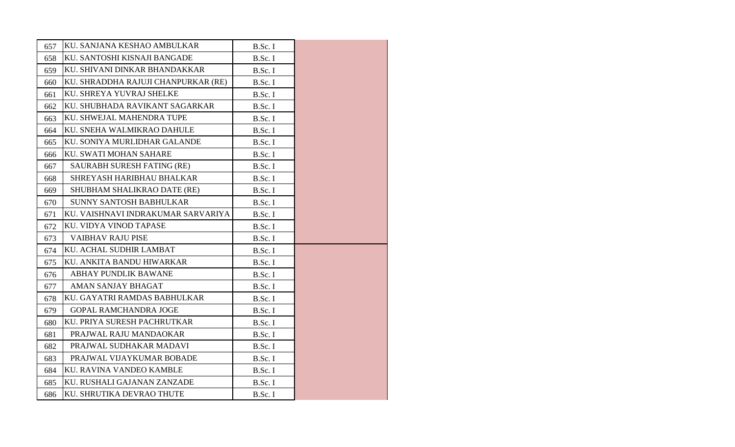| 657 | KU. SANJANA KESHAO AMBULKAR         | B.Sc. I |  |
|-----|-------------------------------------|---------|--|
| 658 | KU. SANTOSHI KISNAJI BANGADE        | B.Sc. I |  |
| 659 | KU. SHIVANI DINKAR BHANDAKKAR       | B.Sc. I |  |
| 660 | KU. SHRADDHA RAJUJI CHANPURKAR (RE) | B.Sc. I |  |
| 661 | KU. SHREYA YUVRAJ SHELKE            | B.Sc. I |  |
| 662 | KU. SHUBHADA RAVIKANT SAGARKAR      | B.Sc. I |  |
| 663 | KU. SHWEJAL MAHENDRA TUPE           | B.Sc. I |  |
| 664 | KU. SNEHA WALMIKRAO DAHULE          | B.Sc. I |  |
| 665 | KU. SONIYA MURLIDHAR GALANDE        | B.Sc. I |  |
| 666 | KU. SWATI MOHAN SAHARE              | B.Sc. I |  |
| 667 | SAURABH SURESH FATING (RE)          | B.Sc. I |  |
| 668 | SHREYASH HARIBHAU BHALKAR           | B.Sc. I |  |
| 669 | SHUBHAM SHALIKRAO DATE (RE)         | B.Sc. I |  |
| 670 | SUNNY SANTOSH BABHULKAR             | B.Sc. I |  |
| 671 | KU. VAISHNAVI INDRAKUMAR SARVARIYA  | B.Sc. I |  |
| 672 | KU. VIDYA VINOD TAPASE              | B.Sc. I |  |
| 673 | <b>VAIBHAV RAJU PISE</b>            | B.Sc. I |  |
| 674 | KU. ACHAL SUDHIR LAMBAT             | B.Sc. I |  |
| 675 | KU. ANKITA BANDU HIWARKAR           | B.Sc. I |  |
| 676 | <b>ABHAY PUNDLIK BAWANE</b>         | B.Sc. I |  |
| 677 | <b>AMAN SANJAY BHAGAT</b>           | B.Sc. I |  |
| 678 | KU. GAYATRI RAMDAS BABHULKAR        | B.Sc. I |  |
| 679 | <b>GOPAL RAMCHANDRA JOGE</b>        | B.Sc. I |  |
| 680 | KU. PRIYA SURESH PACHRUTKAR         | B.Sc. I |  |
| 681 | PRAJWAL RAJU MANDAOKAR              | B.Sc. I |  |
| 682 | PRAJWAL SUDHAKAR MADAVI             | B.Sc. I |  |
| 683 | PRAJWAL VIJAYKUMAR BOBADE           | B.Sc. I |  |
| 684 | KU. RAVINA VANDEO KAMBLE            | B.Sc. I |  |
| 685 | KU. RUSHALI GAJANAN ZANZADE         | B.Sc. I |  |
| 686 | KU. SHRUTIKA DEVRAO THUTE           | B.Sc. I |  |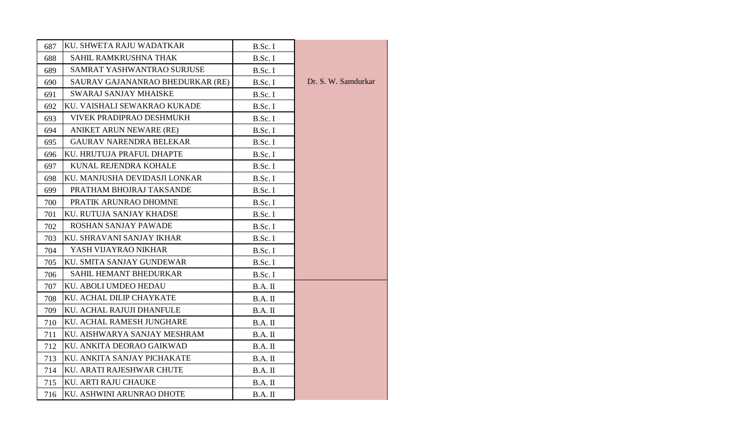| 687 | KU. SHWETA RAJU WADATKAR         | B.Sc. I   |                     |
|-----|----------------------------------|-----------|---------------------|
| 688 | SAHIL RAMKRUSHNA THAK            | B.Sc. I   |                     |
| 689 | SAMRAT YASHWANTRAO SURJUSE       | B.Sc. I   |                     |
| 690 | SAURAV GAJANANRAO BHEDURKAR (RE) | B.Sc. I   | Dr. S. W. Samdurkar |
| 691 | <b>SWARAJ SANJAY MHAISKE</b>     | B.Sc. I   |                     |
| 692 | KU. VAISHALI SEWAKRAO KUKADE     | B.Sc. I   |                     |
| 693 | <b>VIVEK PRADIPRAO DESHMUKH</b>  | B.Sc. I   |                     |
| 694 | ANIKET ARUN NEWARE (RE)          | B.Sc. I   |                     |
| 695 | <b>GAURAV NARENDRA BELEKAR</b>   | B.Sc. I   |                     |
| 696 | KU. HRUTUJA PRAFUL DHAPTE        | B.Sc. I   |                     |
| 697 | KUNAL REJENDRA KOHALE            | B.Sc. I   |                     |
| 698 | KU. MANJUSHA DEVIDASJI LONKAR    | B.Sc. I   |                     |
| 699 | PRATHAM BHOJRAJ TAKSANDE         | B.Sc. I   |                     |
| 700 | PRATIK ARUNRAO DHOMNE            | B.Sc. I   |                     |
| 701 | KU. RUTUJA SANJAY KHADSE         | B.Sc. I   |                     |
| 702 | ROSHAN SANJAY PAWADE             | B.Sc. I   |                     |
| 703 | KU. SHRAVANI SANJAY IKHAR        | B.Sc. I   |                     |
| 704 | YASH VIJAYRAO NIKHAR             | B.Sc. I   |                     |
| 705 | KU. SMITA SANJAY GUNDEWAR        | B.Sc. I   |                     |
| 706 | SAHIL HEMANT BHEDURKAR           | B.Sc. I   |                     |
| 707 | KU. ABOLI UMDEO HEDAU            | B.A. II   |                     |
| 708 | KU. ACHAL DILIP CHAYKATE         | B.A. II   |                     |
| 709 | KU. ACHAL RAJUJI DHANFULE        | B.A. II   |                     |
| 710 | KU. ACHAL RAMESH JUNGHARE        | $B.A.$ II |                     |
| 711 | KU. AISHWARYA SANJAY MESHRAM     | B.A. II   |                     |
| 712 | KU. ANKITA DEORAO GAIKWAD        | B.A. II   |                     |
| 713 | KU. ANKITA SANJAY PICHAKATE      | $B.A.$ II |                     |
| 714 | KU. ARATI RAJESHWAR CHUTE        | B.A. II   |                     |
| 715 | KU. ARTI RAJU CHAUKE             | $B.A.$ II |                     |
| 716 | KU. ASHWINI ARUNRAO DHOTE        | B.A. II   |                     |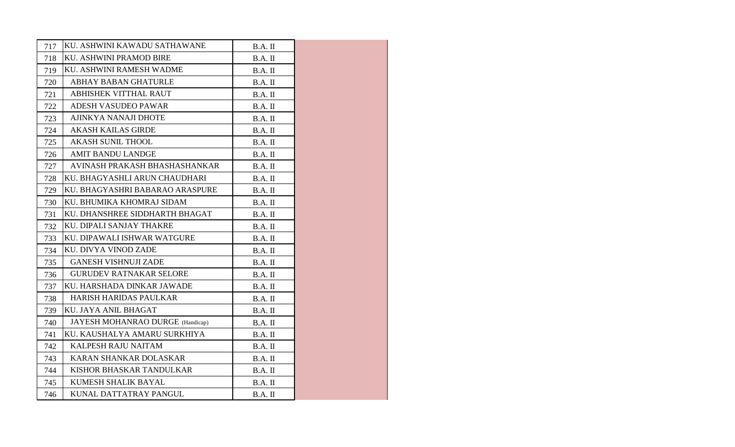| 717 | KU. ASHWINI KAWADU SATHAWANE     | B.A. II   |  |
|-----|----------------------------------|-----------|--|
| 718 | KU. ASHWINI PRAMOD BIRE          | $B.A.$ II |  |
| 719 | KU. ASHWINI RAMESH WADME         | $B.A.$ II |  |
| 720 | <b>ABHAY BABAN GHATURLE</b>      | $B.A.$ II |  |
| 721 | <b>ABHISHEK VITTHAL RAUT</b>     | B.A. II   |  |
| 722 | ADESH VASUDEO PAWAR              | B.A. II   |  |
| 723 | AJINKYA NANAJI DHOTE             | $B.A.$ II |  |
| 724 | <b>AKASH KAILAS GIRDE</b>        | $B.A.$ II |  |
| 725 | <b>AKASH SUNIL THOOL</b>         | B.A. II   |  |
| 726 | <b>AMIT BANDU LANDGE</b>         | B.A. II   |  |
| 727 | AVINASH PRAKASH BHASHASHANKAR    | $B.A.$ II |  |
| 728 | KU. BHAGYASHLI ARUN CHAUDHARI    | $B.A.$ II |  |
| 729 | KU. BHAGYASHRI BABARAO ARASPURE  | B.A. II   |  |
| 730 | KU. BHUMIKA KHOMRAJ SIDAM        | B.A. II   |  |
| 731 | KU. DHANSHREE SIDDHARTH BHAGAT   | $B.A.$ II |  |
| 732 | KU. DIPALI SANJAY THAKRE         | $B.A.$ II |  |
| 733 | KU. DIPAWALI ISHWAR WATGURE      | B.A. II   |  |
| 734 | KU. DIVYA VINOD ZADE             | $B.A.$ II |  |
| 735 | <b>GANESH VISHNUJI ZADE</b>      | $B.A.$ II |  |
| 736 | <b>GURUDEV RATNAKAR SELORE</b>   | $B.A.$ II |  |
| 737 | KU. HARSHADA DINKAR JAWADE       | B.A. II   |  |
| 738 | HARISH HARIDAS PAULKAR           | B.A. II   |  |
| 739 | KU. JAYA ANIL BHAGAT             | B.A. II   |  |
| 740 | JAYESH MOHANRAO DURGE (Handicap) | $B.A.$ II |  |
| 741 | KU. KAUSHALYA AMARU SURKHIYA     | B.A. II   |  |
| 742 | KALPESH RAJU NAITAM              | $B.A.$ II |  |
| 743 | KARAN SHANKAR DOLASKAR           | B.A. II   |  |
| 744 | KISHOR BHASKAR TANDULKAR         | B.A. II   |  |
| 745 | KUMESH SHALIK BAYAL              | B.A. II   |  |
| 746 | KUNAL DATTATRAY PANGUL           | $B.A.$ II |  |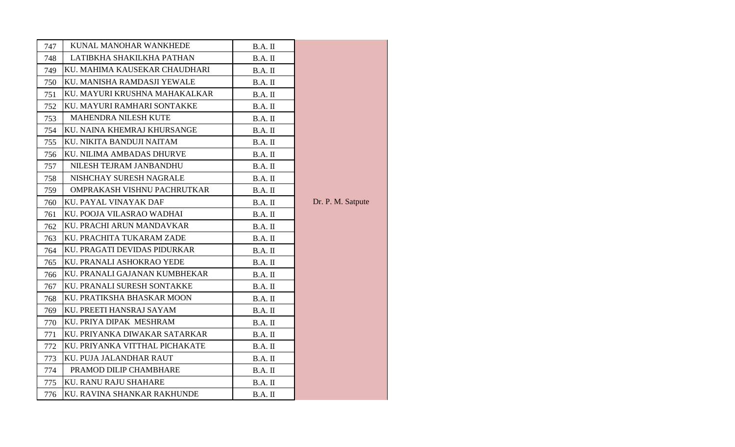| 747 | KUNAL MANOHAR WANKHEDE         | B.A. II   |                   |
|-----|--------------------------------|-----------|-------------------|
| 748 | LATIBKHA SHAKILKHA PATHAN      | B.A. II   |                   |
| 749 | KU. MAHIMA KAUSEKAR CHAUDHARI  | B.A. II   |                   |
| 750 | KU. MANISHA RAMDASJI YEWALE    | B.A. II   |                   |
| 751 | KU. MAYURI KRUSHNA MAHAKALKAR  | B.A. II   |                   |
| 752 | KU. MAYURI RAMHARI SONTAKKE    | $B.A.$ II |                   |
| 753 | MAHENDRA NILESH KUTE           | $B.A.$ II |                   |
| 754 | KU. NAINA KHEMRAJ KHURSANGE    | $B.A.$ II |                   |
| 755 | KU. NIKITA BANDUJI NAITAM      | B.A. II   |                   |
| 756 | KU. NILIMA AMBADAS DHURVE      | $B.A.$ II |                   |
| 757 | NILESH TEJRAM JANBANDHU        | $B.A.$ II |                   |
| 758 | NISHCHAY SURESH NAGRALE        | $B.A.$ II |                   |
| 759 | OMPRAKASH VISHNU PACHRUTKAR    | B.A. II   |                   |
| 760 | KU. PAYAL VINAYAK DAF          | B.A. II   | Dr. P. M. Satpute |
| 761 | KU. POOJA VILASRAO WADHAI      | $B.A.$ II |                   |
| 762 | KU. PRACHI ARUN MANDAVKAR      | B.A. II   |                   |
| 763 | KU. PRACHITA TUKARAM ZADE      | B.A. II   |                   |
| 764 | KU. PRAGATI DEVIDAS PIDURKAR   | B.A. II   |                   |
| 765 | KU. PRANALI ASHOKRAO YEDE      | B.A. II   |                   |
| 766 | KU. PRANALI GAJANAN KUMBHEKAR  | B.A. II   |                   |
| 767 | KU. PRANALI SURESH SONTAKKE    | B.A. II   |                   |
| 768 | KU. PRATIKSHA BHASKAR MOON     | B.A. II   |                   |
| 769 | KU. PREETI HANSRAJ SAYAM       | B.A. II   |                   |
| 770 | KU. PRIYA DIPAK MESHRAM        | B.A. II   |                   |
| 771 | KU. PRIYANKA DIWAKAR SATARKAR  | B.A. II   |                   |
| 772 | KU. PRIYANKA VITTHAL PICHAKATE | $B.A.$ II |                   |
| 773 | KU. PUJA JALANDHAR RAUT        | B.A. II   |                   |
| 774 | PRAMOD DILIP CHAMBHARE         | B.A. II   |                   |
| 775 | <b>KU. RANU RAJU SHAHARE</b>   | B.A. II   |                   |
| 776 | KU. RAVINA SHANKAR RAKHUNDE    | B.A. II   |                   |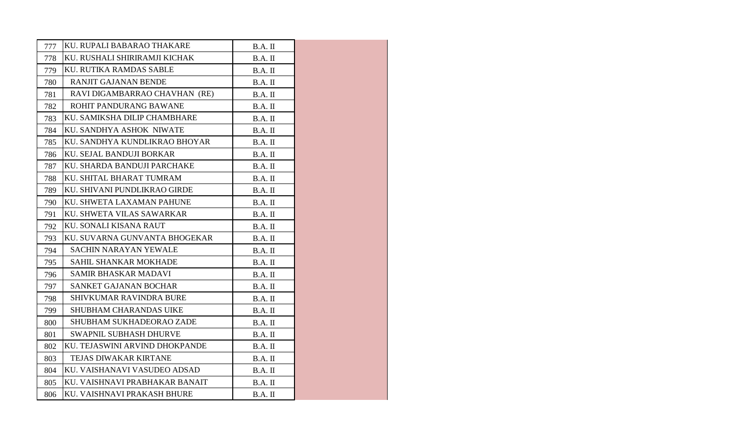| 777 | KU. RUPALI BABARAO THAKARE     | B.A. II   |  |
|-----|--------------------------------|-----------|--|
| 778 | KU. RUSHALI SHIRIRAMJI KICHAK  | B.A. II   |  |
| 779 | <b>KU. RUTIKA RAMDAS SABLE</b> | $B.A.$ II |  |
| 780 | RANJIT GAJANAN BENDE           | $B.A.$ II |  |
| 781 | RAVI DIGAMBARRAO CHAVHAN (RE)  | B.A. II   |  |
| 782 | ROHIT PANDURANG BAWANE         | B.A. II   |  |
| 783 | KU. SAMIKSHA DILIP CHAMBHARE   | B.A. II   |  |
| 784 | KU. SANDHYA ASHOK NIWATE       | $B.A.$ II |  |
| 785 | KU. SANDHYA KUNDLIKRAO BHOYAR  | B.A. II   |  |
| 786 | KU. SEJAL BANDUJI BORKAR       | B.A. II   |  |
| 787 | KU. SHARDA BANDUJI PARCHAKE    | $B.A.$ II |  |
| 788 | KU. SHITAL BHARAT TUMRAM       | B.A. II   |  |
| 789 | KU. SHIVANI PUNDLIKRAO GIRDE   | $B.A.$ II |  |
| 790 | KU. SHWETA LAXAMAN PAHUNE      | $B.A.$ II |  |
| 791 | KU. SHWETA VILAS SAWARKAR      | $B.A.$ II |  |
| 792 | KU. SONALI KISANA RAUT         | $B.A.$ II |  |
| 793 | KU. SUVARNA GUNVANTA BHOGEKAR  | $B.A.$ II |  |
| 794 | <b>SACHIN NARAYAN YEWALE</b>   | $B.A.$ II |  |
| 795 | SAHIL SHANKAR MOKHADE          | $B.A.$ II |  |
| 796 | <b>SAMIR BHASKAR MADAVI</b>    | $B.A.$ II |  |
| 797 | <b>SANKET GAJANAN BOCHAR</b>   | $B.A.$ II |  |
| 798 | <b>SHIVKUMAR RAVINDRA BURE</b> | B.A. II   |  |
| 799 | <b>SHUBHAM CHARANDAS UIKE</b>  | $B.A.$ II |  |
| 800 | SHUBHAM SUKHADEORAO ZADE       | $B.A.$ II |  |
| 801 | <b>SWAPNIL SUBHASH DHURVE</b>  | $B.A.$ II |  |
| 802 | KU. TEJASWINI ARVIND DHOKPANDE | B.A. II   |  |
| 803 | TEJAS DIWAKAR KIRTANE          | $B.A.$ II |  |
| 804 | KU. VAISHANAVI VASUDEO ADSAD   | $B.A.$ II |  |
| 805 | KU. VAISHNAVI PRABHAKAR BANAIT | $B.A.$ II |  |
| 806 | KU. VAISHNAVI PRAKASH BHURE    | $B.A.$ II |  |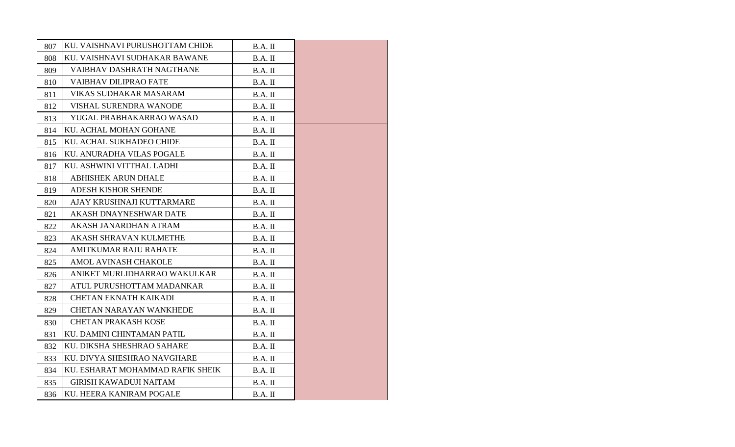| 807 | KU. VAISHNAVI PURUSHOTTAM CHIDE  | B.A. II   |  |
|-----|----------------------------------|-----------|--|
| 808 | KU. VAISHNAVI SUDHAKAR BAWANE    | B.A. II   |  |
| 809 | VAIBHAV DASHRATH NAGTHANE        | $B.A.$ II |  |
| 810 | <b>VAIBHAV DILIPRAO FATE</b>     | $B.A.$ II |  |
| 811 | VIKAS SUDHAKAR MASARAM           | B.A. II   |  |
| 812 | VISHAL SURENDRA WANODE           | B.A. II   |  |
| 813 | YUGAL PRABHAKARRAO WASAD         | $B.A.$ II |  |
| 814 | KU. ACHAL MOHAN GOHANE           | B.A. II   |  |
| 815 | KU. ACHAL SUKHADEO CHIDE         | B.A. II   |  |
| 816 | KU. ANURADHA VILAS POGALE        | B.A. II   |  |
| 817 | KU. ASHWINI VITTHAL LADHI        | $B.A.$ II |  |
| 818 | <b>ABHISHEK ARUN DHALE</b>       | $B.A.$ II |  |
| 819 | <b>ADESH KISHOR SHENDE</b>       | B.A. II   |  |
| 820 | AJAY KRUSHNAJI KUTTARMARE        | B.A. II   |  |
| 821 | <b>AKASH DNAYNESHWAR DATE</b>    | $B.A.$ II |  |
| 822 | AKASH JANARDHAN ATRAM            | B.A. II   |  |
| 823 | <b>AKASH SHRAVAN KULMETHE</b>    | B.A. II   |  |
| 824 | <b>AMITKUMAR RAJU RAHATE</b>     | B.A. II   |  |
| 825 | AMOL AVINASH CHAKOLE             | $B.A.$ II |  |
| 826 | ANIKET MURLIDHARRAO WAKULKAR     | $B.A.$ II |  |
| 827 | ATUL PURUSHOTTAM MADANKAR        | B.A. II   |  |
| 828 | <b>CHETAN EKNATH KAIKADI</b>     | $B.A.$ II |  |
| 829 | <b>CHETAN NARAYAN WANKHEDE</b>   | $B.A.$ II |  |
| 830 | <b>CHETAN PRAKASH KOSE</b>       | $B.A.$ II |  |
| 831 | KU. DAMINI CHINTAMAN PATIL       | B.A. II   |  |
| 832 | KU. DIKSHA SHESHRAO SAHARE       | B.A. II   |  |
| 833 | KU. DIVYA SHESHRAO NAVGHARE      | B.A. II   |  |
| 834 | KU. ESHARAT MOHAMMAD RAFIK SHEIK | B.A. II   |  |
| 835 | <b>GIRISH KAWADUJI NAITAM</b>    | B.A. II   |  |
| 836 | <b>KU. HEERA KANIRAM POGALE</b>  | $B.A.$ II |  |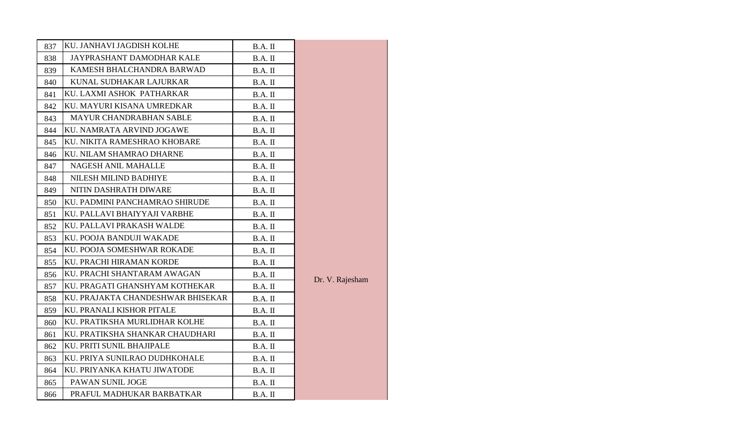| 837 | KU. JANHAVI JAGDISH KOLHE         | B.A. II   |                 |
|-----|-----------------------------------|-----------|-----------------|
| 838 | JAYPRASHANT DAMODHAR KALE         | B.A. II   |                 |
| 839 | KAMESH BHALCHANDRA BARWAD         | B.A. II   |                 |
| 840 | KUNAL SUDHAKAR LAJURKAR           | B.A. II   |                 |
| 841 | KU. LAXMI ASHOK PATHARKAR         | B.A. II   |                 |
| 842 | KU. MAYURI KISANA UMREDKAR        | B.A. II   |                 |
| 843 | <b>MAYUR CHANDRABHAN SABLE</b>    | $B.A.$ II |                 |
| 844 | KU. NAMRATA ARVIND JOGAWE         | B.A. II   |                 |
| 845 | KU. NIKITA RAMESHRAO KHOBARE      | B.A. II   |                 |
| 846 | KU. NILAM SHAMRAO DHARNE          | B.A. II   |                 |
| 847 | <b>NAGESH ANIL MAHALLE</b>        | $B.A.$ II |                 |
| 848 | NILESH MILIND BADHIYE             | B.A. II   |                 |
| 849 | NITIN DASHRATH DIWARE             | B.A. II   |                 |
| 850 | KU. PADMINI PANCHAMRAO SHIRUDE    | B.A. II   |                 |
| 851 | KU. PALLAVI BHAIYYAJI VARBHE      | B.A. II   |                 |
| 852 | KU. PALLAVI PRAKASH WALDE         | B.A. II   |                 |
| 853 | KU. POOJA BANDUJI WAKADE          | B.A. II   |                 |
| 854 | KU. POOJA SOMESHWAR ROKADE        | B.A. II   |                 |
| 855 | KU. PRACHI HIRAMAN KORDE          | B.A. II   |                 |
| 856 | KU. PRACHI SHANTARAM AWAGAN       | B.A. II   |                 |
| 857 | KU. PRAGATI GHANSHYAM KOTHEKAR    | B.A. II   | Dr. V. Rajesham |
| 858 | KU. PRAJAKTA CHANDESHWAR BHISEKAR | B.A. II   |                 |
| 859 | KU. PRANALI KISHOR PITALE         | B.A. II   |                 |
| 860 | KU. PRATIKSHA MURLIDHAR KOLHE     | B.A. II   |                 |
| 861 | KU. PRATIKSHA SHANKAR CHAUDHARI   | B.A. II   |                 |
| 862 | KU. PRITI SUNIL BHAJIPALE         | B.A. II   |                 |
| 863 | KU. PRIYA SUNILRAO DUDHKOHALE     | B.A. II   |                 |
| 864 | KU. PRIYANKA KHATU JIWATODE       | B.A. II   |                 |
| 865 | PAWAN SUNIL JOGE                  | B.A. II   |                 |
| 866 | PRAFUL MADHUKAR BARBATKAR         | B.A. II   |                 |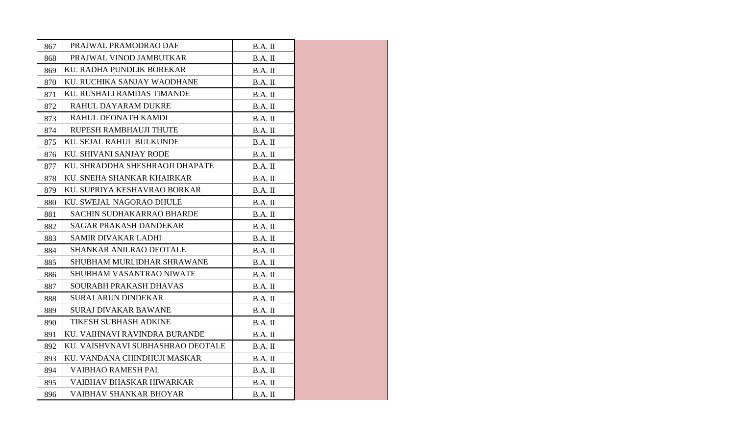| 867 | PRAJWAL PRAMODRAO DAF             | B.A. II   |  |
|-----|-----------------------------------|-----------|--|
| 868 | PRAJWAL VINOD JAMBUTKAR           | $B.A.$ II |  |
| 869 | KU. RADHA PUNDLIK BOREKAR         | $B.A.$ II |  |
| 870 | KU. RUCHIKA SANJAY WAODHANE       | $B.A.$ II |  |
| 871 | KU. RUSHALI RAMDAS TIMANDE        | $B.A.$ II |  |
| 872 | RAHUL DAYARAM DUKRE               | $B.A.$ II |  |
| 873 | RAHUL DEONATH KAMDI               | $B.A.$ II |  |
| 874 | RUPESH RAMBHAUJI THUTE            | B.A. II   |  |
| 875 | KU. SEJAL RAHUL BULKUNDE          | $B.A.$ II |  |
| 876 | KU. SHIVANI SANJAY RODE           | $B.A.$ II |  |
| 877 | KU. SHRADDHA SHESHRAOJI DHAPATE   | B.A. II   |  |
| 878 | KU. SNEHA SHANKAR KHAIRKAR        | B.A. II   |  |
| 879 | KU. SUPRIYA KESHAVRAO BORKAR      | $B.A.$ II |  |
| 880 | KU. SWEJAL NAGORAO DHULE          | $B.A.$ II |  |
| 881 | <b>SACHIN SUDHAKARRAO BHARDE</b>  | B.A. II   |  |
| 882 | <b>SAGAR PRAKASH DANDEKAR</b>     | B.A. II   |  |
| 883 | SAMIR DIVAKAR LADHI               | $B.A.$ II |  |
| 884 | <b>SHANKAR ANILRAO DEOTALE</b>    | $B.A.$ II |  |
| 885 | SHUBHAM MURLIDHAR SHRAWANE        | $B.A.$ II |  |
| 886 | <b>SHUBHAM VASANTRAO NIWATE</b>   | B.A. II   |  |
| 887 | SOURABH PRAKASH DHAVAS            | $B.A.$ II |  |
| 888 | <b>SURAJ ARUN DINDEKAR</b>        | $B.A.$ II |  |
| 889 | <b>SURAJ DIVAKAR BAWANE</b>       | B.A. II   |  |
| 890 | TIKESH SUBHASH ADKINE             | B.A. II   |  |
| 891 | KU. VAIHNAVI RAVINDRA BURANDE     | $B.A.$ II |  |
| 892 | KU. VAISHVNAVI SUBHASHRAO DEOTALE | $B.A.$ II |  |
| 893 | KU. VANDANA CHINDHUJI MASKAR      | $B.A.$ II |  |
| 894 | VAIBHAO RAMESH PAL                | B.A. II   |  |
| 895 | VAIBHAV BHASKAR HIWARKAR          | $B.A.$ II |  |
| 896 | VAIBHAV SHANKAR BHOYAR            | $B.A.$ II |  |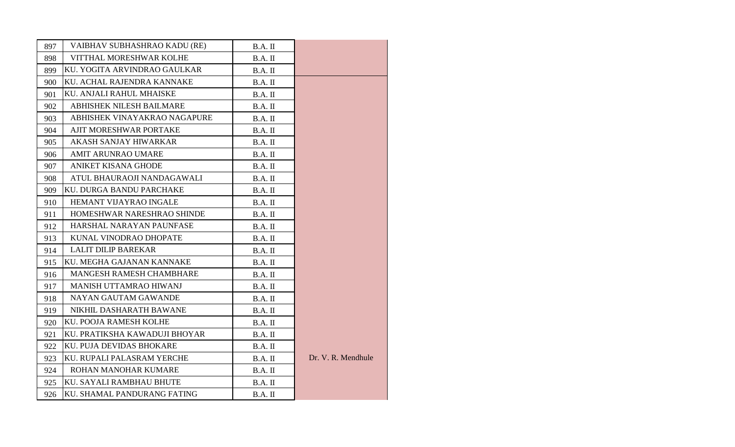| 897 | VAIBHAV SUBHASHRAO KADU (RE)  | B.A. II   |                    |
|-----|-------------------------------|-----------|--------------------|
| 898 | VITTHAL MORESHWAR KOLHE       | B.A. II   |                    |
| 899 | KU. YOGITA ARVINDRAO GAULKAR  | B.A. II   |                    |
| 900 | KU. ACHAL RAJENDRA KANNAKE    | B.A. II   |                    |
| 901 | KU. ANJALI RAHUL MHAISKE      | B.A. II   |                    |
| 902 | ABHISHEK NILESH BAILMARE      | B.A. II   |                    |
| 903 | ABHISHEK VINAYAKRAO NAGAPURE  | B.A. II   |                    |
| 904 | AJIT MORESHWAR PORTAKE        | B.A. II   |                    |
| 905 | AKASH SANJAY HIWARKAR         | B.A. II   |                    |
| 906 | <b>AMIT ARUNRAO UMARE</b>     | B.A. II   |                    |
| 907 | <b>ANIKET KISANA GHODE</b>    | B.A. II   |                    |
| 908 | ATUL BHAURAOJI NANDAGAWALI    | B.A. II   |                    |
| 909 | KU. DURGA BANDU PARCHAKE      | B.A. II   |                    |
| 910 | HEMANT VIJAYRAO INGALE        | B.A. II   |                    |
| 911 | HOMESHWAR NARESHRAO SHINDE    | $B.A.$ II |                    |
| 912 | HARSHAL NARAYAN PAUNFASE      | B.A. II   |                    |
| 913 | KUNAL VINODRAO DHOPATE        | B.A. II   |                    |
| 914 | <b>LALIT DILIP BAREKAR</b>    | B.A. II   |                    |
| 915 | KU. MEGHA GAJANAN KANNAKE     | $B.A.$ II |                    |
| 916 | MANGESH RAMESH CHAMBHARE      | B.A. II   |                    |
| 917 | MANISH UTTAMRAO HIWANJ        | $B.A.$ II |                    |
| 918 | NAYAN GAUTAM GAWANDE          | B.A. II   |                    |
| 919 | NIKHIL DASHARATH BAWANE       | $B.A.$ II |                    |
| 920 | KU. POOJA RAMESH KOLHE        | B.A. II   |                    |
| 921 | KU. PRATIKSHA KAWADUJI BHOYAR | B.A. II   |                    |
| 922 | KU. PUJA DEVIDAS BHOKARE      | B.A. II   |                    |
| 923 | KU. RUPALI PALASRAM YERCHE    | B.A. II   | Dr. V. R. Mendhule |
| 924 | ROHAN MANOHAR KUMARE          | B.A. II   |                    |
| 925 | KU. SAYALI RAMBHAU BHUTE      | B.A. II   |                    |
| 926 | KU. SHAMAL PANDURANG FATING   | B.A. II   |                    |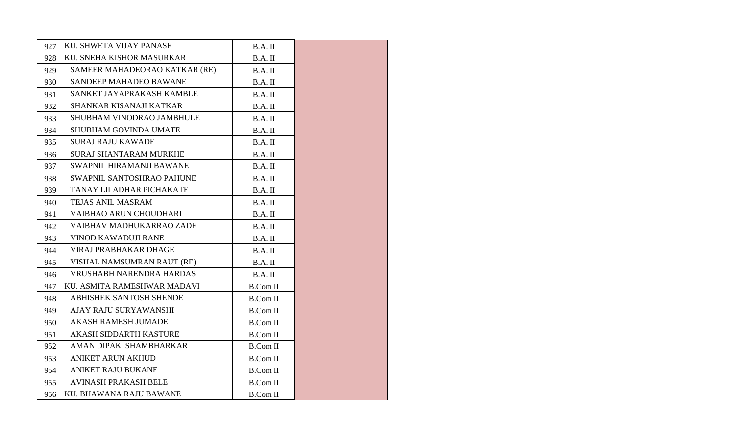| 927 | KU. SHWETA VIJAY PANASE         | B.A. II         |  |
|-----|---------------------------------|-----------------|--|
| 928 | KU. SNEHA KISHOR MASURKAR       | B.A. II         |  |
| 929 | SAMEER MAHADEORAO KATKAR (RE)   | B.A. II         |  |
| 930 | SANDEEP MAHADEO BAWANE          | $B.A.$ II       |  |
| 931 | SANKET JAYAPRAKASH KAMBLE       | B.A. II         |  |
| 932 | SHANKAR KISANAJI KATKAR         | B.A. II         |  |
| 933 | SHUBHAM VINODRAO JAMBHULE       | B.A. II         |  |
| 934 | SHUBHAM GOVINDA UMATE           | B.A. II         |  |
| 935 | <b>SURAJ RAJU KAWADE</b>        | B.A. II         |  |
| 936 | <b>SURAJ SHANTARAM MURKHE</b>   | B.A. II         |  |
| 937 | <b>SWAPNIL HIRAMANJI BAWANE</b> | B.A. II         |  |
| 938 | SWAPNIL SANTOSHRAO PAHUNE       | B.A. II         |  |
| 939 | TANAY LILADHAR PICHAKATE        | B.A. II         |  |
| 940 | TEJAS ANIL MASRAM               | $B.A.$ II       |  |
| 941 | VAIBHAO ARUN CHOUDHARI          | B.A. II         |  |
| 942 | VAIBHAV MADHUKARRAO ZADE        | B.A. II         |  |
| 943 | <b>VINOD KAWADUJI RANE</b>      | B.A. II         |  |
| 944 | <b>VIRAJ PRABHAKAR DHAGE</b>    | $B.A.$ II       |  |
| 945 | VISHAL NAMSUMRAN RAUT (RE)      | $B.A.$ II       |  |
| 946 | VRUSHABH NARENDRA HARDAS        | $B.A.$ II       |  |
| 947 | KU. ASMITA RAMESHWAR MADAVI     | <b>B.Com II</b> |  |
| 948 | <b>ABHISHEK SANTOSH SHENDE</b>  | <b>B.Com II</b> |  |
| 949 | AJAY RAJU SURYAWANSHI           | <b>B.Com II</b> |  |
| 950 | <b>AKASH RAMESH JUMADE</b>      | <b>B.Com II</b> |  |
| 951 | <b>AKASH SIDDARTH KASTURE</b>   | <b>B.Com II</b> |  |
| 952 | AMAN DIPAK SHAMBHARKAR          | <b>B.Com II</b> |  |
| 953 | <b>ANIKET ARUN AKHUD</b>        | <b>B.Com II</b> |  |
| 954 | <b>ANIKET RAJU BUKANE</b>       | <b>B.Com II</b> |  |
| 955 | <b>AVINASH PRAKASH BELE</b>     | <b>B.Com II</b> |  |
| 956 | KU. BHAWANA RAJU BAWANE         | <b>B.Com II</b> |  |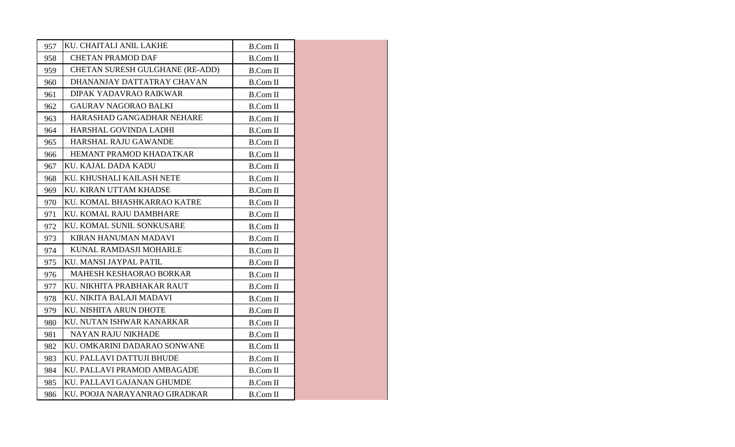| 957 | KU. CHAITALI ANIL LAKHE         | <b>B.Com II</b> |  |
|-----|---------------------------------|-----------------|--|
| 958 | <b>CHETAN PRAMOD DAF</b>        | <b>B.Com II</b> |  |
| 959 | CHETAN SURESH GULGHANE (RE-ADD) | <b>B.Com II</b> |  |
| 960 | DHANANJAY DATTATRAY CHAVAN      | <b>B.Com II</b> |  |
| 961 | DIPAK YADAVRAO RAIKWAR          | <b>B.Com II</b> |  |
| 962 | <b>GAURAV NAGORAO BALKI</b>     | <b>B.Com II</b> |  |
| 963 | HARASHAD GANGADHAR NEHARE       | <b>B.Com II</b> |  |
| 964 | HARSHAL GOVINDA LADHI           | <b>B.Com II</b> |  |
| 965 | HARSHAL RAJU GAWANDE            | <b>B.Com II</b> |  |
| 966 | HEMANT PRAMOD KHADATKAR         | <b>B.Com II</b> |  |
| 967 | KU. KAJAL DADA KADU             | B.Com II        |  |
| 968 | KU. KHUSHALI KAILASH NETE       | <b>B.Com II</b> |  |
| 969 | KU. KIRAN UTTAM KHADSE          | <b>B.Com II</b> |  |
| 970 | KU. KOMAL BHASHKARRAO KATRE     | <b>B.Com II</b> |  |
| 971 | KU. KOMAL RAJU DAMBHARE         | <b>B.Com II</b> |  |
| 972 | KU. KOMAL SUNIL SONKUSARE       | <b>B.Com II</b> |  |
| 973 | <b>KIRAN HANUMAN MADAVI</b>     | <b>B.Com II</b> |  |
| 974 | KUNAL RAMDASJI MOHARLE          | <b>B.Com II</b> |  |
| 975 | KU. MANSI JAYPAL PATIL          | <b>B.Com II</b> |  |
| 976 | <b>MAHESH KESHAORAO BORKAR</b>  | <b>B.Com II</b> |  |
| 977 | KU. NIKHITA PRABHAKAR RAUT      | <b>B.Com II</b> |  |
| 978 | KU. NIKITA BALAJI MADAVI        | <b>B.Com II</b> |  |
| 979 | KU. NISHITA ARUN DHOTE          | <b>B.Com II</b> |  |
| 980 | KU. NUTAN ISHWAR KANARKAR       | <b>B.Com II</b> |  |
| 981 | <b>NAYAN RAJU NIKHADE</b>       | <b>B.Com II</b> |  |
| 982 | KU. OMKARINI DADARAO SONWANE    | <b>B.Com II</b> |  |
| 983 | KU. PALLAVI DATTUJI BHUDE       | <b>B.Com II</b> |  |
| 984 | KU. PALLAVI PRAMOD AMBAGADE     | <b>B.Com II</b> |  |
| 985 | KU. PALLAVI GAJANAN GHUMDE      | <b>B.Com II</b> |  |
| 986 | KU. POOJA NARAYANRAO GIRADKAR   | <b>B.Com II</b> |  |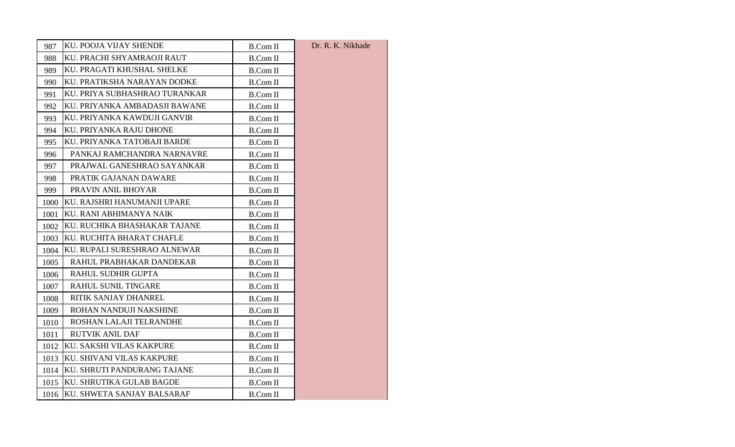| 987  | KU. POOJA VIJAY SHENDE           | <b>B.Com II</b> | Dr. R. K. Nikhade |
|------|----------------------------------|-----------------|-------------------|
| 988  | KU. PRACHI SHYAMRAOJI RAUT       | <b>B.Com II</b> |                   |
| 989  | KU. PRAGATI KHUSHAL SHELKE       | <b>B.Com II</b> |                   |
| 990  | KU. PRATIKSHA NARAYAN DODKE      | B.Com II        |                   |
| 991  | KU. PRIYA SUBHASHRAO TURANKAR    | <b>B.Com II</b> |                   |
| 992  | KU. PRIYANKA AMBADASJI BAWANE    | <b>B.Com II</b> |                   |
| 993  | KU. PRIYANKA KAWDUJI GANVIR      | <b>B.Com II</b> |                   |
| 994  | KU. PRIYANKA RAJU DHONE          | <b>B.Com II</b> |                   |
| 995  | KU. PRIYANKA TATOBAJI BARDE      | <b>B.Com II</b> |                   |
| 996. | PANKAJ RAMCHANDRA NARNAVRE       | <b>B.Com II</b> |                   |
| 997  | PRAJWAL GANESHRAO SAYANKAR       | <b>B.Com II</b> |                   |
| 998  | PRATIK GAJANAN DAWARE            | <b>B.Com II</b> |                   |
| 999  | PRAVIN ANIL BHOYAR               | <b>B.Com II</b> |                   |
| 1000 | KU. RAJSHRI HANUMANJI UPARE      | <b>B.Com II</b> |                   |
| 1001 | KU. RANI ABHIMANYA NAIK          | <b>B.Com II</b> |                   |
| 1002 | KU. RUCHIKA BHASHAKAR TAJANE     | B.Com II        |                   |
| 1003 | KU. RUCHITA BHARAT CHAFLE        | <b>B.Com II</b> |                   |
| 1004 | KU. RUPALI SURESHRAO ALNEWAR     | <b>B.Com II</b> |                   |
| 1005 | RAHUL PRABHAKAR DANDEKAR         | <b>B.Com II</b> |                   |
| 1006 | <b>RAHUL SUDHIR GUPTA</b>        | <b>B.Com II</b> |                   |
| 1007 | RAHUL SUNIL TINGARE              | <b>B.Com II</b> |                   |
| 1008 | RITIK SANJAY DHANREL             | B.Com II        |                   |
| 1009 | ROHAN NANDUJI NAKSHINE           | <b>B.Com II</b> |                   |
| 1010 | ROSHAN LALAJI TELRANDHE          | <b>B.Com II</b> |                   |
| 1011 | <b>RUTVIK ANIL DAF</b>           | <b>B.Com II</b> |                   |
| 1012 | KU. SAKSHI VILAS KAKPURE         | <b>B.Com II</b> |                   |
| 1013 | KU. SHIVANI VILAS KAKPURE        | <b>B.Com II</b> |                   |
|      | 1014 KU. SHRUTI PANDURANG TAJANE | <b>B.Com II</b> |                   |
| 1015 | KU. SHRUTIKA GULAB BAGDE         | <b>B.Com II</b> |                   |
|      | 1016 KU. SHWETA SANJAY BALSARAF  | <b>B.Com II</b> |                   |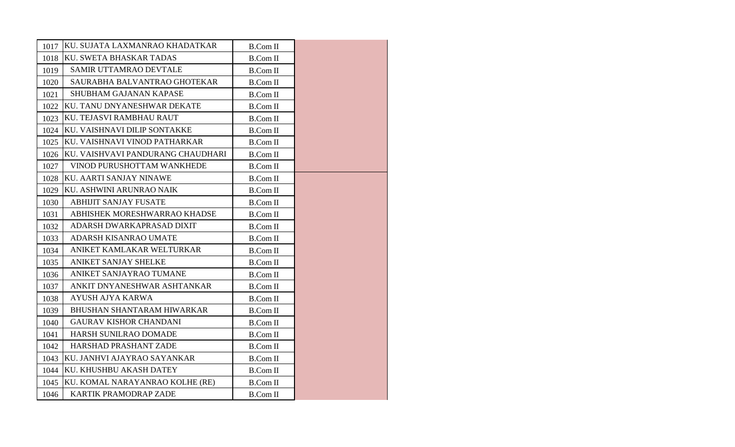| 1017 | KU. SUJATA LAXMANRAO KHADATKAR    | <b>B.Com II</b> |  |
|------|-----------------------------------|-----------------|--|
| 1018 | KU. SWETA BHASKAR TADAS           | <b>B.Com II</b> |  |
| 1019 | <b>SAMIR UTTAMRAO DEVTALE</b>     | <b>B.Com II</b> |  |
| 1020 | SAURABHA BALVANTRAO GHOTEKAR      | <b>B.Com II</b> |  |
| 1021 | <b>SHUBHAM GAJANAN KAPASE</b>     | <b>B.Com II</b> |  |
| 1022 | KU. TANU DNYANESHWAR DEKATE       | <b>B.Com II</b> |  |
| 1023 | KU. TEJASVI RAMBHAU RAUT          | <b>B.Com II</b> |  |
| 1024 | KU. VAISHNAVI DILIP SONTAKKE      | <b>B.Com II</b> |  |
| 1025 | KU. VAISHNAVI VINOD PATHARKAR     | <b>B.Com II</b> |  |
| 1026 | KU. VAISHVAVI PANDURANG CHAUDHARI | <b>B.Com II</b> |  |
| 1027 | VINOD PURUSHOTTAM WANKHEDE        | <b>B.Com II</b> |  |
| 1028 | KU. AARTI SANJAY NINAWE           | <b>B.Com II</b> |  |
| 1029 | KU. ASHWINI ARUNRAO NAIK          | <b>B.Com II</b> |  |
| 1030 | <b>ABHIJIT SANJAY FUSATE</b>      | <b>B.Com II</b> |  |
| 1031 | ABHISHEK MORESHWARRAO KHADSE      | <b>B.Com II</b> |  |
| 1032 | ADARSH DWARKAPRASAD DIXIT         | <b>B.Com II</b> |  |
| 1033 | ADARSH KISANRAO UMATE             | <b>B.Com II</b> |  |
| 1034 | ANIKET KAMLAKAR WELTURKAR         | <b>B.Com II</b> |  |
| 1035 | <b>ANIKET SANJAY SHELKE</b>       | <b>B.Com II</b> |  |
| 1036 | ANIKET SANJAYRAO TUMANE           | <b>B.Com II</b> |  |
| 1037 | ANKIT DNYANESHWAR ASHTANKAR       | <b>B.Com II</b> |  |
| 1038 | <b>AYUSH AJYA KARWA</b>           | <b>B.Com II</b> |  |
| 1039 | <b>BHUSHAN SHANTARAM HIWARKAR</b> | <b>B.Com II</b> |  |
| 1040 | <b>GAURAV KISHOR CHANDANI</b>     | <b>B.Com II</b> |  |
| 1041 | <b>HARSH SUNILRAO DOMADE</b>      | <b>B.Com II</b> |  |
| 1042 | HARSHAD PRASHANT ZADE             | <b>B.Com II</b> |  |
| 1043 | KU. JANHVI AJAYRAO SAYANKAR       | <b>B.Com II</b> |  |
| 1044 | KU. KHUSHBU AKASH DATEY           | <b>B.Com II</b> |  |
| 1045 | KU. KOMAL NARAYANRAO KOLHE (RE)   | <b>B.Com II</b> |  |
| 1046 | <b>KARTIK PRAMODRAP ZADE</b>      | <b>B.Com II</b> |  |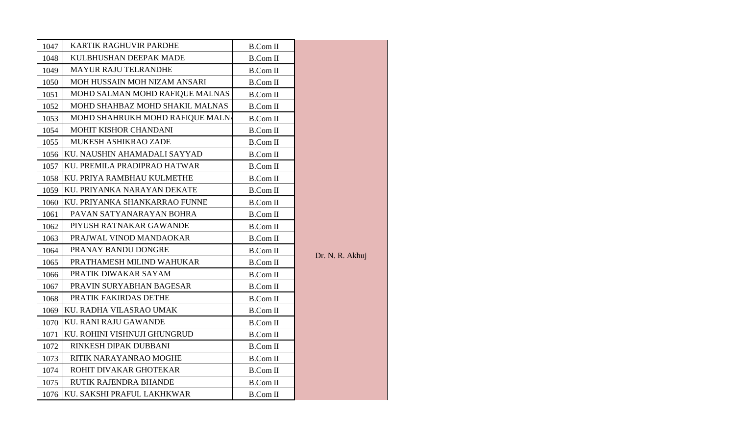| 1047 | <b>KARTIK RAGHUVIR PARDHE</b>    | <b>B.Com II</b>            |                 |
|------|----------------------------------|----------------------------|-----------------|
| 1048 | KULBHUSHAN DEEPAK MADE           | <b>B.Com II</b>            |                 |
| 1049 | <b>MAYUR RAJU TELRANDHE</b>      | <b>B.Com II</b>            |                 |
| 1050 | MOH HUSSAIN MOH NIZAM ANSARI     | <b>B.Com II</b>            |                 |
| 1051 | MOHD SALMAN MOHD RAFIQUE MALNAS  | <b>B.Com II</b>            |                 |
| 1052 | MOHD SHAHBAZ MOHD SHAKIL MALNAS  | <b>B.Com II</b>            |                 |
| 1053 | MOHD SHAHRUKH MOHD RAFIQUE MALNA | <b>B.Com II</b>            |                 |
| 1054 | MOHIT KISHOR CHANDANI            | $\operatorname{B.Com} \Pi$ |                 |
| 1055 | MUKESH ASHIKRAO ZADE             | <b>B.Com II</b>            |                 |
| 1056 | KU. NAUSHIN AHAMADALI SAYYAD     | <b>B.Com II</b>            |                 |
| 1057 | KU. PREMILA PRADIPRAO HATWAR     | <b>B.Com II</b>            |                 |
| 1058 | KU. PRIYA RAMBHAU KULMETHE       | <b>B.Com II</b>            |                 |
| 1059 | KU. PRIYANKA NARAYAN DEKATE      | <b>B.Com II</b>            |                 |
| 1060 | KU. PRIYANKA SHANKARRAO FUNNE    | <b>B.Com II</b>            |                 |
| 1061 | PAVAN SATYANARAYAN BOHRA         | <b>B.Com II</b>            |                 |
| 1062 | PIYUSH RATNAKAR GAWANDE          | <b>B.Com II</b>            |                 |
| 1063 | PRAJWAL VINOD MANDAOKAR          | <b>B.Com II</b>            | Dr. N. R. Akhuj |
| 1064 | PRANAY BANDU DONGRE              | <b>B.Com II</b>            |                 |
| 1065 | PRATHAMESH MILIND WAHUKAR        | <b>B.Com II</b>            |                 |
| 1066 | PRATIK DIWAKAR SAYAM             | <b>B.Com II</b>            |                 |
| 1067 | PRAVIN SURYABHAN BAGESAR         | <b>B.Com II</b>            |                 |
| 1068 | PRATIK FAKIRDAS DETHE            | <b>B.Com II</b>            |                 |
| 1069 | KU. RADHA VILASRAO UMAK          | <b>B.Com II</b>            |                 |
| 1070 | <b>KU. RANI RAJU GAWANDE</b>     | <b>B.Com II</b>            |                 |
| 1071 | KU. ROHINI VISHNUJI GHUNGRUD     | <b>B.Com II</b>            |                 |
| 1072 | RINKESH DIPAK DUBBANI            | <b>B.Com II</b>            |                 |
| 1073 | RITIK NARAYANRAO MOGHE           | <b>B.Com II</b>            |                 |
| 1074 | ROHIT DIVAKAR GHOTEKAR           | <b>B.Com II</b>            |                 |
| 1075 | RUTIK RAJENDRA BHANDE            | <b>B.Com II</b>            |                 |
| 1076 | KU. SAKSHI PRAFUL LAKHKWAR       | <b>B.Com II</b>            |                 |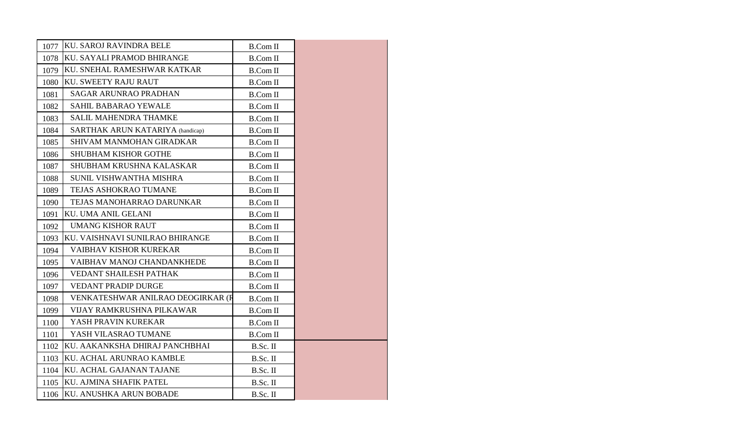| 1077 | IKU. SAROJ RAVINDRA BELE                | <b>B.Com II</b> |  |
|------|-----------------------------------------|-----------------|--|
| 1078 | KU. SAYALI PRAMOD BHIRANGE              | <b>B.Com II</b> |  |
| 1079 | KU. SNEHAL RAMESHWAR KATKAR             | B.Com II        |  |
| 1080 | <b>KU. SWEETY RAJU RAUT</b>             | <b>B.Com II</b> |  |
| 1081 | <b>SAGAR ARUNRAO PRADHAN</b>            | <b>B.Com II</b> |  |
| 1082 | SAHIL BABARAO YEWALE                    | <b>B.Com II</b> |  |
| 1083 | SALIL MAHENDRA THAMKE                   | <b>B.Com II</b> |  |
| 1084 | <b>SARTHAK ARUN KATARIYA</b> (handicap) | <b>B.Com II</b> |  |
| 1085 | SHIVAM MANMOHAN GIRADKAR                | <b>B.Com II</b> |  |
| 1086 | <b>SHUBHAM KISHOR GOTHE</b>             | <b>B.Com II</b> |  |
| 1087 | SHUBHAM KRUSHNA KALASKAR                | <b>B.Com II</b> |  |
| 1088 | SUNIL VISHWANTHA MISHRA                 | <b>B.Com II</b> |  |
| 1089 | TEJAS ASHOKRAO TUMANE                   | B.Com II        |  |
| 1090 | TEJAS MANOHARRAO DARUNKAR               | <b>B.Com II</b> |  |
| 1091 | KU. UMA ANIL GELANI                     | <b>B.Com II</b> |  |
| 1092 | <b>UMANG KISHOR RAUT</b>                | <b>B.Com II</b> |  |
| 1093 | KU. VAISHNAVI SUNILRAO BHIRANGE         | <b>B.Com II</b> |  |
| 1094 | <b>VAIBHAV KISHOR KUREKAR</b>           | <b>B.Com II</b> |  |
| 1095 | VAIBHAV MANOJ CHANDANKHEDE              | <b>B.Com II</b> |  |
| 1096 | <b>VEDANT SHAILESH PATHAK</b>           | <b>B.Com II</b> |  |
| 1097 | <b>VEDANT PRADIP DURGE</b>              | <b>B.Com II</b> |  |
| 1098 | VENKATESHWAR ANILRAO DEOGIRKAR (R       | <b>B.Com II</b> |  |
| 1099 | VIJAY RAMKRUSHNA PILKAWAR               | B.Com II        |  |
| 1100 | YASH PRAVIN KUREKAR                     | <b>B.Com II</b> |  |
| 1101 | YASH VILASRAO TUMANE                    | <b>B.Com II</b> |  |
| 1102 | KU. AAKANKSHA DHIRAJ PANCHBHAI          | B.Sc. II        |  |
| 1103 | KU. ACHAL ARUNRAO KAMBLE                | B.Sc. II        |  |
| 1104 | KU. ACHAL GAJANAN TAJANE                | B.Sc. II        |  |
| 1105 | KU. AJMINA SHAFIK PATEL                 | B.Sc. II        |  |
| 1106 | KU. ANUSHKA ARUN BOBADE                 | B.Sc. II        |  |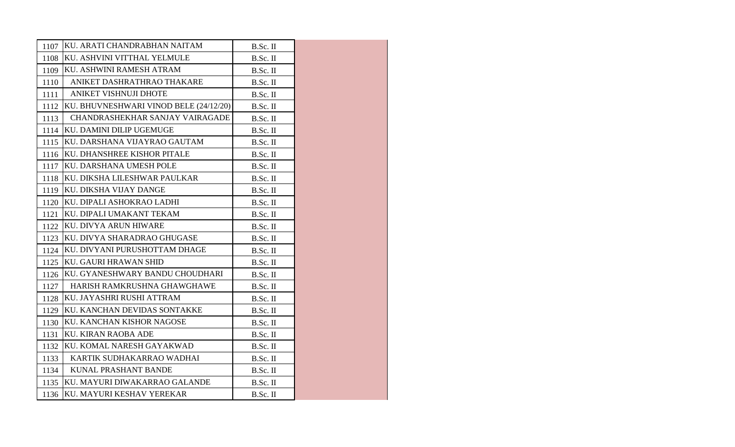| 1107 | KU. ARATI CHANDRABHAN NAITAM           | B.Sc. II   |  |
|------|----------------------------------------|------------|--|
| 1108 | KU. ASHVINI VITTHAL YELMULE            | B.Sc. II   |  |
| 1109 | KU. ASHWINI RAMESH ATRAM               | B.Sc. II   |  |
| 1110 | ANIKET DASHRATHRAO THAKARE             | B.Sc. II   |  |
| 1111 | ANIKET VISHNUJI DHOTE                  | B.Sc. II   |  |
| 1112 | KU. BHUVNESHWARI VINOD BELE (24/12/20) | B.Sc. II   |  |
| 1113 | CHANDRASHEKHAR SANJAY VAIRAGADE        | B.Sc. II   |  |
| 1114 | KU. DAMINI DILIP UGEMUGE               | B.Sc. II   |  |
| 1115 | KU. DARSHANA VIJAYRAO GAUTAM           | B.Sc. II   |  |
| 1116 | KU. DHANSHREE KISHOR PITALE            | B.Sc. II   |  |
| 1117 | KU. DARSHANA UMESH POLE                | B.Sc. II   |  |
| 1118 | KU. DIKSHA LILESHWAR PAULKAR           | B.Sc. II   |  |
| 1119 | KU. DIKSHA VIJAY DANGE                 | B.Sc. II   |  |
| 1120 | KU. DIPALI ASHOKRAO LADHI              | B.Sc. II   |  |
| 1121 | KU. DIPALI UMAKANT TEKAM               | B.Sc. II   |  |
| 1122 | <b>KU. DIVYA ARUN HIWARE</b>           | B.Sc. II   |  |
| 1123 | KU. DIVYA SHARADRAO GHUGASE            | B.Sc. II   |  |
| 1124 | KU. DIVYANI PURUSHOTTAM DHAGE          | B.Sc. II   |  |
| 1125 | <b>KU. GAURI HRAWAN SHID</b>           | B.Sc. II   |  |
| 1126 | KU. GYANESHWARY BANDU CHOUDHARI        | B.Sc. II   |  |
| 1127 | HARISH RAMKRUSHNA GHAWGHAWE            | $B.Sc.$ II |  |
| 1128 | KU. JAYASHRI RUSHI ATTRAM              | B.Sc. II   |  |
| 1129 | KU. KANCHAN DEVIDAS SONTAKKE           | B.Sc. II   |  |
| 1130 | KU. KANCHAN KISHOR NAGOSE              | B.Sc. II   |  |
| 1131 | KU. KIRAN RAOBA ADE                    | B.Sc. II   |  |
| 1132 | KU. KOMAL NARESH GAYAKWAD              | B.Sc. II   |  |
| 1133 | KARTIK SUDHAKARRAO WADHAI              | B.Sc. II   |  |
| 1134 | KUNAL PRASHANT BANDE                   | B.Sc. II   |  |
|      | 1135 KU. MAYURI DIWAKARRAO GALANDE     | B.Sc. II   |  |
|      | 1136 KU. MAYURI KESHAV YEREKAR         | B.Sc. II   |  |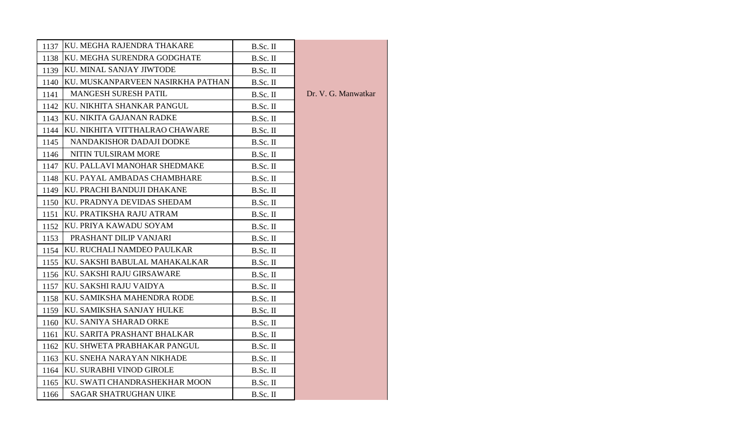| 1137 | KU. MEGHA RAJENDRA THAKARE        | B.Sc. II |                     |
|------|-----------------------------------|----------|---------------------|
| 1138 | KU. MEGHA SURENDRA GODGHATE       | B.Sc. II |                     |
| 1139 | <b>KU. MINAL SANJAY JIWTODE</b>   | B.Sc. II |                     |
| 1140 | KU. MUSKANPARVEEN NASIRKHA PATHAN | B.Sc. II |                     |
| 1141 | <b>MANGESH SURESH PATIL</b>       | B.Sc. II | Dr. V. G. Manwatkar |
| 1142 | KU. NIKHITA SHANKAR PANGUL        | B.Sc. II |                     |
| 1143 | KU. NIKITA GAJANAN RADKE          | B.Sc. II |                     |
| 1144 | KU. NIKHITA VITTHALRAO CHAWARE    | B.Sc. II |                     |
| 1145 | NANDAKISHOR DADAJI DODKE          | B.Sc. II |                     |
| 1146 | NITIN TULSIRAM MORE               | B.Sc. II |                     |
| 1147 | KU. PALLAVI MANOHAR SHEDMAKE      | B.Sc. II |                     |
| 1148 | KU. PAYAL AMBADAS CHAMBHARE       | B.Sc. II |                     |
| 1149 | KU. PRACHI BANDUJI DHAKANE        | B.Sc. II |                     |
| 1150 | KU. PRADNYA DEVIDAS SHEDAM        | B.Sc. II |                     |
| 1151 | KU. PRATIKSHA RAJU ATRAM          | B.Sc. II |                     |
| 1152 | KU. PRIYA KAWADU SOYAM            | B.Sc. II |                     |
| 1153 | PRASHANT DILIP VANJARI            | B.Sc. II |                     |
| 1154 | KU. RUCHALI NAMDEO PAULKAR        | B.Sc. II |                     |
| 1155 | KU. SAKSHI BABULAL MAHAKALKAR     | B.Sc. II |                     |
| 1156 | KU. SAKSHI RAJU GIRSAWARE         | B.Sc. II |                     |
| 1157 | KU. SAKSHI RAJU VAIDYA            | B.Sc. II |                     |
| 1158 | KU. SAMIKSHA MAHENDRA RODE        | B.Sc. II |                     |
| 1159 | KU. SAMIKSHA SANJAY HULKE         | B.Sc. II |                     |
| 1160 | KU. SANIYA SHARAD ORKE            | B.Sc. II |                     |
| 1161 | KU. SARITA PRASHANT BHALKAR       | B.Sc. II |                     |
| 1162 | KU. SHWETA PRABHAKAR PANGUL       | B.Sc. II |                     |
| 1163 | KU. SNEHA NARAYAN NIKHADE         | B.Sc. II |                     |
| 1164 | KU. SURABHI VINOD GIROLE          | B.Sc. II |                     |
| 1165 | KU. SWATI CHANDRASHEKHAR MOON     | B.Sc. II |                     |
| 1166 | <b>SAGAR SHATRUGHAN UIKE</b>      | B.Sc. II |                     |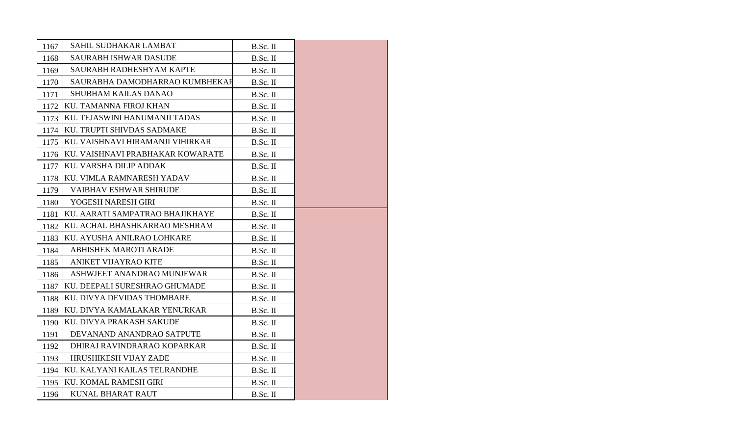| 1167 | SAHIL SUDHAKAR LAMBAT            | B.Sc. II   |  |
|------|----------------------------------|------------|--|
| 1168 | <b>SAURABH ISHWAR DASUDE</b>     | B.Sc. II   |  |
| 1169 | SAURABH RADHESHYAM KAPTE         | $B.Sc.$ II |  |
| 1170 | SAURABHA DAMODHARRAO KUMBHEKAR   | B.Sc. II   |  |
| 1171 | <b>SHUBHAM KAILAS DANAO</b>      | $B.Sc.$ II |  |
| 1172 | KU. TAMANNA FIROJ KHAN           | B.Sc. II   |  |
| 1173 | KU. TEJASWINI HANUMANJI TADAS    | B.Sc. II   |  |
| 1174 | KU. TRUPTI SHIVDAS SADMAKE       | B.Sc. II   |  |
| 1175 | KU. VAISHNAVI HIRAMANJI VIHIRKAR | B.Sc. II   |  |
| 1176 | KU. VAISHNAVI PRABHAKAR KOWARATE | B.Sc. II   |  |
| 1177 | KU. VARSHA DILIP ADDAK           | $B.Sc.$ II |  |
| 1178 | KU. VIMLA RAMNARESH YADAV        | B.Sc. II   |  |
| 1179 | <b>VAIBHAV ESHWAR SHIRUDE</b>    | B.Sc. II   |  |
| 1180 | YOGESH NARESH GIRI               | B.Sc. II   |  |
| 1181 | KU. AARATI SAMPATRAO BHAJIKHAYE  | $B.Sc.$ II |  |
| 1182 | KU. ACHAL BHASHKARRAO MESHRAM    | B.Sc. II   |  |
| 1183 | KU. AYUSHA ANILRAO LOHKARE       | B.Sc. II   |  |
| 1184 | <b>ABHISHEK MAROTI ARADE</b>     | B.Sc. II   |  |
| 1185 | ANIKET VIJAYRAO KITE             | B.Sc. II   |  |
| 1186 | ASHWJEET ANANDRAO MUNJEWAR       | B.Sc. II   |  |
| 1187 | KU. DEEPALI SURESHRAO GHUMADE    | B.Sc. II   |  |
| 1188 | KU. DIVYA DEVIDAS THOMBARE       | B.Sc. II   |  |
| 1189 | KU. DIVYA KAMALAKAR YENURKAR     | B.Sc. II   |  |
| 1190 | KU. DIVYA PRAKASH SAKUDE         | B.Sc. II   |  |
| 1191 | DEVANAND ANANDRAO SATPUTE        | $B.Sc.$ II |  |
| 1192 | DHIRAJ RAVINDRARAO KOPARKAR      | B.Sc. II   |  |
| 1193 | HRUSHIKESH VIJAY ZADE            | B.Sc. II   |  |
| 1194 | KU. KALYANI KAILAS TELRANDHE     | B.Sc. II   |  |
| 1195 | KU. KOMAL RAMESH GIRI            | $B.Sc.$ II |  |
| 1196 | KUNAL BHARAT RAUT                | B.Sc. II   |  |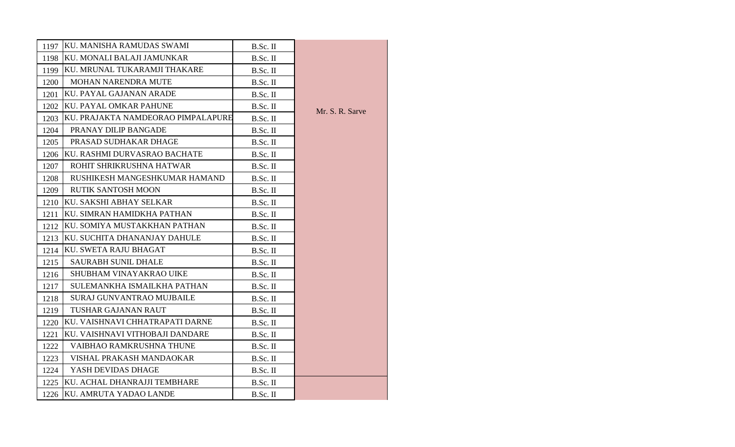| 1197 | KU. MANISHA RAMUDAS SWAMI          | B.Sc. II   |                 |
|------|------------------------------------|------------|-----------------|
| 1198 | KU. MONALI BALAJI JAMUNKAR         | B.Sc. II   |                 |
| 1199 | KU. MRUNAL TUKARAMJI THAKARE       | B.Sc. II   |                 |
| 1200 | MOHAN NARENDRA MUTE                | B.Sc. II   |                 |
| 1201 | KU. PAYAL GAJANAN ARADE            | B.Sc. II   |                 |
| 1202 | KU. PAYAL OMKAR PAHUNE             | B.Sc. II   |                 |
| 1203 | KU. PRAJAKTA NAMDEORAO PIMPALAPURE | B.Sc. II   | Mr. S. R. Sarve |
| 1204 | PRANAY DILIP BANGADE               | B.Sc. II   |                 |
| 1205 | PRASAD SUDHAKAR DHAGE              | B.Sc. II   |                 |
| 1206 | KU. RASHMI DURVASRAO BACHATE       | B.Sc. II   |                 |
| 1207 | ROHIT SHRIKRUSHNA HATWAR           | B.Sc. II   |                 |
| 1208 | RUSHIKESH MANGESHKUMAR HAMAND      | B.Sc. II   |                 |
| 1209 | <b>RUTIK SANTOSH MOON</b>          | B.Sc. II   |                 |
| 1210 | KU. SAKSHI ABHAY SELKAR            | B.Sc. II   |                 |
| 1211 | KU. SIMRAN HAMIDKHA PATHAN         | B.Sc. II   |                 |
| 1212 | KU. SOMIYA MUSTAKKHAN PATHAN       | B.Sc. II   |                 |
| 1213 | KU. SUCHITA DHANANJAY DAHULE       | B.Sc. II   |                 |
| 1214 | KU. SWETA RAJU BHAGAT              | B.Sc. II   |                 |
| 1215 | <b>SAURABH SUNIL DHALE</b>         | B.Sc. II   |                 |
| 1216 | SHUBHAM VINAYAKRAO UIKE            | $B.Sc.$ II |                 |
| 1217 | SULEMANKHA ISMAILKHA PATHAN        | B.Sc. II   |                 |
| 1218 | <b>SURAJ GUNVANTRAO MUJBAILE</b>   | B.Sc. II   |                 |
| 1219 | TUSHAR GAJANAN RAUT                | B.Sc. II   |                 |
| 1220 | KU. VAISHNAVI CHHATRAPATI DARNE    | B.Sc. II   |                 |
| 1221 | KU. VAISHNAVI VITHOBAJI DANDARE    | B.Sc. II   |                 |
| 1222 | VAIBHAO RAMKRUSHNA THUNE           | B.Sc. II   |                 |
| 1223 | VISHAL PRAKASH MANDAOKAR           | B.Sc. II   |                 |
| 1224 | YASH DEVIDAS DHAGE                 | B.Sc. II   |                 |
| 1225 | KU. ACHAL DHANRAJJI TEMBHARE       | B.Sc. II   |                 |
| 1226 | KU. AMRUTA YADAO LANDE             | B.Sc. II   |                 |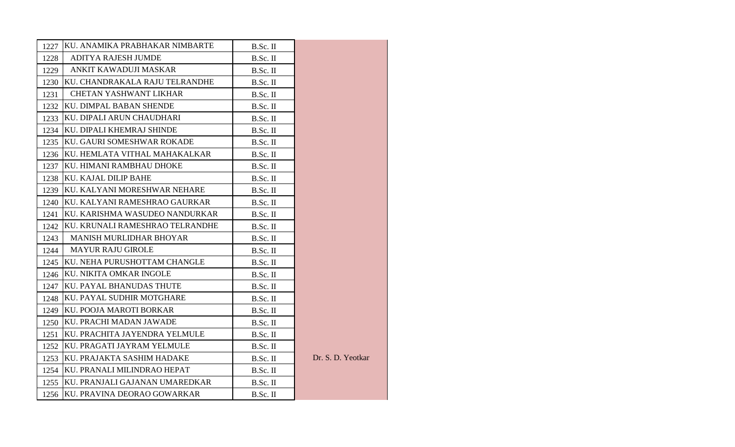|      | 1227 KU. ANAMIKA PRABHAKAR NIMBARTE | B.Sc. II   |                   |
|------|-------------------------------------|------------|-------------------|
| 1228 | <b>ADITYA RAJESH JUMDE</b>          | B.Sc. II   |                   |
| 1229 | ANKIT KAWADUJI MASKAR               | B.Sc. II   |                   |
| 1230 | KU. CHANDRAKALA RAJU TELRANDHE      | B.Sc. II   |                   |
| 1231 | <b>CHETAN YASHWANT LIKHAR</b>       | $B.Sc.$ II |                   |
|      | 1232 KU. DIMPAL BABAN SHENDE        | B.Sc. II   |                   |
| 1233 | KU. DIPALI ARUN CHAUDHARI           | $B.Sc.$ II |                   |
|      | 1234 KU. DIPALI KHEMRAJ SHINDE      | B.Sc. II   |                   |
|      | 1235 KU. GAURI SOMESHWAR ROKADE     | $B.Sc.$ II |                   |
|      | 1236 KU. HEMLATA VITHAL MAHAKALKAR  | B.Sc. II   |                   |
| 1237 | IKU. HIMANI RAMBHAU DHOKE           | $B.Sc.$ II |                   |
| 1238 | KU. KAJAL DILIP BAHE                | B.Sc. II   |                   |
| 1239 | KU. KALYANI MORESHWAR NEHARE        | $B.Sc.$ II |                   |
| 1240 | KU. KALYANI RAMESHRAO GAURKAR       | B.Sc. II   |                   |
| 1241 | KU. KARISHMA WASUDEO NANDURKAR      | $B.Sc.$ II |                   |
| 1242 | KU. KRUNALI RAMESHRAO TELRANDHE     | B.Sc. II   |                   |
| 1243 | <b>MANISH MURLIDHAR BHOYAR</b>      | $B.Sc.$ II |                   |
| 1244 | <b>MAYUR RAJU GIROLE</b>            | B.Sc. II   |                   |
| 1245 | KU. NEHA PURUSHOTTAM CHANGLE        | $B.Sc.$ II |                   |
|      | 1246 KU. NIKITA OMKAR INGOLE        | B.Sc. II   |                   |
| 1247 | KU. PAYAL BHANUDAS THUTE            | $B.Sc.$ II |                   |
| 1248 | KU. PAYAL SUDHIR MOTGHARE           | B.Sc. II   |                   |
| 1249 | KU. POOJA MAROTI BORKAR             | $B.Sc.$ II |                   |
| 1250 | KU. PRACHI MADAN JAWADE             | B.Sc. II   |                   |
| 1251 | KU. PRACHITA JAYENDRA YELMULE       | $B.Sc.$ II |                   |
| 1252 | KU. PRAGATI JAYRAM YELMULE          | B.Sc. II   |                   |
| 1253 | <b>KU. PRAJAKTA SASHIM HADAKE</b>   | $B.Sc.$ II | Dr. S. D. Yeotkar |
|      | 1254 KU. PRANALI MILINDRAO HEPAT    | B.Sc. II   |                   |
| 1255 | KU. PRANJALI GAJANAN UMAREDKAR      | $B.Sc.$ II |                   |
|      | 1256 KU. PRAVINA DEORAO GOWARKAR    | B.Sc. II   |                   |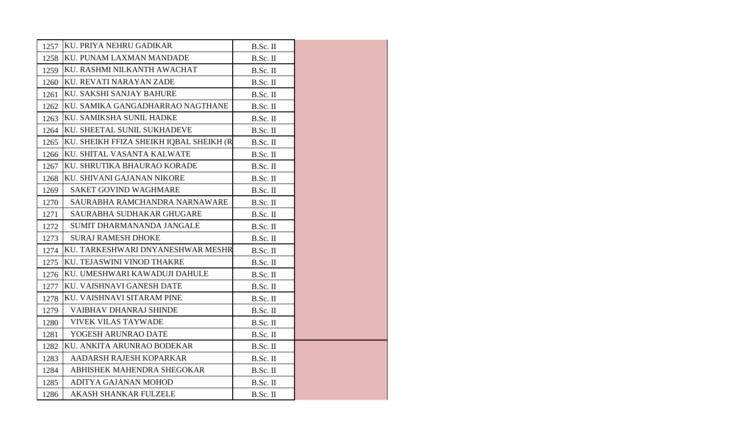| 1257 | KU. PRIYA NEHRU GADIKAR                 | B.Sc. II   |  |
|------|-----------------------------------------|------------|--|
| 1258 | <b>KU. PUNAM LAXMAN MANDADE</b>         | B.Sc. II   |  |
| 1259 | KU. RASHMI NILKANTH AWACHAT             | $B.Sc.$ II |  |
| 1260 | KU. REVATI NARAYAN ZADE                 | B.Sc. II   |  |
| 1261 | KU. SAKSHI SANJAY BAHURE                | B.Sc. II   |  |
| 1262 | KU. SAMIKA GANGADHARRAO NAGTHANE        | B.Sc. II   |  |
| 1263 | KU. SAMIKSHA SUNIL HADKE                | $B.Sc.$ II |  |
| 1264 | KU. SHEETAL SUNIL SUKHADEVE             | B.Sc. II   |  |
| 1265 | KU. SHEIKH FFIZA SHEIKH IQBAL SHEIKH (R | B.Sc. II   |  |
| 1266 | KU. SHITAL VASANTA KALWATE              | B.Sc. II   |  |
| 1267 | KU. SHRUTIKA BHAURAO KORADE             | $B.Sc.$ II |  |
| 1268 | KU. SHIVANI GAJANAN NIKORE              | B.Sc. II   |  |
| 1269 | <b>SAKET GOVIND WAGHMARE</b>            | B.Sc. II   |  |
| 1270 | SAURABHA RAMCHANDRA NARNAWARE           | B.Sc. II   |  |
| 1271 | SAURABHA SUDHAKAR GHUGARE               | B.Sc. II   |  |
| 1272 | SUMIT DHARMANANDA JANGALE               | B.Sc. II   |  |
| 1273 | <b>SURAJ RAMESH DHOKE</b>               | $B.Sc.$ II |  |
| 1274 | KU. TARKESHWARI DNYANESHWAR MESHR       | $B.Sc.$ II |  |
| 1275 | KU. TEJASWINI VINOD THAKRE              | B.Sc. II   |  |
| 1276 | KU. UMESHWARI KAWADUJI DAHULE           | B.Sc. II   |  |
| 1277 | KU. VAISHNAVI GANESH DATE               | B.Sc. II   |  |
| 1278 | KU. VAISHNAVI SITARAM PINE              | B.Sc. II   |  |
| 1279 | <b>VAIBHAV DHANRAJ SHINDE</b>           | $B.Sc.$ II |  |
| 1280 | <b>VIVEK VILAS TAYWADE</b>              | B.Sc. II   |  |
| 1281 | YOGESH ARUNRAO DATE                     | B.Sc. II   |  |
| 1282 | KU. ANKITA ARUNRAO BODEKAR              | B.Sc. II   |  |
| 1283 | AADARSH RAJESH KOPARKAR                 | B.Sc. II   |  |
| 1284 | ABHISHEK MAHENDRA SHEGOKAR              | B.Sc. II   |  |
| 1285 | ADITYA GAJANAN MOHOD                    | B.Sc. II   |  |
| 1286 | <b>AKASH SHANKAR FULZELE</b>            | B.Sc. II   |  |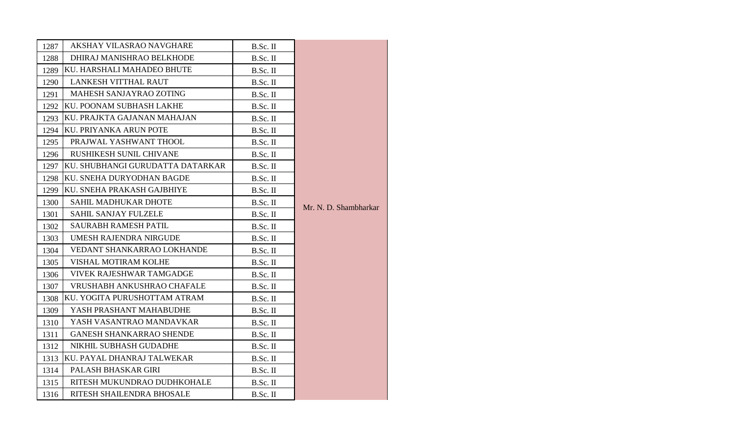| 1287 | AKSHAY VILASRAO NAVGHARE         | B.Sc. II   |                       |
|------|----------------------------------|------------|-----------------------|
| 1288 | DHIRAJ MANISHRAO BELKHODE        | B.Sc. II   |                       |
| 1289 | KU. HARSHALI MAHADEO BHUTE       | B.Sc. II   |                       |
| 1290 | LANKESH VITTHAL RAUT             | B.Sc. II   |                       |
| 1291 | MAHESH SANJAYRAO ZOTING          | B.Sc. II   |                       |
|      | 1292 KU. POONAM SUBHASH LAKHE    | B.Sc. II   |                       |
| 1293 | KU. PRAJKTA GAJANAN MAHAJAN      | $B.Sc.$ II |                       |
|      | 1294 KU. PRIYANKA ARUN POTE      | B.Sc. II   |                       |
| 1295 | PRAJWAL YASHWANT THOOL           | B.Sc. II   |                       |
| 1296 | RUSHIKESH SUNIL CHIVANE          | B.Sc. II   |                       |
| 1297 | KU. SHUBHANGI GURUDATTA DATARKAR | B.Sc. II   |                       |
| 1298 | KU. SNEHA DURYODHAN BAGDE        | B.Sc. II   |                       |
| 1299 | KU. SNEHA PRAKASH GAJBHIYE       | B.Sc. II   |                       |
| 1300 | <b>SAHIL MADHUKAR DHOTE</b>      | B.Sc. II   | Mr. N. D. Shambharkar |
| 1301 | SAHIL SANJAY FULZELE             | B.Sc. II   |                       |
| 1302 | <b>SAURABH RAMESH PATIL</b>      | B.Sc. II   |                       |
| 1303 | <b>UMESH RAJENDRA NIRGUDE</b>    | B.Sc. II   |                       |
| 1304 | VEDANT SHANKARRAO LOKHANDE       | B.Sc. II   |                       |
| 1305 | VISHAL MOTIRAM KOLHE             | B.Sc. II   |                       |
| 1306 | <b>VIVEK RAJESHWAR TAMGADGE</b>  | B.Sc. II   |                       |
| 1307 | VRUSHABH ANKUSHRAO CHAFALE       | B.Sc. II   |                       |
| 1308 | KU. YOGITA PURUSHOTTAM ATRAM     | B.Sc. II   |                       |
| 1309 | YASH PRASHANT MAHABUDHE          | B.Sc. II   |                       |
| 1310 | YASH VASANTRAO MANDAVKAR         | B.Sc. II   |                       |
| 1311 | <b>GANESH SHANKARRAO SHENDE</b>  | B.Sc. II   |                       |
| 1312 | NIKHIL SUBHASH GUDADHE           | B.Sc. II   |                       |
| 1313 | KU. PAYAL DHANRAJ TALWEKAR       | B.Sc. II   |                       |
| 1314 | PALASH BHASKAR GIRI              | B.Sc. II   |                       |
| 1315 | RITESH MUKUNDRAO DUDHKOHALE      | $B.Sc.$ II |                       |
| 1316 | RITESH SHAILENDRA BHOSALE        | B.Sc. II   |                       |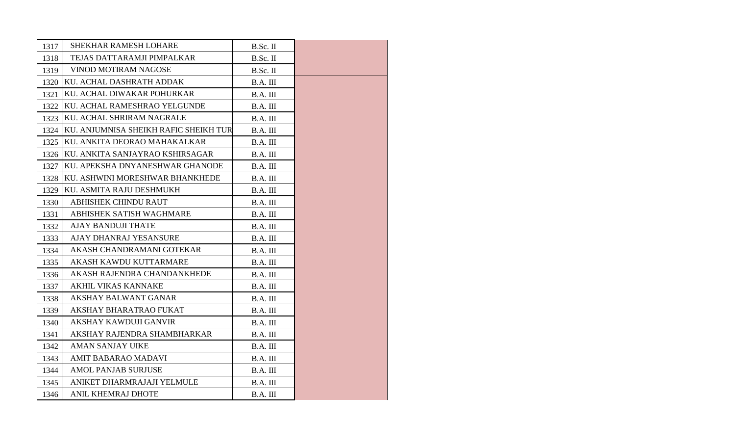| 1317 | <b>SHEKHAR RAMESH LOHARE</b>            | B.Sc. II |  |
|------|-----------------------------------------|----------|--|
| 1318 | TEJAS DATTARAMJI PIMPALKAR              | B.Sc. II |  |
| 1319 | <b>VINOD MOTIRAM NAGOSE</b>             | B.Sc. II |  |
| 1320 | KU. ACHAL DASHRATH ADDAK                | B.A. III |  |
| 1321 | KU. ACHAL DIWAKAR POHURKAR              | B.A. III |  |
| 1322 | KU. ACHAL RAMESHRAO YELGUNDE            | B.A. III |  |
| 1323 | KU. ACHAL SHRIRAM NAGRALE               | B.A. III |  |
| 1324 | KU. ANJUMNISA SHEIKH RAFIC SHEIKH TUR   | B.A. III |  |
| 1325 | IKU. ANKITA DEORAO MAHAKALKAR           | B.A. III |  |
| 1326 | KU. ANKITA SANJAYRAO KSHIRSAGAR         | B.A. III |  |
| 1327 | KU. APEKSHA DNYANESHWAR GHANODE         | B.A. III |  |
| 1328 | <b>IKU. ASHWINI MORESHWAR BHANKHEDE</b> | B.A. III |  |
| 1329 | KU. ASMITA RAJU DESHMUKH                | B.A. III |  |
| 1330 | <b>ABHISHEK CHINDU RAUT</b>             | B.A. III |  |
| 1331 | ABHISHEK SATISH WAGHMARE                | B.A. III |  |
| 1332 | <b>AJAY BANDUJI THATE</b>               | B.A. III |  |
| 1333 | AJAY DHANRAJ YESANSURE                  | B.A. III |  |
| 1334 | AKASH CHANDRAMANI GOTEKAR               | B.A. III |  |
| 1335 | AKASH KAWDU KUTTARMARE                  | B.A. III |  |
| 1336 | AKASH RAJENDRA CHANDANKHEDE             | B.A. III |  |
| 1337 | <b>AKHIL VIKAS KANNAKE</b>              | B.A. III |  |
| 1338 | <b>AKSHAY BALWANT GANAR</b>             | B.A. III |  |
| 1339 | AKSHAY BHARATRAO FUKAT                  | B.A. III |  |
| 1340 | AKSHAY KAWDUJI GANVIR                   | B.A. III |  |
| 1341 | AKSHAY RAJENDRA SHAMBHARKAR             | B.A. III |  |
| 1342 | <b>AMAN SANJAY UIKE</b>                 | B.A. III |  |
| 1343 | <b>AMIT BABARAO MADAVI</b>              | B.A. III |  |
| 1344 | <b>AMOL PANJAB SURJUSE</b>              | B.A. III |  |
| 1345 | ANIKET DHARMRAJAJI YELMULE              | B.A. III |  |
| 1346 | <b>ANIL KHEMRAJ DHOTE</b>               | B.A. III |  |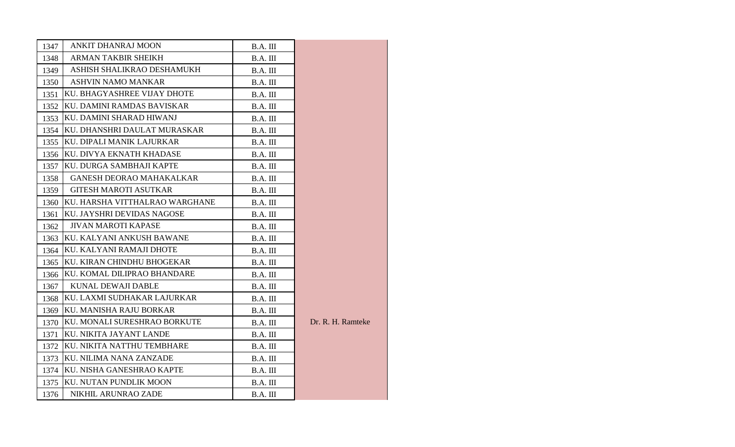| 1347 | ANKIT DHANRAJ MOON              | B.A. III |                   |
|------|---------------------------------|----------|-------------------|
| 1348 | <b>ARMAN TAKBIR SHEIKH</b>      | B.A. III |                   |
| 1349 | ASHISH SHALIKRAO DESHAMUKH      | B.A. III |                   |
| 1350 | <b>ASHVIN NAMO MANKAR</b>       | B.A. III |                   |
| 1351 | KU. BHAGYASHREE VIJAY DHOTE     | B.A. III |                   |
| 1352 | KU. DAMINI RAMDAS BAVISKAR      | B.A. III |                   |
| 1353 | KU. DAMINI SHARAD HIWANJ        | B.A. III |                   |
| 1354 | KU. DHANSHRI DAULAT MURASKAR    | B.A. III |                   |
| 1355 | KU. DIPALI MANIK LAJURKAR       | B.A. III |                   |
| 1356 | KU. DIVYA EKNATH KHADASE        | B.A. III |                   |
| 1357 | KU. DURGA SAMBHAJI KAPTE        | B.A. III |                   |
| 1358 | <b>GANESH DEORAO MAHAKALKAR</b> | B.A. III |                   |
| 1359 | <b>GITESH MAROTI ASUTKAR</b>    | B.A. III |                   |
| 1360 | KU. HARSHA VITTHALRAO WARGHANE  | B.A. III |                   |
| 1361 | KU. JAYSHRI DEVIDAS NAGOSE      | B.A. III |                   |
| 1362 | <b>JIVAN MAROTI KAPASE</b>      | B.A. III |                   |
| 1363 | KU. KALYANI ANKUSH BAWANE       | B.A. III |                   |
| 1364 | KU. KALYANI RAMAJI DHOTE        | B.A. III |                   |
| 1365 | KU. KIRAN CHINDHU BHOGEKAR      | B.A. III |                   |
| 1366 | KU. KOMAL DILIPRAO BHANDARE     | B.A. III |                   |
| 1367 | <b>KUNAL DEWAJI DABLE</b>       | B.A. III |                   |
| 1368 | KU. LAXMI SUDHAKAR LAJURKAR     | B.A. III |                   |
| 1369 | KU. MANISHA RAJU BORKAR         | B.A. III |                   |
| 1370 | KU. MONALI SURESHRAO BORKUTE    | B.A. III | Dr. R. H. Ramteke |
| 1371 | KU. NIKITA JAYANT LANDE         | B.A. III |                   |
| 1372 | KU. NIKITA NATTHU TEMBHARE      | B.A. III |                   |
| 1373 | KU. NILIMA NANA ZANZADE         | B.A. III |                   |
| 1374 | KU. NISHA GANESHRAO KAPTE       | B.A. III |                   |
| 1375 | KU. NUTAN PUNDLIK MOON          | B.A. III |                   |
| 1376 | NIKHIL ARUNRAO ZADE             | B.A. III |                   |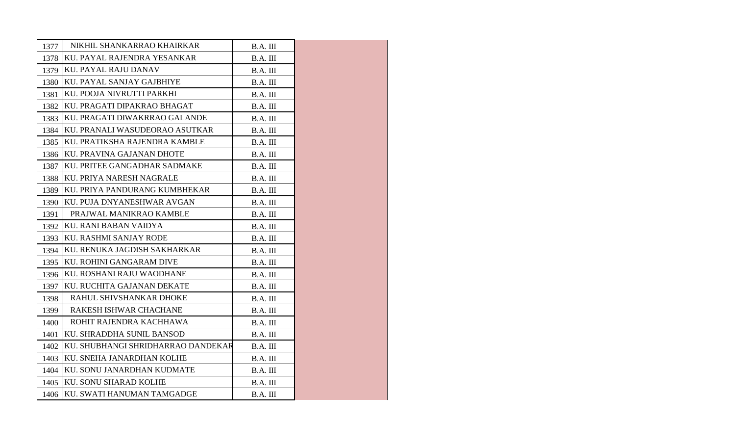| 1377 | NIKHIL SHANKARRAO KHAIRKAR         | B.A. III |  |
|------|------------------------------------|----------|--|
| 1378 | KU. PAYAL RAJENDRA YESANKAR        | B.A. III |  |
| 1379 | <b>KU. PAYAL RAJU DANAV</b>        | B.A. III |  |
| 1380 | KU. PAYAL SANJAY GAJBHIYE          | B.A. III |  |
| 1381 | KU. POOJA NIVRUTTI PARKHI          | B.A. III |  |
| 1382 | KU. PRAGATI DIPAKRAO BHAGAT        | B.A. III |  |
| 1383 | KU. PRAGATI DIWAKRRAO GALANDE      | B.A. III |  |
| 1384 | KU. PRANALI WASUDEORAO ASUTKAR     | B.A. III |  |
| 1385 | KU. PRATIKSHA RAJENDRA KAMBLE      | B.A. III |  |
| 1386 | KU. PRAVINA GAJANAN DHOTE          | B.A. III |  |
| 1387 | KU. PRITEE GANGADHAR SADMAKE       | B.A. III |  |
| 1388 | KU. PRIYA NARESH NAGRALE           | B.A. III |  |
| 1389 | KU. PRIYA PANDURANG KUMBHEKAR      | B.A. III |  |
| 1390 | KU. PUJA DNYANESHWAR AVGAN         | B.A. III |  |
| 1391 | PRAJWAL MANIKRAO KAMBLE            | B.A. III |  |
| 1392 | KU. RANI BABAN VAIDYA              | B.A. III |  |
| 1393 | <b>KU. RASHMI SANJAY RODE</b>      | B.A. III |  |
| 1394 | KU. RENUKA JAGDISH SAKHARKAR       | B.A. III |  |
| 1395 | KU. ROHINI GANGARAM DIVE           | B.A. III |  |
| 1396 | KU. ROSHANI RAJU WAODHANE          | B.A. III |  |
| 1397 | KU. RUCHITA GAJANAN DEKATE         | B.A. III |  |
| 1398 | RAHUL SHIVSHANKAR DHOKE            | B.A. III |  |
| 1399 | RAKESH ISHWAR CHACHANE             | B.A. III |  |
| 1400 | ROHIT RAJENDRA KACHHAWA            | B.A. III |  |
| 1401 | KU. SHRADDHA SUNIL BANSOD          | B.A. III |  |
| 1402 | KU. SHUBHANGI SHRIDHARRAO DANDEKAR | B.A. III |  |
| 1403 | KU. SNEHA JANARDHAN KOLHE          | B.A. III |  |
| 1404 | KU. SONU JANARDHAN KUDMATE         | B.A. III |  |
|      | 1405 KU. SONU SHARAD KOLHE         | B.A. III |  |
|      | 1406 KU. SWATI HANUMAN TAMGADGE    | B.A. III |  |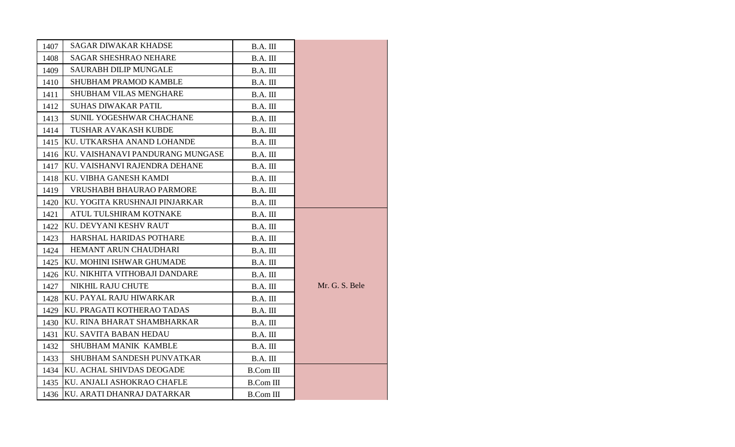| 1407 | <b>SAGAR DIWAKAR KHADSE</b>      | B.A. III         |                |
|------|----------------------------------|------------------|----------------|
| 1408 | <b>SAGAR SHESHRAO NEHARE</b>     | B.A. III         |                |
| 1409 | <b>SAURABH DILIP MUNGALE</b>     | B.A. III         |                |
| 1410 | SHUBHAM PRAMOD KAMBLE            | B.A. III         |                |
| 1411 | <b>SHUBHAM VILAS MENGHARE</b>    | B.A. III         |                |
| 1412 | <b>SUHAS DIWAKAR PATIL</b>       | B.A. III         |                |
| 1413 | SUNIL YOGESHWAR CHACHANE         | B.A. III         |                |
| 1414 | TUSHAR AVAKASH KUBDE             | B.A. III         |                |
| 1415 | KU. UTKARSHA ANAND LOHANDE       | B.A. III         |                |
| 1416 | KU. VAISHANAVI PANDURANG MUNGASE | B.A. III         |                |
| 1417 | KU. VAISHANVI RAJENDRA DEHANE    | B.A. III         |                |
| 1418 | KU. VIBHA GANESH KAMDI           | B.A. III         |                |
| 1419 | <b>VRUSHABH BHAURAO PARMORE</b>  | B.A. III         |                |
| 1420 | KU. YOGITA KRUSHNAJI PINJARKAR   | B.A. III         |                |
| 1421 | ATUL TULSHIRAM KOTNAKE           | B.A. III         |                |
| 1422 | KU. DEVYANI KESHV RAUT           | B.A. III         |                |
| 1423 | <b>HARSHAL HARIDAS POTHARE</b>   | B.A. III         |                |
| 1424 | HEMANT ARUN CHAUDHARI            | B.A. III         |                |
| 1425 | KU. MOHINI ISHWAR GHUMADE        | B.A. III         |                |
| 1426 | KU. NIKHITA VITHOBAJI DANDARE    | B.A. III         |                |
| 1427 | NIKHIL RAJU CHUTE                | B.A. III         | Mr. G. S. Bele |
| 1428 | KU. PAYAL RAJU HIWARKAR          | B.A. III         |                |
| 1429 | KU. PRAGATI KOTHERAO TADAS       | B.A. III         |                |
| 1430 | KU. RINA BHARAT SHAMBHARKAR      | B.A. III         |                |
| 1431 | <b>KU. SAVITA BABAN HEDAU</b>    | B.A. III         |                |
| 1432 | SHUBHAM MANIK KAMBLE             | B.A. III         |                |
| 1433 | SHUBHAM SANDESH PUNVATKAR        | B.A. III         |                |
| 1434 | KU. ACHAL SHIVDAS DEOGADE        | <b>B.Com III</b> |                |
| 1435 | KU. ANJALI ASHOKRAO CHAFLE       | <b>B.Com III</b> |                |
| 1436 | KU. ARATI DHANRAJ DATARKAR       | <b>B.Com III</b> |                |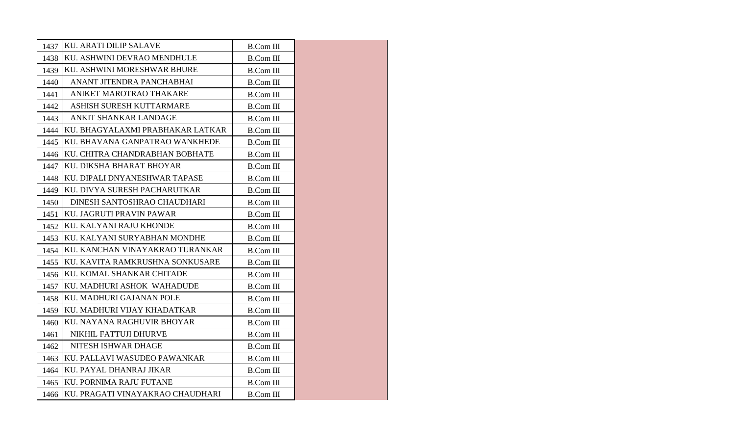| 1437 | KU. ARATI DILIP SALAVE           | <b>B.Com III</b> |
|------|----------------------------------|------------------|
| 1438 | KU. ASHWINI DEVRAO MENDHULE      | <b>B.Com III</b> |
| 1439 | KU. ASHWINI MORESHWAR BHURE      | <b>B.Com III</b> |
| 1440 | ANANT JITENDRA PANCHABHAI        | <b>B.Com III</b> |
| 1441 | ANIKET MAROTRAO THAKARE          | <b>B.Com III</b> |
| 1442 | ASHISH SURESH KUTTARMARE         | <b>B.Com III</b> |
| 1443 | ANKIT SHANKAR LANDAGE            | B.Com III        |
| 1444 | KU. BHAGYALAXMI PRABHAKAR LATKAR | <b>B.Com III</b> |
| 1445 | KU. BHAVANA GANPATRAO WANKHEDE   | <b>B.Com III</b> |
| 1446 | KU. CHITRA CHANDRABHAN BOBHATE   | <b>B.Com III</b> |
| 1447 | KU. DIKSHA BHARAT BHOYAR         | <b>B.Com III</b> |
| 1448 | KU. DIPALI DNYANESHWAR TAPASE    | <b>B.Com III</b> |
| 1449 | KU. DIVYA SURESH PACHARUTKAR     | <b>B.Com III</b> |
| 1450 | DINESH SANTOSHRAO CHAUDHARI      | <b>B.Com III</b> |
| 1451 | KU. JAGRUTI PRAVIN PAWAR         | <b>B.Com III</b> |
| 1452 | KU. KALYANI RAJU KHONDE          | <b>B.Com III</b> |
| 1453 | KU. KALYANI SURYABHAN MONDHE     | <b>B.Com III</b> |
| 1454 | KU. KANCHAN VINAYAKRAO TURANKAR  | <b>B.Com III</b> |
| 1455 | KU. KAVITA RAMKRUSHNA SONKUSARE  | <b>B.Com III</b> |
| 1456 | KU. KOMAL SHANKAR CHITADE        | <b>B.Com III</b> |
| 1457 | KU. MADHURI ASHOK WAHADUDE       | <b>B.Com III</b> |
| 1458 | KU. MADHURI GAJANAN POLE         | <b>B.Com III</b> |
| 1459 | KU. MADHURI VIJAY KHADATKAR      | <b>B.Com III</b> |
| 1460 | KU. NAYANA RAGHUVIR BHOYAR       | <b>B.Com III</b> |
| 1461 | NIKHIL FATTUJI DHURVE            | <b>B.Com III</b> |
| 1462 | NITESH ISHWAR DHAGE              | <b>B.Com III</b> |
| 1463 | KU. PALLAVI WASUDEO PAWANKAR     | <b>B.Com III</b> |
| 1464 | KU. PAYAL DHANRAJ JIKAR          | <b>B.Com III</b> |
| 1465 | <b>KU. PORNIMA RAJU FUTANE</b>   | <b>B.Com III</b> |
| 1466 | KU. PRAGATI VINAYAKRAO CHAUDHARI | <b>B.Com III</b> |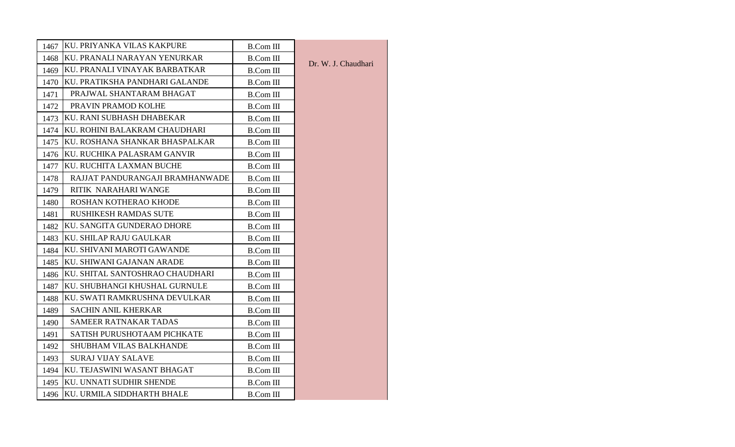| 1467 | KU. PRIYANKA VILAS KAKPURE      | <b>B.Com III</b> |                     |
|------|---------------------------------|------------------|---------------------|
| 1468 | KU. PRANALI NARAYAN YENURKAR    | <b>B.Com III</b> | Dr. W. J. Chaudhari |
| 1469 | KU. PRANALI VINAYAK BARBATKAR   | <b>B.Com III</b> |                     |
| 1470 | KU. PRATIKSHA PANDHARI GALANDE  | <b>B.Com III</b> |                     |
| 1471 | PRAJWAL SHANTARAM BHAGAT        | <b>B.Com III</b> |                     |
| 1472 | PRAVIN PRAMOD KOLHE             | <b>B.Com III</b> |                     |
| 1473 | KU. RANI SUBHASH DHABEKAR       | <b>B.Com III</b> |                     |
| 1474 | KU. ROHINI BALAKRAM CHAUDHARI   | <b>B.Com III</b> |                     |
| 1475 | KU. ROSHANA SHANKAR BHASPALKAR  | <b>B.Com III</b> |                     |
| 1476 | KU. RUCHIKA PALASRAM GANVIR     | <b>B.Com III</b> |                     |
| 1477 | KU. RUCHITA LAXMAN BUCHE        | <b>B.Com III</b> |                     |
| 1478 | RAJJAT PANDURANGAJI BRAMHANWADE | <b>B.Com III</b> |                     |
| 1479 | RITIK NARAHARI WANGE            | <b>B.Com III</b> |                     |
| 1480 | ROSHAN KOTHERAO KHODE           | <b>B.Com III</b> |                     |
| 1481 | <b>RUSHIKESH RAMDAS SUTE</b>    | <b>B.Com III</b> |                     |
| 1482 | KU. SANGITA GUNDERAO DHORE      | <b>B.Com III</b> |                     |
| 1483 | KU. SHILAP RAJU GAULKAR         | <b>B.Com III</b> |                     |
| 1484 | KU. SHIVANI MAROTI GAWANDE      | <b>B.Com III</b> |                     |
| 1485 | KU, SHIWANI GAJANAN ARADE       | <b>B.Com III</b> |                     |
| 1486 | KU. SHITAL SANTOSHRAO CHAUDHARI | <b>B.Com III</b> |                     |
| 1487 | KU. SHUBHANGI KHUSHAL GURNULE   | <b>B.Com III</b> |                     |
| 1488 | KU. SWATI RAMKRUSHNA DEVULKAR   | <b>B.Com III</b> |                     |
| 1489 | <b>SACHIN ANIL KHERKAR</b>      | <b>B.Com III</b> |                     |
| 1490 | SAMEER RATNAKAR TADAS           | <b>B.Com III</b> |                     |
| 1491 | SATISH PURUSHOTAAM PICHKATE     | <b>B.Com III</b> |                     |
| 1492 | <b>SHUBHAM VILAS BALKHANDE</b>  | <b>B.Com III</b> |                     |
| 1493 | <b>SURAJ VIJAY SALAVE</b>       | <b>B.Com III</b> |                     |
| 1494 | KU. TEJASWINI WASANT BHAGAT     | <b>B.Com III</b> |                     |
| 1495 | KU. UNNATI SUDHIR SHENDE        | <b>B.Com III</b> |                     |
|      | 1496 KU. URMILA SIDDHARTH BHALE | <b>B.Com III</b> |                     |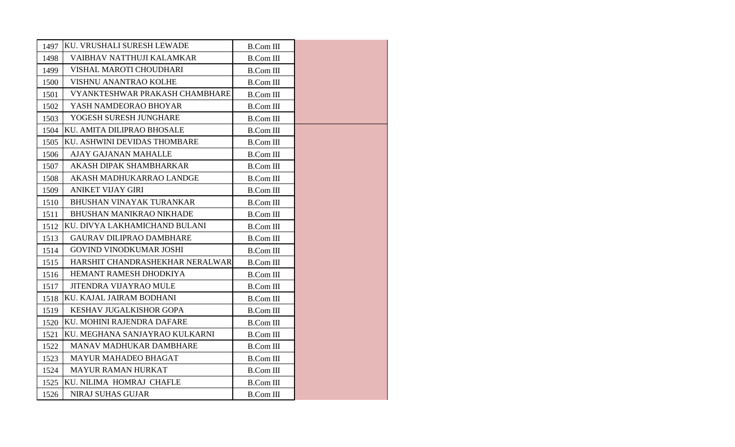| 1497 | <b>KU. VRUSHALI SURESH LEWADE</b> | <b>B.Com III</b> |  |
|------|-----------------------------------|------------------|--|
| 1498 | VAIBHAV NATTHUJI KALAMKAR         | <b>B.Com III</b> |  |
| 1499 | VISHAL MAROTI CHOUDHARI           | <b>B.Com III</b> |  |
| 1500 | VISHNU ANANTRAO KOLHE             | <b>B.Com III</b> |  |
| 1501 | VYANKTESHWAR PRAKASH CHAMBHARE    | <b>B.Com III</b> |  |
| 1502 | YASH NAMDEORAO BHOYAR             | <b>B.Com III</b> |  |
| 1503 | YOGESH SURESH JUNGHARE            | <b>B.Com III</b> |  |
| 1504 | KU. AMITA DILIPRAO BHOSALE        | <b>B.Com III</b> |  |
| 1505 | KU. ASHWINI DEVIDAS THOMBARE      | <b>B.Com III</b> |  |
| 1506 | AJAY GAJANAN MAHALLE              | <b>B.Com III</b> |  |
| 1507 | AKASH DIPAK SHAMBHARKAR           | <b>B.Com III</b> |  |
| 1508 | AKASH MADHUKARRAO LANDGE          | <b>B.Com III</b> |  |
| 1509 | <b>ANIKET VIJAY GIRI</b>          | <b>B.Com III</b> |  |
| 1510 | <b>BHUSHAN VINAYAK TURANKAR</b>   | <b>B.Com III</b> |  |
| 1511 | BHUSHAN MANIKRAO NIKHADE          | <b>B.Com III</b> |  |
| 1512 | KU. DIVYA LAKHAMICHAND BULANI     | <b>B.Com III</b> |  |
| 1513 | <b>GAURAV DILIPRAO DAMBHARE</b>   | <b>B.Com III</b> |  |
| 1514 | <b>GOVIND VINODKUMAR JOSHI</b>    | <b>B.Com III</b> |  |
| 1515 | HARSHIT CHANDRASHEKHAR NERALWAR   | <b>B.Com III</b> |  |
| 1516 | HEMANT RAMESH DHODKIYA            | <b>B.Com III</b> |  |
| 1517 | <b>JITENDRA VIJAYRAO MULE</b>     | <b>B.Com III</b> |  |
| 1518 | KU. KAJAL JAIRAM BODHANI          | <b>B.Com III</b> |  |
| 1519 | KESHAV JUGALKISHOR GOPA           | <b>B.Com III</b> |  |
| 1520 | KU. MOHINI RAJENDRA DAFARE        | <b>B.Com III</b> |  |
| 1521 | KU. MEGHANA SANJAYRAO KULKARNI    | <b>B.Com III</b> |  |
| 1522 | MANAV MADHUKAR DAMBHARE           | <b>B.Com III</b> |  |
| 1523 | MAYUR MAHADEO BHAGAT              | <b>B.Com III</b> |  |
| 1524 | <b>MAYUR RAMAN HURKAT</b>         | <b>B.Com III</b> |  |
| 1525 | KU. NILIMA HOMRAJ CHAFLE          | <b>B.Com III</b> |  |
| 1526 | <b>NIRAJ SUHAS GUJAR</b>          | <b>B.Com III</b> |  |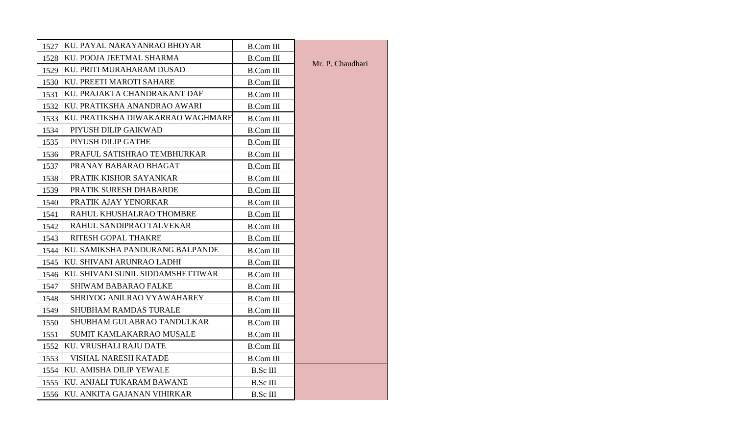| 1527 | <b>KU. PAYAL NARAYANRAO BHOYAR</b> | <b>B.Com III</b> |                  |
|------|------------------------------------|------------------|------------------|
| 1528 | KU. POOJA JEETMAL SHARMA           | <b>B.Com III</b> |                  |
| 1529 | KU. PRITI MURAHARAM DUSAD          | <b>B.Com III</b> | Mr. P. Chaudhari |
| 1530 | KU. PREETI MAROTI SAHARE           | <b>B.Com III</b> |                  |
| 1531 | KU. PRAJAKTA CHANDRAKANT DAF       | <b>B.Com III</b> |                  |
| 1532 | KU. PRATIKSHA ANANDRAO AWARI       | <b>B.Com III</b> |                  |
| 1533 | KU. PRATIKSHA DIWAKARRAO WAGHMARE  | <b>B.Com III</b> |                  |
| 1534 | PIYUSH DILIP GAIKWAD               | <b>B.Com III</b> |                  |
| 1535 | PIYUSH DILIP GATHE                 | <b>B.Com III</b> |                  |
| 1536 | PRAFUL SATISHRAO TEMBHURKAR        | <b>B.Com III</b> |                  |
| 1537 | PRANAY BABARAO BHAGAT              | <b>B.Com III</b> |                  |
| 1538 | PRATIK KISHOR SAYANKAR             | <b>B.Com III</b> |                  |
| 1539 | PRATIK SURESH DHABARDE             | <b>B.Com III</b> |                  |
| 1540 | PRATIK AJAY YENORKAR               | <b>B.Com III</b> |                  |
| 1541 | RAHUL KHUSHALRAO THOMBRE           | <b>B.Com III</b> |                  |
| 1542 | RAHUL SANDIPRAO TALVEKAR           | <b>B.Com III</b> |                  |
| 1543 | RITESH GOPAL THAKRE                | <b>B.Com III</b> |                  |
| 1544 | KU. SAMIKSHA PANDURANG BALPANDE    | <b>B.Com III</b> |                  |
| 1545 | KU. SHIVANI ARUNRAO LADHI          | <b>B.Com III</b> |                  |
| 1546 | KU. SHIVANI SUNIL SIDDAMSHETTIWAR  | <b>B.Com III</b> |                  |
| 1547 | <b>SHIWAM BABARAO FALKE</b>        | <b>B.Com III</b> |                  |
| 1548 | SHRIYOG ANILRAO VYAWAHAREY         | <b>B.Com III</b> |                  |
| 1549 | <b>SHUBHAM RAMDAS TURALE</b>       | <b>B.Com III</b> |                  |
| 1550 | SHUBHAM GULABRAO TANDULKAR         | <b>B.Com III</b> |                  |
| 1551 | SUMIT KAMLAKARRAO MUSALE           | <b>B.Com III</b> |                  |
| 1552 | <b>KU. VRUSHALI RAJU DATE</b>      | <b>B.Com III</b> |                  |
| 1553 | VISHAL NARESH KATADE               | <b>B.Com III</b> |                  |
| 1554 | <b>KU. AMISHA DILIP YEWALE</b>     | B.Sc III         |                  |
| 1555 | KU. ANJALI TUKARAM BAWANE          | B.Sc III         |                  |
| 1556 | KU. ANKITA GAJANAN VIHIRKAR        | <b>B.Sc III</b>  |                  |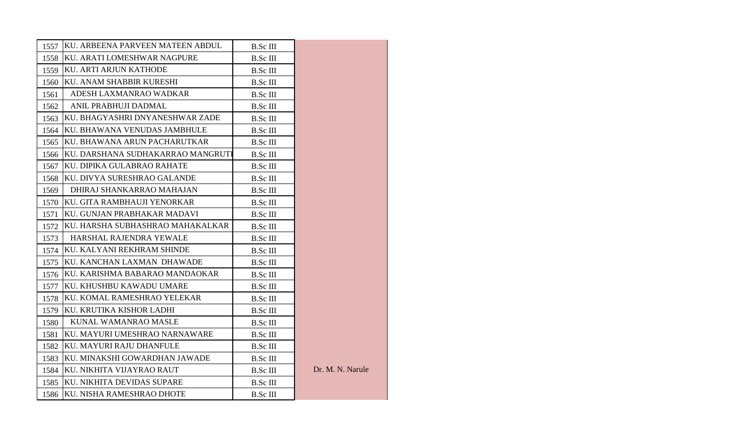| 1557 | KU. ARBEENA PARVEEN MATEEN ABDUL  | <b>B.Sc III</b> |                  |
|------|-----------------------------------|-----------------|------------------|
| 1558 | KU. ARATI LOMESHWAR NAGPURE       | B.Sc III        |                  |
| 1559 | KU. ARTI ARJUN KATHODE            | B.Sc III        |                  |
| 1560 | KU. ANAM SHABBIR KURESHI          | <b>B.Sc III</b> |                  |
| 1561 | ADESH LAXMANRAO WADKAR            | B.Sc III        |                  |
| 1562 | ANIL PRABHUJI DADMAL              | B.Sc III        |                  |
| 1563 | KU. BHAGYASHRI DNYANESHWAR ZADE   | B.Sc III        |                  |
| 1564 | KU. BHAWANA VENUDAS JAMBHULE      | B.Sc III        |                  |
| 1565 | KU. BHAWANA ARUN PACHARUTKAR      | B.Sc III        |                  |
| 1566 | KU. DARSHANA SUDHAKARRAO MANGRUTI | <b>B.Sc III</b> |                  |
| 1567 | KU. DIPIKA GULABRAO RAHATE        | B.Sc III        |                  |
| 1568 | KU. DIVYA SURESHRAO GALANDE       | <b>B.Sc III</b> |                  |
| 1569 | DHIRAJ SHANKARRAO MAHAJAN         | B.Sc III        |                  |
| 1570 | KU. GITA RAMBHAUJI YENORKAR       | <b>B.Sc III</b> |                  |
| 1571 | KU. GUNJAN PRABHAKAR MADAVI       | B.Sc III        |                  |
| 1572 | KU. HARSHA SUBHASHRAO MAHAKALKAR  | <b>B.Sc III</b> |                  |
| 1573 | HARSHAL RAJENDRA YEWALE           | B.Sc III        |                  |
| 1574 | KU. KALYANI REKHRAM SHINDE        | B.Sc III        |                  |
| 1575 | KU. KANCHAN LAXMAN DHAWADE        | <b>B.Sc III</b> |                  |
| 1576 | KU. KARISHMA BABARAO MANDAOKAR    | <b>B.Sc III</b> |                  |
| 1577 | KU. KHUSHBU KAWADU UMARE          | <b>B.Sc III</b> |                  |
| 1578 | KU. KOMAL RAMESHRAO YELEKAR       | <b>B.Sc III</b> |                  |
| 1579 | KU. KRUTIKA KISHOR LADHI          | B.Sc III        |                  |
| 1580 | KUNAL WAMANRAO MASLE              | <b>B.Sc III</b> |                  |
| 1581 | KU. MAYURI UMESHRAO NARNAWARE     | <b>B.Sc III</b> |                  |
| 1582 | KU. MAYURI RAJU DHANFULE          | <b>B.Sc III</b> |                  |
| 1583 | KU. MINAKSHI GOWARDHAN JAWADE     | B.Sc III        |                  |
| 1584 | KU. NIKHITA VIJAYRAO RAUT         | <b>B.Sc III</b> | Dr. M. N. Narule |
| 1585 | KU. NIKHITA DEVIDAS SUPARE        | <b>B.Sc III</b> |                  |
| 1586 | KU. NISHA RAMESHRAO DHOTE         | <b>B.Sc III</b> |                  |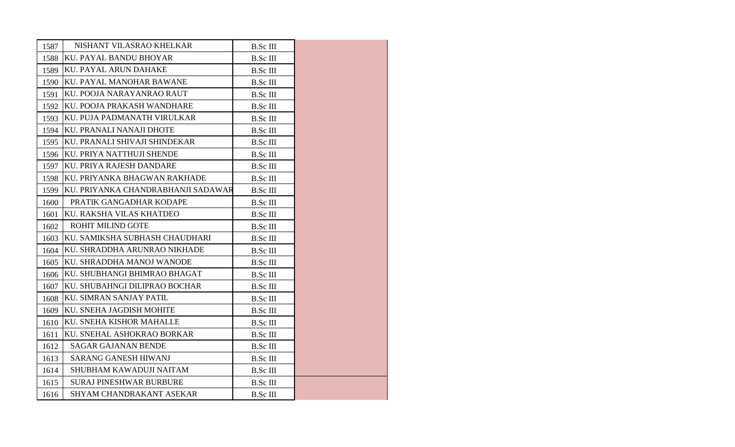| 1587 | NISHANT VILASRAO KHELKAR           | <b>B.Sc III</b> |  |
|------|------------------------------------|-----------------|--|
| 1588 | KU. PAYAL BANDU BHOYAR             | <b>B.Sc III</b> |  |
| 1589 | <b>KU. PAYAL ARUN DAHAKE</b>       | <b>B.Sc III</b> |  |
| 1590 | KU. PAYAL MANOHAR BAWANE           | <b>B.Sc III</b> |  |
| 1591 | KU. POOJA NARAYANRAO RAUT          | <b>B.Sc III</b> |  |
| 1592 | KU. POOJA PRAKASH WANDHARE         | <b>B.Sc III</b> |  |
| 1593 | KU. PUJA PADMANATH VIRULKAR        | <b>B.Sc III</b> |  |
| 1594 | KU. PRANALI NANAJI DHOTE           | <b>B.Sc III</b> |  |
| 1595 | KU. PRANALI SHIVAJI SHINDEKAR      | <b>B.Sc III</b> |  |
| 1596 | KU. PRIYA NATTHUJI SHENDE          | <b>B.Sc III</b> |  |
| 1597 | KU. PRIYA RAJESH DANDARE           | <b>B.Sc III</b> |  |
| 1598 | KU. PRIYANKA BHAGWAN RAKHADE       | <b>B.Sc III</b> |  |
| 1599 | KU. PRIYANKA CHANDRABHANJI SADAWAR | B.Sc III        |  |
| 1600 | PRATIK GANGADHAR KODAPE            | <b>B.Sc III</b> |  |
| 1601 | KU. RAKSHA VILAS KHATDEO           | <b>B.Sc III</b> |  |
| 1602 | ROHIT MILIND GOTE                  | <b>B.Sc III</b> |  |
| 1603 | KU. SAMIKSHA SUBHASH CHAUDHARI     | <b>B.Sc III</b> |  |
| 1604 | KU. SHRADDHA ARUNRAO NIKHADE       | B.Sc III        |  |
| 1605 | KU. SHRADDHA MANOJ WANODE          | <b>B.Sc III</b> |  |
| 1606 | KU. SHUBHANGI BHIMRAO BHAGAT       | <b>B.Sc III</b> |  |
| 1607 | KU. SHUBAHNGI DILIPRAO BOCHAR      | <b>B.Sc III</b> |  |
| 1608 | KU. SIMRAN SANJAY PATIL            | <b>B.Sc III</b> |  |
| 1609 | KU. SNEHA JAGDISH MOHITE           | B.Sc III        |  |
| 1610 | KU. SNEHA KISHOR MAHALLE           | <b>B.Sc III</b> |  |
| 1611 | KU. SNEHAL ASHOKRAO BORKAR         | <b>B.Sc III</b> |  |
| 1612 | <b>SAGAR GAJANAN BENDE</b>         | <b>B.Sc III</b> |  |
| 1613 | SARANG GANESH HIWANJ               | <b>B.Sc III</b> |  |
| 1614 | SHUBHAM KAWADUJI NAITAM            | B.Sc III        |  |
| 1615 | <b>SURAJ PINESHWAR BURBURE</b>     | <b>B.Sc III</b> |  |
| 1616 | SHYAM CHANDRAKANT ASEKAR           | <b>B.Sc III</b> |  |
|      |                                    |                 |  |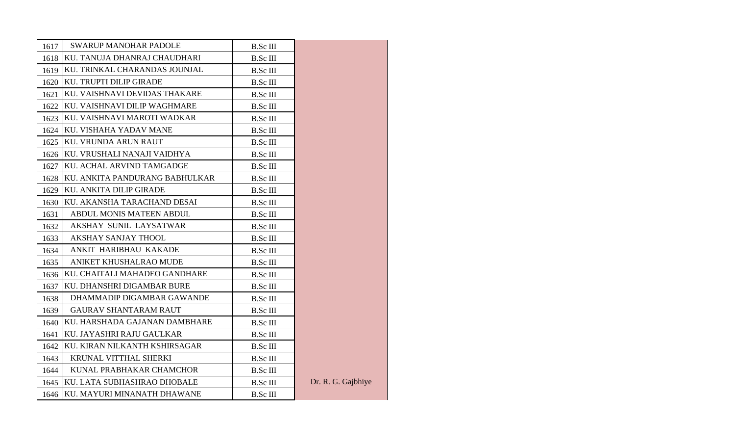| 1617 | <b>SWARUP MANOHAR PADOLE</b>      | <b>B.Sc III</b> |                    |
|------|-----------------------------------|-----------------|--------------------|
| 1618 | KU. TANUJA DHANRAJ CHAUDHARI      | <b>B.Sc III</b> |                    |
| 1619 | KU. TRINKAL CHARANDAS JOUNJAL     | <b>B.Sc III</b> |                    |
|      | 1620 KU. TRUPTI DILIP GIRADE      | <b>B.Sc III</b> |                    |
| 1621 | KU. VAISHNAVI DEVIDAS THAKARE     | <b>B.Sc III</b> |                    |
|      | 1622 KU. VAISHNAVI DILIP WAGHMARE | <b>B.Sc III</b> |                    |
| 1623 | KU. VAISHNAVI MAROTI WADKAR       | <b>B.Sc III</b> |                    |
|      | 1624 KU. VISHAHA YADAV MANE       | <b>B.Sc III</b> |                    |
|      | 1625 KU. VRUNDA ARUN RAUT         | <b>B.Sc III</b> |                    |
|      | 1626 KU. VRUSHALI NANAJI VAIDHYA  | <b>B.Sc III</b> |                    |
| 1627 | KU. ACHAL ARVIND TAMGADGE         | <b>B.Sc III</b> |                    |
| 1628 | KU. ANKITA PANDURANG BABHULKAR    | <b>B.Sc III</b> |                    |
| 1629 | KU. ANKITA DILIP GIRADE           | <b>B.Sc III</b> |                    |
| 1630 | KU. AKANSHA TARACHAND DESAI       | <b>B.Sc III</b> |                    |
| 1631 | ABDUL MONIS MATEEN ABDUL          | <b>B.Sc III</b> |                    |
| 1632 | AKSHAY SUNIL LAYSATWAR            | <b>B.Sc III</b> |                    |
| 1633 | <b>AKSHAY SANJAY THOOL</b>        | <b>B.Sc III</b> |                    |
| 1634 | ANKIT HARIBHAU KAKADE             | <b>B.Sc III</b> |                    |
| 1635 | ANIKET KHUSHALRAO MUDE            | B.Sc III        |                    |
| 1636 | KU. CHAITALI MAHADEO GANDHARE     | <b>B.Sc III</b> |                    |
| 1637 | KU. DHANSHRI DIGAMBAR BURE        | <b>B.Sc III</b> |                    |
| 1638 | DHAMMADIP DIGAMBAR GAWANDE        | <b>B.Sc III</b> |                    |
| 1639 | <b>GAURAV SHANTARAM RAUT</b>      | <b>B.Sc III</b> |                    |
| 1640 | KU. HARSHADA GAJANAN DAMBHARE     | <b>B.Sc III</b> |                    |
| 1641 | KU. JAYASHRI RAJU GAULKAR         | <b>B.Sc III</b> |                    |
| 1642 | KU. KIRAN NILKANTH KSHIRSAGAR     | <b>B.Sc III</b> |                    |
| 1643 | <b>KRUNAL VITTHAL SHERKI</b>      | <b>B.Sc III</b> |                    |
| 1644 | KUNAL PRABHAKAR CHAMCHOR          | <b>B.Sc III</b> |                    |
| 1645 | KU. LATA SUBHASHRAO DHOBALE       | <b>B.Sc III</b> | Dr. R. G. Gajbhiye |
|      | 1646 KU. MAYURI MINANATH DHAWANE  | <b>B.Sc III</b> |                    |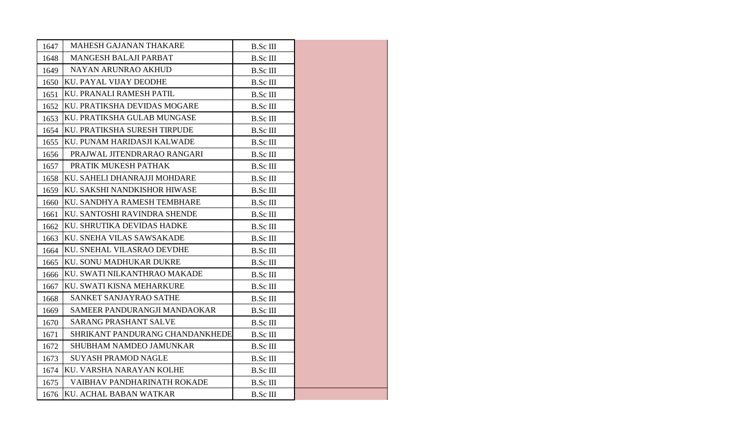| 1647 | MAHESH GAJANAN THAKARE          | <b>B.Sc III</b> |  |
|------|---------------------------------|-----------------|--|
| 1648 | <b>MANGESH BALAJI PARBAT</b>    | <b>B.Sc III</b> |  |
| 1649 | NAYAN ARUNRAO AKHUD             | B.Sc III        |  |
| 1650 | KU. PAYAL VIJAY DEODHE          | <b>B.Sc III</b> |  |
| 1651 | KU. PRANALI RAMESH PATIL        | <b>B.Sc III</b> |  |
| 1652 | KU. PRATIKSHA DEVIDAS MOGARE    | <b>B.Sc III</b> |  |
| 1653 | KU. PRATIKSHA GULAB MUNGASE     | <b>B.Sc III</b> |  |
| 1654 | KU. PRATIKSHA SURESH TIRPUDE    | <b>B.Sc III</b> |  |
| 1655 | KU. PUNAM HARIDASJI KALWADE     | <b>B.Sc III</b> |  |
| 1656 | PRAJWAL JITENDRARAO RANGARI     | <b>B.Sc III</b> |  |
| 1657 | PRATIK MUKESH PATHAK            | <b>B.Sc III</b> |  |
| 1658 | KU. SAHELI DHANRAJJI MOHDARE    | <b>B.Sc III</b> |  |
| 1659 | KU. SAKSHI NANDKISHOR HIWASE    | <b>B.Sc III</b> |  |
| 1660 | KU. SANDHYA RAMESH TEMBHARE     | <b>B.Sc III</b> |  |
| 1661 | KU. SANTOSHI RAVINDRA SHENDE    | B.Sc III        |  |
| 1662 | KU. SHRUTIKA DEVIDAS HADKE      | <b>B.Sc III</b> |  |
| 1663 | KU. SNEHA VILAS SAWSAKADE       | <b>B.Sc III</b> |  |
| 1664 | KU. SNEHAL VILASRAO DEVDHE      | <b>B.Sc III</b> |  |
| 1665 | KU. SONU MADHUKAR DUKRE         | <b>B.Sc III</b> |  |
| 1666 | KU. SWATI NILKANTHRAO MAKADE    | <b>B.Sc III</b> |  |
| 1667 | KU. SWATI KISNA MEHARKURE       | <b>B.Sc III</b> |  |
| 1668 | SANKET SANJAYRAO SATHE          | <b>B.Sc III</b> |  |
| 1669 | SAMEER PANDURANGJI MANDAOKAR    | <b>B.Sc III</b> |  |
| 1670 | <b>SARANG PRASHANT SALVE</b>    | <b>B.Sc III</b> |  |
| 1671 | SHRIKANT PANDURANG CHANDANKHEDE | B.Sc III        |  |
| 1672 | SHUBHAM NAMDEO JAMUNKAR         | <b>B.Sc III</b> |  |
| 1673 | <b>SUYASH PRAMOD NAGLE</b>      | <b>B.Sc III</b> |  |
| 1674 | KU. VARSHA NARAYAN KOLHE        | B.Sc III        |  |
| 1675 | VAIBHAV PANDHARINATH ROKADE     | <b>B.Sc III</b> |  |
| 1676 | KU. ACHAL BABAN WATKAR          | <b>B.Sc III</b> |  |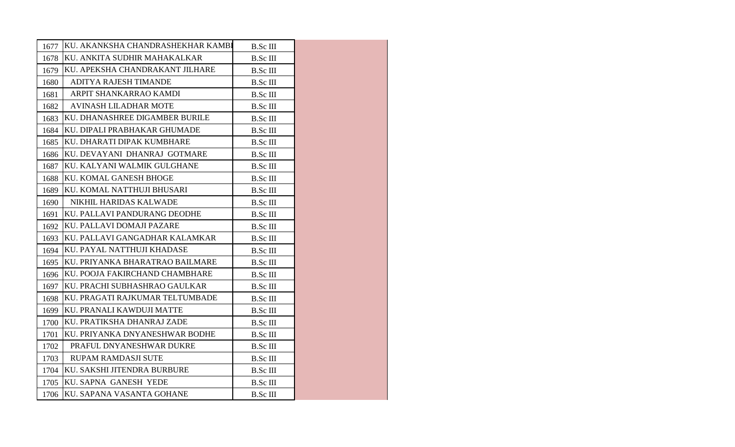| 1677 | KU. AKANKSHA CHANDRASHEKHAR KAMBI | <b>B.Sc III</b> |  |
|------|-----------------------------------|-----------------|--|
| 1678 | KU. ANKITA SUDHIR MAHAKALKAR      | <b>B.Sc III</b> |  |
| 1679 | KU. APEKSHA CHANDRAKANT JILHARE   | <b>B.Sc III</b> |  |
| 1680 | ADITYA RAJESH TIMANDE             | <b>B.Sc III</b> |  |
| 1681 | ARPIT SHANKARRAO KAMDI            | <b>B.Sc III</b> |  |
| 1682 | <b>AVINASH LILADHAR MOTE</b>      | <b>B.Sc III</b> |  |
| 1683 | KU. DHANASHREE DIGAMBER BURILE    | B.Sc III        |  |
| 1684 | KU. DIPALI PRABHAKAR GHUMADE      | <b>B.Sc III</b> |  |
| 1685 | KU. DHARATI DIPAK KUMBHARE        | <b>B.Sc III</b> |  |
| 1686 | KU. DEVAYANI DHANRAJ GOTMARE      | <b>B.Sc III</b> |  |
| 1687 | KU. KALYANI WALMIK GULGHANE       | B.Sc III        |  |
| 1688 | KU. KOMAL GANESH BHOGE            | <b>B.Sc III</b> |  |
| 1689 | KU. KOMAL NATTHUJI BHUSARI        | <b>B.Sc III</b> |  |
| 1690 | NIKHIL HARIDAS KALWADE            | <b>B.Sc III</b> |  |
| 1691 | KU. PALLAVI PANDURANG DEODHE      | B.Sc III        |  |
| 1692 | KU. PALLAVI DOMAJI PAZARE         | <b>B.Sc III</b> |  |
| 1693 | KU. PALLAVI GANGADHAR KALAMKAR    | <b>B.Sc III</b> |  |
| 1694 | KU. PAYAL NATTHUJI KHADASE        | <b>B.Sc III</b> |  |
| 1695 | KU. PRIYANKA BHARATRAO BAILMARE   | <b>B.Sc III</b> |  |
| 1696 | KU. POOJA FAKIRCHAND CHAMBHARE    | B.Sc III        |  |
| 1697 | KU. PRACHI SUBHASHRAO GAULKAR     | <b>B.Sc III</b> |  |
| 1698 | KU. PRAGATI RAJKUMAR TELTUMBADE   | <b>B.Sc III</b> |  |
| 1699 | IKU. PRANALI KAWDUJI MATTE        | <b>B.Sc III</b> |  |
| 1700 | KU. PRATIKSHA DHANRAJ ZADE        | B.Sc III        |  |
| 1701 | KU. PRIYANKA DNYANESHWAR BODHE    | <b>B.Sc III</b> |  |
| 1702 | PRAFUL DNYANESHWAR DUKRE          | <b>B.Sc III</b> |  |
| 1703 | RUPAM RAMDASJI SUTE               | <b>B.Sc III</b> |  |
| 1704 | KU. SAKSHI JITENDRA BURBURE       | <b>B.Sc III</b> |  |
| 1705 | KU. SAPNA GANESH YEDE             | <b>B.Sc III</b> |  |
|      | 1706 KU. SAPANA VASANTA GOHANE    | <b>B.Sc III</b> |  |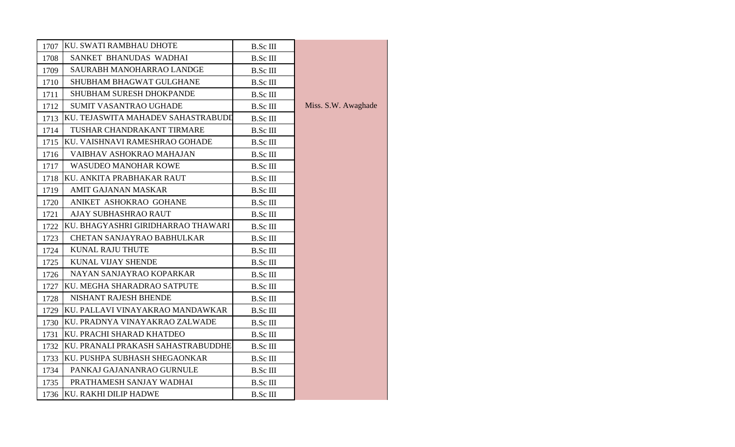| 1707 | KU. SWATI RAMBHAU DHOTE            | <b>B.Sc III</b> |                     |
|------|------------------------------------|-----------------|---------------------|
| 1708 | SANKET BHANUDAS WADHAI             | <b>B.Sc III</b> |                     |
| 1709 | SAURABH MANOHARRAO LANDGE          | <b>B.Sc III</b> |                     |
| 1710 | SHUBHAM BHAGWAT GULGHANE           | <b>B.Sc III</b> |                     |
| 1711 | <b>SHUBHAM SURESH DHOKPANDE</b>    | B.Sc III        |                     |
| 1712 | SUMIT VASANTRAO UGHADE             | <b>B.Sc III</b> | Miss. S.W. Awaghade |
| 1713 | KU. TEJASWITA MAHADEV SAHASTRABUDI | <b>B.Sc III</b> |                     |
| 1714 | TUSHAR CHANDRAKANT TIRMARE         | <b>B.Sc III</b> |                     |
| 1715 | KU. VAISHNAVI RAMESHRAO GOHADE     | B.Sc III        |                     |
| 1716 | VAIBHAV ASHOKRAO MAHAJAN           | <b>B.Sc III</b> |                     |
| 1717 | <b>WASUDEO MANOHAR KOWE</b>        | <b>B.Sc III</b> |                     |
| 1718 | KU. ANKITA PRABHAKAR RAUT          | <b>B.Sc III</b> |                     |
| 1719 | AMIT GAJANAN MASKAR                | <b>B.Sc III</b> |                     |
| 1720 | ANIKET ASHOKRAO GOHANE             | <b>B.Sc III</b> |                     |
| 1721 | AJAY SUBHASHRAO RAUT               | <b>B.Sc III</b> |                     |
| 1722 | KU. BHAGYASHRI GIRIDHARRAO THAWARI | <b>B.Sc III</b> |                     |
| 1723 | <b>CHETAN SANJAYRAO BABHULKAR</b>  | <b>B.Sc III</b> |                     |
| 1724 | KUNAL RAJU THUTE                   | <b>B.Sc III</b> |                     |
| 1725 | KUNAL VIJAY SHENDE                 | <b>B.Sc III</b> |                     |
| 1726 | NAYAN SANJAYRAO KOPARKAR           | <b>B.Sc III</b> |                     |
| 1727 | KU. MEGHA SHARADRAO SATPUTE        | <b>B.Sc III</b> |                     |
| 1728 | NISHANT RAJESH BHENDE              | <b>B.Sc III</b> |                     |
| 1729 | KU. PALLAVI VINAYAKRAO MANDAWKAR   | B.Sc III        |                     |
| 1730 | KU. PRADNYA VINAYAKRAO ZALWADE     | B.Sc III        |                     |
| 1731 | KU. PRACHI SHARAD KHATDEO          | B.Sc III        |                     |
| 1732 | KU. PRANALI PRAKASH SAHASTRABUDDHE | <b>B.Sc III</b> |                     |
| 1733 | KU. PUSHPA SUBHASH SHEGAONKAR      | <b>B.Sc III</b> |                     |
| 1734 | PANKAJ GAJANANRAO GURNULE          | <b>B.Sc III</b> |                     |
| 1735 | PRATHAMESH SANJAY WADHAI           | B.Sc III        |                     |
|      | 1736 KU. RAKHI DILIP HADWE         | <b>B.Sc III</b> |                     |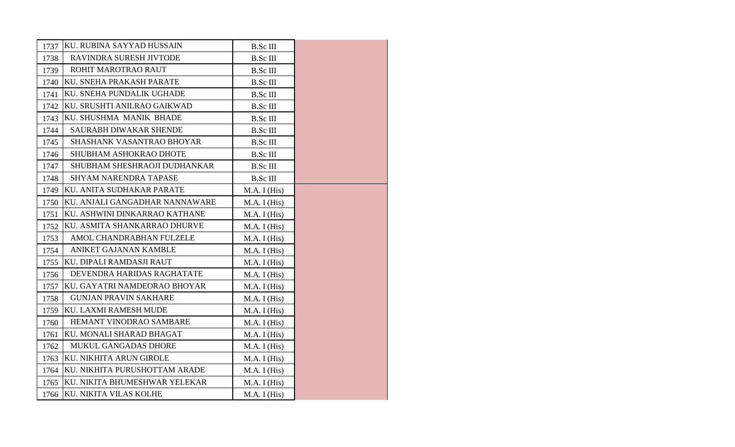| 1737 | KU. RUBINA SAYYAD HUSSAIN      | B.Sc III        |  |
|------|--------------------------------|-----------------|--|
| 1738 | RAVINDRA SURESH JIVTODE        | <b>B.Sc III</b> |  |
| 1739 | ROHIT MAROTRAO RAUT            | <b>B.Sc III</b> |  |
| 1740 | KU. SNEHA PRAKASH PARATE       | <b>B.Sc III</b> |  |
| 1741 | KU. SNEHA PUNDALIK UGHADE      | <b>B.Sc III</b> |  |
| 1742 | KU. SRUSHTI ANILRAO GAIKWAD    | <b>B.Sc III</b> |  |
| 1743 | KU. SHUSHMA MANIK BHADE        | <b>B.Sc III</b> |  |
| 1744 | <b>SAURABH DIWAKAR SHENDE</b>  | <b>B.Sc III</b> |  |
| 1745 | SHASHANK VASANTRAO BHOYAR      | B.Sc III        |  |
| 1746 | SHUBHAM ASHOKRAO DHOTE         | <b>B.Sc III</b> |  |
| 1747 | SHUBHAM SHESHRAOJI DUDHANKAR   | B.Sc III        |  |
| 1748 | <b>SHYAM NARENDRA TAPASE</b>   | <b>B.Sc III</b> |  |
| 1749 | KU. ANITA SUDHAKAR PARATE      | M.A. I (His)    |  |
| 1750 | KU. ANJALI GANGADHAR NANNAWARE | M.A. I (His)    |  |
| 1751 | KU. ASHWINI DINKARRAO KATHANE  | M.A. I (His)    |  |
| 1752 | KU. ASMITA SHANKARRAO DHURVE   | M.A. I (His)    |  |
| 1753 | AMOL CHANDRABHAN FULZELE       | M.A. I (His)    |  |
| 1754 | ANIKET GAJANAN KAMBLE          | M.A. I (His)    |  |
| 1755 | KU. DIPALI RAMDASJI RAUT       | M.A. I (His)    |  |
| 1756 | DEVENDRA HARIDAS RAGHATATE     | M.A. I (His)    |  |
| 1757 | KU. GAYATRI NAMDEORAO BHOYAR   | M.A. I (His)    |  |
| 1758 | <b>GUNJAN PRAVIN SAKHARE</b>   | M.A. I (His)    |  |
| 1759 | KU. LAXMI RAMESH MUDE          | M.A. I (His)    |  |
| 1760 | HEMANT VINODRAO SAMBARE        | M.A. I (His)    |  |
| 1761 | KU. MONALI SHARAD BHAGAT       | M.A. I (His)    |  |
| 1762 | <b>MUKUL GANGADAS DHORE</b>    | M.A. I (His)    |  |
| 1763 | KU. NIKHITA ARUN GIROLE        | M.A. I (His)    |  |
| 1764 | KU. NIKHITA PURUSHOTTAM ARADE  | M.A. I (His)    |  |
| 1765 | KU. NIKITA BHUMESHWAR YELEKAR  | M.A. I (His)    |  |
| 1766 | KU. NIKITA VILAS KOLHE         | M.A. I (His)    |  |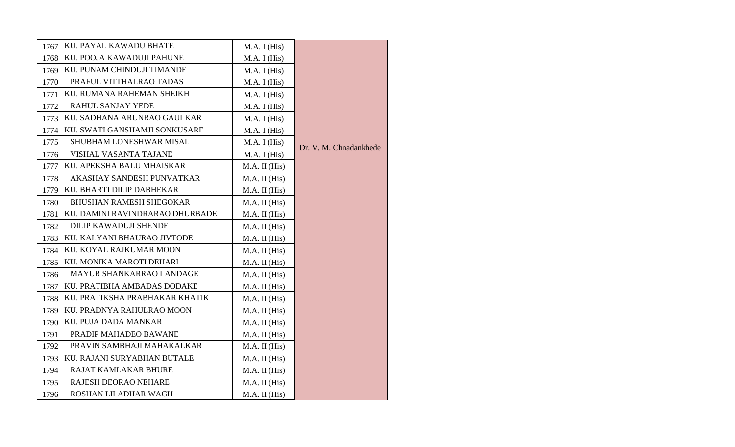| 1767 | KU. PAYAL KAWADU BHATE          | M.A. I (His)  |                        |
|------|---------------------------------|---------------|------------------------|
| 1768 | KU. POOJA KAWADUJI PAHUNE       | M.A. I (His)  |                        |
| 1769 | KU. PUNAM CHINDUJI TIMANDE      | M.A. I (His)  |                        |
| 1770 | PRAFUL VITTHALRAO TADAS         | M.A. I (His)  |                        |
| 1771 | KU. RUMANA RAHEMAN SHEIKH       | M.A. I (His)  |                        |
| 1772 | <b>RAHUL SANJAY YEDE</b>        | M.A. I (His)  |                        |
| 1773 | KU. SADHANA ARUNRAO GAULKAR     | M.A. I (His)  |                        |
| 1774 | KU. SWATI GANSHAMJI SONKUSARE   | M.A. I (His)  |                        |
| 1775 | SHUBHAM LONESHWAR MISAL         | M.A. I (His)  | Dr. V. M. Chnadankhede |
| 1776 | <b>VISHAL VASANTA TAJANE</b>    | M.A. I (His)  |                        |
| 1777 | KU. APEKSHA BALU MHAISKAR       | M.A. II (His) |                        |
| 1778 | AKASHAY SANDESH PUNVATKAR       | M.A. II (His) |                        |
| 1779 | KU. BHARTI DILIP DABHEKAR       | M.A. II (His) |                        |
| 1780 | <b>BHUSHAN RAMESH SHEGOKAR</b>  | M.A. II (His) |                        |
| 1781 | KU. DAMINI RAVINDRARAO DHURBADE | M.A. II (His) |                        |
| 1782 | DILIP KAWADUJI SHENDE           | M.A. II (His) |                        |
| 1783 | KU. KALYANI BHAURAO JIVTODE     | M.A. II (His) |                        |
| 1784 | KU. KOYAL RAJKUMAR MOON         | M.A. II (His) |                        |
| 1785 | KU. MONIKA MAROTI DEHARI        | M.A. II (His) |                        |
| 1786 | MAYUR SHANKARRAO LANDAGE        | M.A. II (His) |                        |
| 1787 | KU. PRATIBHA AMBADAS DODAKE     | M.A. II (His) |                        |
| 1788 | KU. PRATIKSHA PRABHAKAR KHATIK  | M.A. II (His) |                        |
| 1789 | KU. PRADNYA RAHULRAO MOON       | M.A. II (His) |                        |
| 1790 | KU. PUJA DADA MANKAR            | M.A. II (His) |                        |
| 1791 | PRADIP MAHADEO BAWANE           | M.A. II (His) |                        |
| 1792 | PRAVIN SAMBHAJI MAHAKALKAR      | M.A. II (His) |                        |
| 1793 | KU. RAJANI SURYABHAN BUTALE     | M.A. II (His) |                        |
| 1794 | RAJAT KAMLAKAR BHURE            | M.A. II (His) |                        |
| 1795 | RAJESH DEORAO NEHARE            | M.A. II (His) |                        |
| 1796 | ROSHAN LILADHAR WAGH            | M.A. II (His) |                        |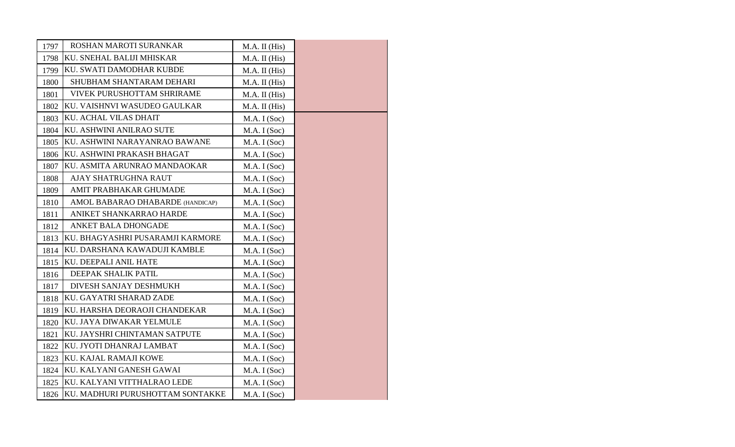| 1797 | ROSHAN MAROTI SURANKAR                | M.A. II (His) |  |
|------|---------------------------------------|---------------|--|
| 1798 | KU. SNEHAL BALIJI MHISKAR             | M.A. II (His) |  |
| 1799 | KU. SWATI DAMODHAR KUBDE              | M.A. II (His) |  |
| 1800 | SHUBHAM SHANTARAM DEHARI              | M.A. II (His) |  |
| 1801 | <b>VIVEK PURUSHOTTAM SHRIRAME</b>     | M.A. II (His) |  |
| 1802 | KU. VAISHNVI WASUDEO GAULKAR          | M.A. II (His) |  |
| 1803 | KU. ACHAL VILAS DHAIT                 | M.A. I (Soc)  |  |
| 1804 | KU. ASHWINI ANILRAO SUTE              | M.A. I (Soc)  |  |
| 1805 | KU. ASHWINI NARAYANRAO BAWANE         | M.A. I (Soc)  |  |
| 1806 | KU. ASHWINI PRAKASH BHAGAT            | M.A. I (Soc)  |  |
| 1807 | KU. ASMITA ARUNRAO MANDAOKAR          | M.A. I (Soc)  |  |
| 1808 | AJAY SHATRUGHNA RAUT                  | M.A. I (Soc)  |  |
| 1809 | AMIT PRABHAKAR GHUMADE                | M.A. I (Soc)  |  |
| 1810 | AMOL BABARAO DHABARDE (HANDICAP)      | M.A. I (Soc)  |  |
| 1811 | ANIKET SHANKARRAO HARDE               | M.A. I (Soc)  |  |
| 1812 | <b>ANKET BALA DHONGADE</b>            | M.A. I (Soc)  |  |
| 1813 | KU. BHAGYASHRI PUSARAMJI KARMORE      | M.A. I (Soc)  |  |
| 1814 | KU. DARSHANA KAWADUJI KAMBLE          | M.A. I (Soc)  |  |
| 1815 | KU. DEEPALI ANIL HATE                 | M.A. I (Soc)  |  |
| 1816 | DEEPAK SHALIK PATIL                   | M.A. I (Soc)  |  |
| 1817 | DIVESH SANJAY DESHMUKH                | M.A. I (Soc)  |  |
| 1818 | KU. GAYATRI SHARAD ZADE               | M.A. I (Soc)  |  |
| 1819 | KU. HARSHA DEORAOJI CHANDEKAR         | M.A. I (Soc)  |  |
| 1820 | KU. JAYA DIWAKAR YELMULE              | M.A. I (Soc)  |  |
| 1821 | KU. JAYSHRI CHINTAMAN SATPUTE         | M.A. I (Soc)  |  |
| 1822 | KU. JYOTI DHANRAJ LAMBAT              | M.A. I (Soc)  |  |
| 1823 | KU. KAJAL RAMAJI KOWE                 | M.A. I (Soc)  |  |
| 1824 | KU. KALYANI GANESH GAWAI              | M.A. I (Soc)  |  |
| 1825 | KU. KALYANI VITTHALRAO LEDE           | M.A. I (Soc)  |  |
|      | 1826 KU. MADHURI PURUSHOTTAM SONTAKKE | M.A. I (Soc)  |  |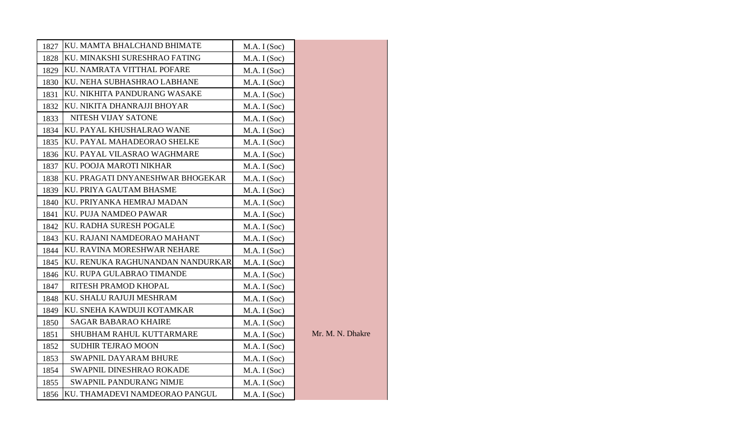| 1827 | KU. MAMTA BHALCHAND BHIMATE      | M.A. I (Soc) |                  |
|------|----------------------------------|--------------|------------------|
| 1828 | KU. MINAKSHI SURESHRAO FATING    | M.A. I (Soc) |                  |
| 1829 | KU. NAMRATA VITTHAL POFARE       | M.A. I (Soc) |                  |
| 1830 | KU. NEHA SUBHASHRAO LABHANE      | M.A. I (Soc) |                  |
| 1831 | KU. NIKHITA PANDURANG WASAKE     | M.A. I (Soc) |                  |
| 1832 | KU. NIKITA DHANRAJJI BHOYAR      | M.A. I (Soc) |                  |
| 1833 | NITESH VIJAY SATONE              | M.A. I (Soc) |                  |
| 1834 | KU. PAYAL KHUSHALRAO WANE        | M.A. I (Soc) |                  |
| 1835 | KU. PAYAL MAHADEORAO SHELKE      | M.A. I (Soc) |                  |
| 1836 | KU. PAYAL VILASRAO WAGHMARE      | M.A. I (Soc) |                  |
| 1837 | KU. POOJA MAROTI NIKHAR          | M.A. I (Soc) |                  |
| 1838 | KU. PRAGATI DNYANESHWAR BHOGEKAR | M.A. I (Soc) |                  |
| 1839 | KU. PRIYA GAUTAM BHASME          | M.A. I (Soc) |                  |
| 1840 | KU. PRIYANKA HEMRAJ MADAN        | M.A. I (Soc) |                  |
| 1841 | KU. PUJA NAMDEO PAWAR            | M.A. I (Soc) |                  |
| 1842 | KU. RADHA SURESH POGALE          | M.A. I (Soc) |                  |
| 1843 | KU. RAJANI NAMDEORAO MAHANT      | M.A. I (Soc) |                  |
| 1844 | KU. RAVINA MORESHWAR NEHARE      | M.A. I (Soc) |                  |
| 1845 | KU. RENUKA RAGHUNANDAN NANDURKAR | M.A. I (Soc) |                  |
| 1846 | KU. RUPA GULABRAO TIMANDE        | M.A. I (Soc) |                  |
| 1847 | RITESH PRAMOD KHOPAL             | M.A. I (Soc) |                  |
| 1848 | KU. SHALU RAJUJI MESHRAM         | M.A. I (Soc) |                  |
| 1849 | KU. SNEHA KAWDUJI KOTAMKAR       | M.A. I (Soc) |                  |
| 1850 | <b>SAGAR BABARAO KHAIRE</b>      | M.A. I (Soc) |                  |
| 1851 | SHUBHAM RAHUL KUTTARMARE         | M.A. I (Soc) | Mr. M. N. Dhakre |
| 1852 | <b>SUDHIR TEJRAO MOON</b>        | M.A. I (Soc) |                  |
| 1853 | SWAPNIL DAYARAM BHURE            | M.A. I (Soc) |                  |
| 1854 | SWAPNIL DINESHRAO ROKADE         | M.A. I (Soc) |                  |
| 1855 | SWAPNIL PANDURANG NIMJE          | M.A. I (Soc) |                  |
| 1856 | KU. THAMADEVI NAMDEORAO PANGUL   | M.A. I (Soc) |                  |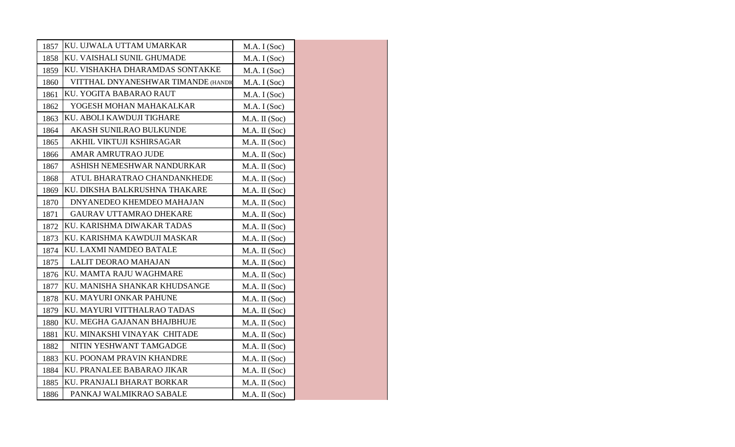| 1857 | KU. UJWALA UTTAM UMARKAR           | M.A. I (Soc)  |
|------|------------------------------------|---------------|
| 1858 | KU. VAISHALI SUNIL GHUMADE         | M.A. I (Soc)  |
| 1859 | KU. VISHAKHA DHARAMDAS SONTAKKE    | M.A. I (Soc)  |
| 1860 | VITTHAL DNYANESHWAR TIMANDE (HANDI | M.A. I (Soc)  |
| 1861 | KU. YOGITA BABARAO RAUT            | M.A. I (Soc)  |
| 1862 | YOGESH MOHAN MAHAKALKAR            | M.A. I (Soc)  |
| 1863 | KU. ABOLI KAWDUJI TIGHARE          | M.A. II (Soc) |
| 1864 | AKASH SUNILRAO BULKUNDE            | M.A. II (Soc) |
| 1865 | AKHIL VIKTUJI KSHIRSAGAR           | M.A. II (Soc) |
| 1866 | <b>AMAR AMRUTRAO JUDE</b>          | M.A. II (Soc) |
| 1867 | ASHISH NEMESHWAR NANDURKAR         | M.A. II (Soc) |
| 1868 | ATUL BHARATRAO CHANDANKHEDE        | M.A. II (Soc) |
| 1869 | KU. DIKSHA BALKRUSHNA THAKARE      | M.A. II (Soc) |
| 1870 | DNYANEDEO KHEMDEO MAHAJAN          | M.A. II (Soc) |
| 1871 | <b>GAURAV UTTAMRAO DHEKARE</b>     | M.A. II (Soc) |
| 1872 | KU. KARISHMA DIWAKAR TADAS         | M.A. II (Soc) |
| 1873 | KU. KARISHMA KAWDUJI MASKAR        | M.A. II (Soc) |
| 1874 | KU. LAXMI NAMDEO BATALE            | M.A. II (Soc) |
| 1875 | LALIT DEORAO MAHAJAN               | M.A. II (Soc) |
| 1876 | KU. MAMTA RAJU WAGHMARE            | M.A. II (Soc) |
| 1877 | KU. MANISHA SHANKAR KHUDSANGE      | M.A. II (Soc) |
| 1878 | KU. MAYURI ONKAR PAHUNE            | M.A. II (Soc) |
| 1879 | KU. MAYURI VITTHALRAO TADAS        | M.A. II (Soc) |
| 1880 | KU. MEGHA GAJANAN BHAJBHUJE        | M.A. II (Soc) |
| 1881 | KU. MINAKSHI VINAYAK CHITADE       | M.A. II (Soc) |
| 1882 | NITIN YESHWANT TAMGADGE            | M.A. II (Soc) |
| 1883 | KU. POONAM PRAVIN KHANDRE          | M.A. II (Soc) |
| 1884 | KU. PRANALEE BABARAO JIKAR         | M.A. II (Soc) |
| 1885 | KU. PRANJALI BHARAT BORKAR         | M.A. II (Soc) |
| 1886 | PANKAJ WALMIKRAO SABALE            | M.A. II (Soc) |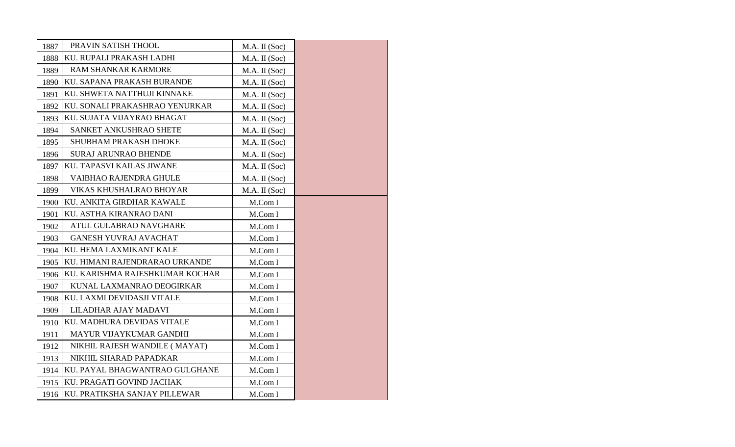| 1887 | PRAVIN SATISH THOOL             | M.A. II (Soc) |
|------|---------------------------------|---------------|
| 1888 | KU. RUPALI PRAKASH LADHI        | M.A. II (Soc) |
| 1889 | <b>RAM SHANKAR KARMORE</b>      | M.A. II (Soc) |
| 1890 | KU. SAPANA PRAKASH BURANDE      | M.A. II (Soc) |
| 1891 | KU. SHWETA NATTHUJI KINNAKE     | M.A. II (Soc) |
| 1892 | KU. SONALI PRAKASHRAO YENURKAR  | M.A. II (Soc) |
| 1893 | KU. SUJATA VIJAYRAO BHAGAT      | M.A. II (Soc) |
| 1894 | SANKET ANKUSHRAO SHETE          | M.A. II (Soc) |
| 1895 | SHUBHAM PRAKASH DHOKE           | M.A. II (Soc) |
| 1896 | <b>SURAJ ARUNRAO BHENDE</b>     | M.A. II (Soc) |
| 1897 | KU. TAPASVI KAILAS JIWANE       | M.A. II (Soc) |
| 1898 | VAIBHAO RAJENDRA GHULE          | M.A. II (Soc) |
| 1899 | VIKAS KHUSHALRAO BHOYAR         | M.A. II (Soc) |
| 1900 | KU. ANKITA GIRDHAR KAWALE       | M.Com I       |
| 1901 | KU. ASTHA KIRANRAO DANI         | M.Com I       |
| 1902 | ATUL GULABRAO NAVGHARE          | M.Com I       |
| 1903 | <b>GANESH YUVRAJ AVACHAT</b>    | M.Com I       |
| 1904 | KU. HEMA LAXMIKANT KALE         | M.Com I       |
| 1905 | KU. HIMANI RAJENDRARAO URKANDE  | M.Com I       |
| 1906 | KU. KARISHMA RAJESHKUMAR KOCHAR | M.Com I       |
| 1907 | KUNAL LAXMANRAO DEOGIRKAR       | M.Com I       |
| 1908 | KU. LAXMI DEVIDASJI VITALE      | M.Com I       |
| 1909 | LILADHAR AJAY MADAVI            | M.Com I       |
| 1910 | KU. MADHURA DEVIDAS VITALE      | M.Com I       |
| 1911 | MAYUR VIJAYKUMAR GANDHI         | M.Com I       |
| 1912 | NIKHIL RAJESH WANDILE (MAYAT)   | M.Com I       |
| 1913 | NIKHIL SHARAD PAPADKAR          | M.Com I       |
| 1914 | KU. PAYAL BHAGWANTRAO GULGHANE  | M.Com I       |
| 1915 | KU. PRAGATI GOVIND JACHAK       | M.Com I       |
| 1916 | KU. PRATIKSHA SANJAY PILLEWAR   | M.Com I       |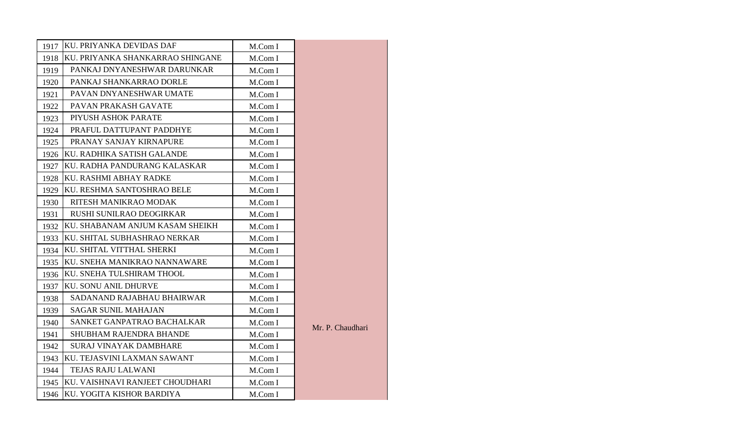| 1917 | KU. PRIYANKA DEVIDAS DAF            | M.Com I |                  |
|------|-------------------------------------|---------|------------------|
| 1918 | KU. PRIYANKA SHANKARRAO SHINGANE    | M.Com I |                  |
| 1919 | PANKAJ DNYANESHWAR DARUNKAR         | M.Com I |                  |
| 1920 | PANKAJ SHANKARRAO DORLE             | M.Com I |                  |
| 1921 | PAVAN DNYANESHWAR UMATE             | M.Com I |                  |
| 1922 | PAVAN PRAKASH GAVATE                | M.Com I |                  |
| 1923 | PIYUSH ASHOK PARATE                 | M.Com I |                  |
| 1924 | PRAFUL DATTUPANT PADDHYE            | M.Com I |                  |
| 1925 | PRANAY SANJAY KIRNAPURE             | M.Com I |                  |
| 1926 | KU. RADHIKA SATISH GALANDE          | M.Com I |                  |
| 1927 | KU. RADHA PANDURANG KALASKAR        | M.Com I |                  |
| 1928 | KU. RASHMI ABHAY RADKE              | M.Com I |                  |
| 1929 | KU. RESHMA SANTOSHRAO BELE          | M.Com I |                  |
| 1930 | RITESH MANIKRAO MODAK               | M.Com I |                  |
| 1931 | RUSHI SUNILRAO DEOGIRKAR            | M.Com I |                  |
| 1932 | KU. SHABANAM ANJUM KASAM SHEIKH     | M.Com I |                  |
| 1933 | <b>KU. SHITAL SUBHASHRAO NERKAR</b> | M.Com I |                  |
| 1934 | KU. SHITAL VITTHAL SHERKI           | M.Com I |                  |
| 1935 | KU. SNEHA MANIKRAO NANNAWARE        | M.Com I |                  |
| 1936 | KU. SNEHA TULSHIRAM THOOL           | M.Com I |                  |
| 1937 | <b>KU. SONU ANIL DHURVE</b>         | M.Com I |                  |
| 1938 | SADANAND RAJABHAU BHAIRWAR          | M.Com I |                  |
| 1939 | <b>SAGAR SUNIL MAHAJAN</b>          | M.Com I |                  |
| 1940 | SANKET GANPATRAO BACHALKAR          | M.Com I | Mr. P. Chaudhari |
| 1941 | SHUBHAM RAJENDRA BHANDE             | M.Com I |                  |
| 1942 | <b>SURAJ VINAYAK DAMBHARE</b>       | M.Com I |                  |
| 1943 | KU. TEJASVINI LAXMAN SAWANT         | M.Com I |                  |
| 1944 | TEJAS RAJU LALWANI                  | M.Com I |                  |
| 1945 | KU. VAISHNAVI RANJEET CHOUDHARI     | M.Com I |                  |
| 1946 | KU. YOGITA KISHOR BARDIYA           | M.Com I |                  |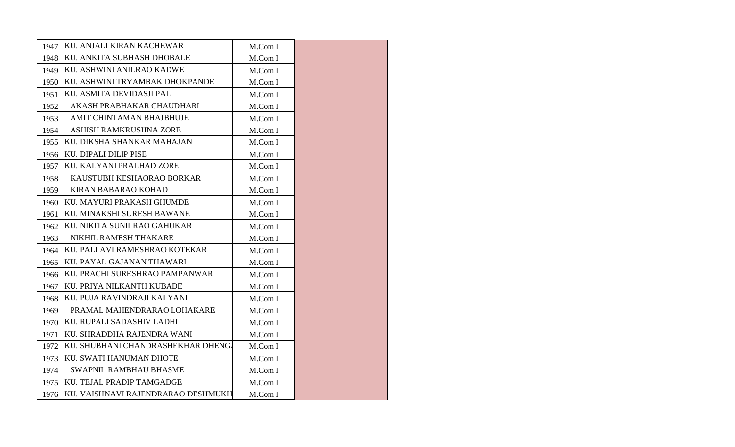|      | 1947 KU. ANJALI KIRAN KACHEWAR          | M.Com I |  |
|------|-----------------------------------------|---------|--|
| 1948 | KU. ANKITA SUBHASH DHOBALE              | M.Com I |  |
| 1949 | KU. ASHWINI ANILRAO KADWE               | M.Com I |  |
| 1950 | KU. ASHWINI TRYAMBAK DHOKPANDE          | M.Com I |  |
| 1951 | KU. ASMITA DEVIDASJI PAL                | M.Com I |  |
| 1952 | AKASH PRABHAKAR CHAUDHARI               | M.Com I |  |
| 1953 | AMIT CHINTAMAN BHAJBHUJE                | M.Com I |  |
| 1954 | ASHISH RAMKRUSHNA ZORE                  | M.Com I |  |
| 1955 | KU. DIKSHA SHANKAR MAHAJAN              | M.Com I |  |
| 1956 | <b>KU. DIPALI DILIP PISE</b>            | M.Com I |  |
| 1957 | KU. KALYANI PRALHAD ZORE                | M.Com I |  |
| 1958 | KAUSTUBH KESHAORAO BORKAR               | M.Com I |  |
| 1959 | <b>KIRAN BABARAO KOHAD</b>              | M.Com I |  |
| 1960 | KU. MAYURI PRAKASH GHUMDE               | M.Com I |  |
| 1961 | KU. MINAKSHI SURESH BAWANE              | M.Com I |  |
| 1962 | KU. NIKITA SUNILRAO GAHUKAR             | M.Com I |  |
| 1963 | NIKHIL RAMESH THAKARE                   | M.Com I |  |
| 1964 | KU. PALLAVI RAMESHRAO KOTEKAR           | M.Com I |  |
| 1965 | KU. PAYAL GAJANAN THAWARI               | M.Com I |  |
| 1966 | KU. PRACHI SURESHRAO PAMPANWAR          | M.Com I |  |
| 1967 | KU. PRIYA NILKANTH KUBADE               | M.Com I |  |
| 1968 | KU. PUJA RAVINDRAJI KALYANI             | M.Com I |  |
| 1969 | PRAMAL MAHENDRARAO LOHAKARE             | M.Com I |  |
| 1970 | KU. RUPALI SADASHIV LADHI               | M.Com I |  |
| 1971 | KU. SHRADDHA RAJENDRA WANI              | M.Com I |  |
| 1972 | KU. SHUBHANI CHANDRASHEKHAR DHENG.      | M.Com I |  |
| 1973 | KU. SWATI HANUMAN DHOTE                 | M.Com I |  |
| 1974 | SWAPNIL RAMBHAU BHASME                  | M.Com I |  |
| 1975 | KU. TEJAL PRADIP TAMGADGE               | M.Com I |  |
|      | 1976 KU. VAISHNAVI RAJENDRARAO DESHMUKH | M.Com I |  |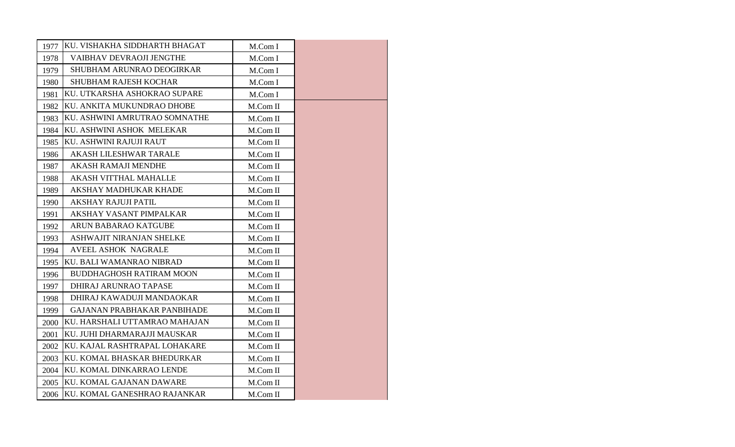| 1977 | KU. VISHAKHA SIDDHARTH BHAGAT     | M.Com I          |  |
|------|-----------------------------------|------------------|--|
| 1978 | VAIBHAV DEVRAOJI JENGTHE          | M.Com I          |  |
| 1979 | SHUBHAM ARUNRAO DEOGIRKAR         | M.Com I          |  |
| 1980 | <b>SHUBHAM RAJESH KOCHAR</b>      | M.Com I          |  |
| 1981 | KU. UTKARSHA ASHOKRAO SUPARE      | M.Com I          |  |
| 1982 | KU. ANKITA MUKUNDRAO DHOBE        | M.Com II         |  |
| 1983 | KU. ASHWINI AMRUTRAO SOMNATHE     | M.Com II         |  |
| 1984 | KU. ASHWINI ASHOK MELEKAR         | M.Com II         |  |
| 1985 | KU. ASHWINI RAJUJI RAUT           | M.Com II         |  |
| 1986 | <b>AKASH LILESHWAR TARALE</b>     | M.Com II         |  |
| 1987 | AKASH RAMAJI MENDHE               | $M_{\rm}$ Com II |  |
| 1988 | <b>AKASH VITTHAL MAHALLE</b>      | M.Com II         |  |
| 1989 | AKSHAY MADHUKAR KHADE             | M.Com II         |  |
| 1990 | <b>AKSHAY RAJUJI PATIL</b>        | M.Com II         |  |
| 1991 | AKSHAY VASANT PIMPALKAR           | M.Com II         |  |
| 1992 | <b>ARUN BABARAO KATGUBE</b>       | M.Com II         |  |
| 1993 | ASHWAJIT NIRANJAN SHELKE          | M.Com II         |  |
| 1994 | <b>AVEEL ASHOK NAGRALE</b>        | M.Com II         |  |
| 1995 | <b>IKU. BALI WAMANRAO NIBRAD</b>  | M.Com II         |  |
| 1996 | <b>BUDDHAGHOSH RATIRAM MOON</b>   | M.Com II         |  |
| 1997 | DHIRAJ ARUNRAO TAPASE             | M.Com II         |  |
| 1998 | DHIRAJ KAWADUJI MANDAOKAR         | M.Com II         |  |
| 1999 | GAJANAN PRABHAKAR PANBIHADE       | M.Com II         |  |
| 2000 | KU. HARSHALI UTTAMRAO MAHAJAN     | $M_{\rm}$ Com II |  |
| 2001 | KU. JUHI DHARMARAJJI MAUSKAR      | M.Com II         |  |
| 2002 | KU. KAJAL RASHTRAPAL LOHAKARE     | M.Com II         |  |
| 2003 | KU. KOMAL BHASKAR BHEDURKAR       | M.Com II         |  |
| 2004 | KU. KOMAL DINKARRAO LENDE         | M.Com II         |  |
| 2005 | KU. KOMAL GAJANAN DAWARE          | M.Com II         |  |
|      | 2006 KU. KOMAL GANESHRAO RAJANKAR | M.Com II         |  |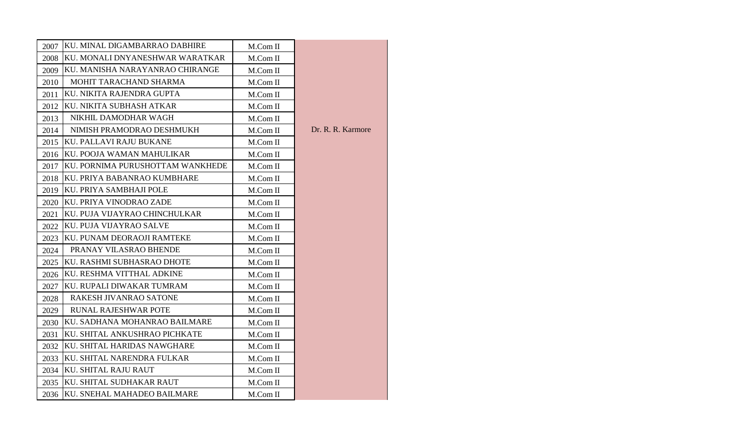| 2007 | KU. MINAL DIGAMBARRAO DABHIRE    | M.Com II         |                   |
|------|----------------------------------|------------------|-------------------|
| 2008 | KU. MONALI DNYANESHWAR WARATKAR  | M.Com II         |                   |
| 2009 | KU. MANISHA NARAYANRAO CHIRANGE  | M.Com II         |                   |
| 2010 | MOHIT TARACHAND SHARMA           | M.Com II         |                   |
| 2011 | KU. NIKITA RAJENDRA GUPTA        | M.Com II         |                   |
| 2012 | KU. NIKITA SUBHASH ATKAR         | M.Com II         |                   |
| 2013 | NIKHIL DAMODHAR WAGH             | M.Com II         |                   |
| 2014 | NIMISH PRAMODRAO DESHMUKH        | M.Com II         | Dr. R. R. Karmore |
| 2015 | KU. PALLAVI RAJU BUKANE          | M.Com II         |                   |
|      | 2016 KU. POOJA WAMAN MAHULIKAR   | M.Com II         |                   |
| 2017 | KU. PORNIMA PURUSHOTTAM WANKHEDE | M.Com II         |                   |
|      | 2018 KU. PRIYA BABANRAO KUMBHARE | M.Com II         |                   |
| 2019 | KU. PRIYA SAMBHAJI POLE          | M.Com II         |                   |
|      | 2020 KU. PRIYA VINODRAO ZADE     | M.Com II         |                   |
| 2021 | KU. PUJA VIJAYRAO CHINCHULKAR    | M.Com II         |                   |
| 2022 | KU. PUJA VIJAYRAO SALVE          | M.Com II         |                   |
| 2023 | KU. PUNAM DEORAOJI RAMTEKE       | M.Com II         |                   |
| 2024 | PRANAY VILASRAO BHENDE           | M.Com II         |                   |
|      | 2025 KU. RASHMI SUBHASRAO DHOTE  | M.Com II         |                   |
| 2026 | KU. RESHMA VITTHAL ADKINE        | M.Com II         |                   |
| 2027 | KU. RUPALI DIWAKAR TUMRAM        | M.Com II         |                   |
| 2028 | RAKESH JIVANRAO SATONE           | M.Com II         |                   |
| 2029 | <b>RUNAL RAJESHWAR POTE</b>      | M.Com II         |                   |
| 2030 | KU. SADHANA MOHANRAO BAILMARE    | $M_{\rm}$ Com II |                   |
| 2031 | KU. SHITAL ANKUSHRAO PICHKATE    | M.Com II         |                   |
| 2032 | KU. SHITAL HARIDAS NAWGHARE      | M.Com II         |                   |
| 2033 | KU. SHITAL NARENDRA FULKAR       | M.Com II         |                   |
|      | 2034 KU. SHITAL RAJU RAUT        | M.Com II         |                   |
|      | 2035 KU. SHITAL SUDHAKAR RAUT    | M.Com II         |                   |
|      | 2036 KU. SNEHAL MAHADEO BAILMARE | M.Com II         |                   |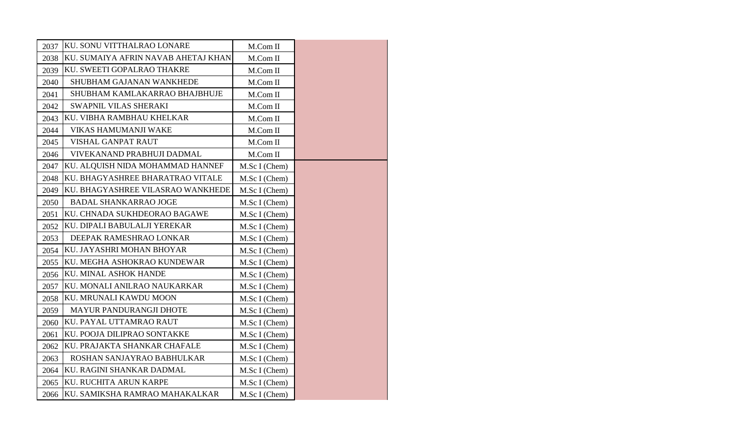| 2037 | KU. SONU VITTHALRAO LONARE          | M.Com II      |
|------|-------------------------------------|---------------|
| 2038 | KU. SUMAIYA AFRIN NAVAB AHETAJ KHAN | M.Com II      |
| 2039 | KU. SWEETI GOPALRAO THAKRE          | M.Com II      |
| 2040 | SHUBHAM GAJANAN WANKHEDE            | M.Com II      |
| 2041 | SHUBHAM KAMLAKARRAO BHAJBHUJE       | M.Com II      |
| 2042 | SWAPNIL VILAS SHERAKI               | M.Com II      |
| 2043 | KU. VIBHA RAMBHAU KHELKAR           | M.Com II      |
| 2044 | <b>VIKAS HAMUMANJI WAKE</b>         | M.Com II      |
| 2045 | VISHAL GANPAT RAUT                  | M.Com II      |
| 2046 | VIVEKANAND PRABHUJI DADMAL          | M.Com II      |
| 2047 | KU. ALQUISH NIDA MOHAMMAD HANNEF    | M.Sc I (Chem) |
| 2048 | KU. BHAGYASHREE BHARATRAO VITALE    | M.Sc I (Chem) |
| 2049 | KU. BHAGYASHREE VILASRAO WANKHEDE   | M.Sc I (Chem) |
| 2050 | <b>BADAL SHANKARRAO JOGE</b>        | M.Sc I (Chem) |
| 2051 | KU. CHNADA SUKHDEORAO BAGAWE        | M.Sc I (Chem) |
| 2052 | KU. DIPALI BABULALJI YEREKAR        | M.Sc I (Chem) |
| 2053 | DEEPAK RAMESHRAO LONKAR             | M.Sc I (Chem) |
| 2054 | KU. JAYASHRI MOHAN BHOYAR           | M.Sc I (Chem) |
| 2055 | KU. MEGHA ASHOKRAO KUNDEWAR         | M.Sc I (Chem) |
| 2056 | KU. MINAL ASHOK HANDE               | M.Sc I (Chem) |
| 2057 | KU. MONALI ANILRAO NAUKARKAR        | M.Sc I (Chem) |
| 2058 | KU. MRUNALI KAWDU MOON              | M.Sc I (Chem) |
| 2059 | <b>MAYUR PANDURANGJI DHOTE</b>      | M.Sc I (Chem) |
| 2060 | KU. PAYAL UTTAMRAO RAUT             | M.Sc I (Chem) |
| 2061 | KU. POOJA DILIPRAO SONTAKKE         | M.Sc I (Chem) |
| 2062 | KU. PRAJAKTA SHANKAR CHAFALE        | M.Sc I (Chem) |
| 2063 | ROSHAN SANJAYRAO BABHULKAR          | M.Sc I (Chem) |
| 2064 | KU. RAGINI SHANKAR DADMAL           | M.Sc I (Chem) |
| 2065 | KU. RUCHITA ARUN KARPE              | M.Sc I (Chem) |
| 2066 | KU. SAMIKSHA RAMRAO MAHAKALKAR      | M.Sc I (Chem) |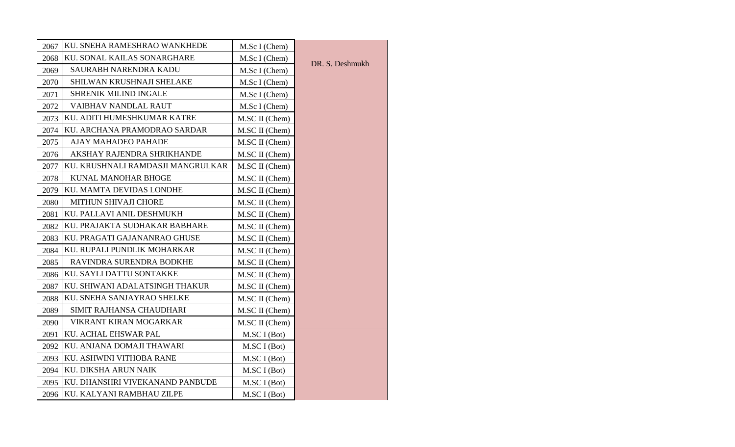| 2067 | KU. SNEHA RAMESHRAO WANKHEDE      | M.Sc I (Chem)  |                 |
|------|-----------------------------------|----------------|-----------------|
| 2068 | KU. SONAL KAILAS SONARGHARE       | M.Sc I (Chem)  | DR. S. Deshmukh |
| 2069 | SAURABH NARENDRA KADU             | M.Sc I (Chem)  |                 |
| 2070 | SHILWAN KRUSHNAJI SHELAKE         | M.Sc I (Chem)  |                 |
| 2071 | <b>SHRENIK MILIND INGALE</b>      | M.Sc I (Chem)  |                 |
| 2072 | <b>VAIBHAV NANDLAL RAUT</b>       | M.Sc I (Chem)  |                 |
| 2073 | KU. ADITI HUMESHKUMAR KATRE       | M.SC II (Chem) |                 |
| 2074 | KU. ARCHANA PRAMODRAO SARDAR      | M.SC II (Chem) |                 |
| 2075 | <b>AJAY MAHADEO PAHADE</b>        | M.SC II (Chem) |                 |
| 2076 | AKSHAY RAJENDRA SHRIKHANDE        | M.SC II (Chem) |                 |
| 2077 | KU. KRUSHNALI RAMDASJI MANGRULKAR | M.SC II (Chem) |                 |
| 2078 | KUNAL MANOHAR BHOGE               | M.SC II (Chem) |                 |
| 2079 | KU. MAMTA DEVIDAS LONDHE          | M.SC II (Chem) |                 |
| 2080 | MITHUN SHIVAJI CHORE              | M.SC II (Chem) |                 |
| 2081 | KU. PALLAVI ANIL DESHMUKH         | M.SC II (Chem) |                 |
| 2082 | KU. PRAJAKTA SUDHAKAR BABHARE     | M.SC II (Chem) |                 |
| 2083 | KU. PRAGATI GAJANANRAO GHUSE      | M.SC II (Chem) |                 |
| 2084 | KU. RUPALI PUNDLIK MOHARKAR       | M.SC II (Chem) |                 |
| 2085 | RAVINDRA SURENDRA BODKHE          | M.SC II (Chem) |                 |
| 2086 | KU. SAYLI DATTU SONTAKKE          | M.SC II (Chem) |                 |
| 2087 | KU. SHIWANI ADALATSINGH THAKUR    | M.SC II (Chem) |                 |
| 2088 | KU. SNEHA SANJAYRAO SHELKE        | M.SC II (Chem) |                 |
| 2089 | SIMIT RAJHANSA CHAUDHARI          | M.SC II (Chem) |                 |
| 2090 | VIKRANT KIRAN MOGARKAR            | M.SC II (Chem) |                 |
| 2091 | KU. ACHAL EHSWAR PAL              | M.SC I (Bot)   |                 |
| 2092 | KU. ANJANA DOMAJI THAWARI         | M.SC I (Bot)   |                 |
| 2093 | KU. ASHWINI VITHOBA RANE          | M.SC I (Bot)   |                 |
| 2094 | KU. DIKSHA ARUN NAIK              | M.SC I (Bot)   |                 |
| 2095 | KU. DHANSHRI VIVEKANAND PANBUDE   | M.SC I (Bot)   |                 |
| 2096 | KU. KALYANI RAMBHAU ZILPE         | M.SC I (Bot)   |                 |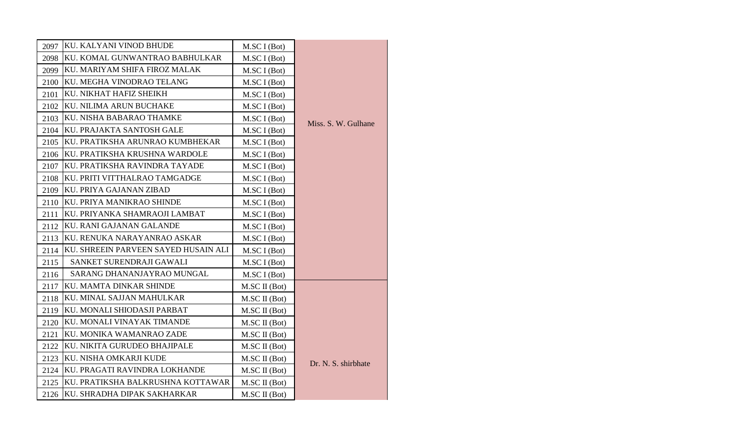| 2097 | KU. KALYANI VINOD BHUDE              | M.SC I (Bot)  |                     |
|------|--------------------------------------|---------------|---------------------|
| 2098 | KU. KOMAL GUNWANTRAO BABHULKAR       | M.SC I (Bot)  |                     |
| 2099 | KU. MARIYAM SHIFA FIROZ MALAK        | M.SC I (Bot)  |                     |
| 2100 | KU. MEGHA VINODRAO TELANG            | M.SC I (Bot)  |                     |
| 2101 | KU. NIKHAT HAFIZ SHEIKH              | M.SC I (Bot)  |                     |
| 2102 | KU. NILIMA ARUN BUCHAKE              | M.SC I (Bot)  |                     |
| 2103 | KU. NISHA BABARAO THAMKE             | M.SC I (Bot)  |                     |
| 2104 | KU. PRAJAKTA SANTOSH GALE            | M.SC I (Bot)  | Miss. S. W. Gulhane |
| 2105 | KU. PRATIKSHA ARUNRAO KUMBHEKAR      | M.SC I (Bot)  |                     |
| 2106 | KU. PRATIKSHA KRUSHNA WARDOLE        | M.SC I (Bot)  |                     |
| 2107 | KU. PRATIKSHA RAVINDRA TAYADE        | M.SC I (Bot)  |                     |
| 2108 | KU. PRITI VITTHALRAO TAMGADGE        | M.SC I (Bot)  |                     |
| 2109 | KU. PRIYA GAJANAN ZIBAD              | M.SC I (Bot)  |                     |
| 2110 | KU. PRIYA MANIKRAO SHINDE            | M.SC I (Bot)  |                     |
| 2111 | KU. PRIYANKA SHAMRAOJI LAMBAT        | M.SC I (Bot)  |                     |
| 2112 | KU. RANI GAJANAN GALANDE             | M.SC I (Bot)  |                     |
| 2113 | KU. RENUKA NARAYANRAO ASKAR          | M.SC I (Bot)  |                     |
| 2114 | KU. SHREEIN PARVEEN SAYED HUSAIN ALI | M.SC I (Bot)  |                     |
| 2115 | SANKET SURENDRAJI GAWALI             | M.SC I (Bot)  |                     |
| 2116 | SARANG DHANANJAYRAO MUNGAL           | M.SC I (Bot)  |                     |
| 2117 | KU. MAMTA DINKAR SHINDE              | M.SC II (Bot) |                     |
| 2118 | KU. MINAL SAJJAN MAHULKAR            | M.SC II (Bot) |                     |
| 2119 | KU. MONALI SHIODASJI PARBAT          | M.SC II (Bot) |                     |
| 2120 | KU. MONALI VINAYAK TIMANDE           | M.SC II (Bot) |                     |
| 2121 | KU. MONIKA WAMANRAO ZADE             | M.SC II (Bot) |                     |
| 2122 | KU. NIKITA GURUDEO BHAJIPALE         | M.SC II (Bot) |                     |
| 2123 | KU. NISHA OMKARJI KUDE               | M.SC II (Bot) |                     |
| 2124 | KU. PRAGATI RAVINDRA LOKHANDE        | M.SC II (Bot) | Dr. N. S. shirbhate |
| 2125 | KU. PRATIKSHA BALKRUSHNA KOTTAWAR    | M.SC II (Bot) |                     |
|      | 2126 KU. SHRADHA DIPAK SAKHARKAR     | M.SC II (Bot) |                     |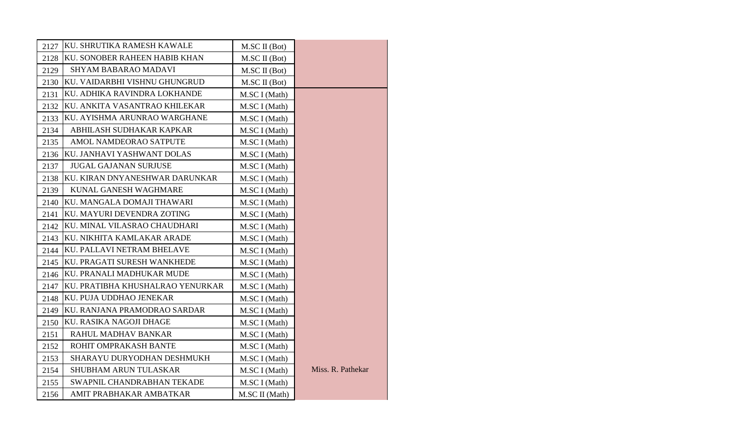| 2127 | KU. SHRUTIKA RAMESH KAWALE        | M.SC II (Bot)  |                   |
|------|-----------------------------------|----------------|-------------------|
| 2128 | KU. SONOBER RAHEEN HABIB KHAN     | M.SC II (Bot)  |                   |
| 2129 | <b>SHYAM BABARAO MADAVI</b>       | M.SC II (Bot)  |                   |
| 2130 | KU. VAIDARBHI VISHNU GHUNGRUD     | M.SC II (Bot)  |                   |
| 2131 | KU. ADHIKA RAVINDRA LOKHANDE      | M.SC I (Math)  |                   |
| 2132 | KU. ANKITA VASANTRAO KHILEKAR     | M.SC I (Math)  |                   |
| 2133 | KU. AYISHMA ARUNRAO WARGHANE      | M.SC I (Math)  |                   |
| 2134 | ABHILASH SUDHAKAR KAPKAR          | M.SC I (Math)  |                   |
| 2135 | AMOL NAMDEORAO SATPUTE            | M.SC I (Math)  |                   |
| 2136 | KU. JANHAVI YASHWANT DOLAS        | M.SC I (Math)  |                   |
| 2137 | <b>JUGAL GAJANAN SURJUSE</b>      | M.SC I (Math)  |                   |
| 2138 | KU. KIRAN DNYANESHWAR DARUNKAR    | M.SC I (Math)  |                   |
| 2139 | KUNAL GANESH WAGHMARE             | M.SC I (Math)  |                   |
| 2140 | KU. MANGALA DOMAJI THAWARI        | M.SC I (Math)  |                   |
| 2141 | KU. MAYURI DEVENDRA ZOTING        | M.SC I (Math)  |                   |
|      | 2142 KU. MINAL VILASRAO CHAUDHARI | M.SC I (Math)  |                   |
|      | 2143 KU. NIKHITA KAMLAKAR ARADE   | M.SC I (Math)  |                   |
|      | 2144 KU. PALLAVI NETRAM BHELAVE   | M.SC I (Math)  |                   |
| 2145 | KU. PRAGATI SURESH WANKHEDE       | M.SC I (Math)  |                   |
| 2146 | KU. PRANALI MADHUKAR MUDE         | M.SC I (Math)  |                   |
| 2147 | KU. PRATIBHA KHUSHALRAO YENURKAR  | M.SC I (Math)  |                   |
| 2148 | KU. PUJA UDDHAO JENEKAR           | M.SC I (Math)  |                   |
| 2149 | KU. RANJANA PRAMODRAO SARDAR      | M.SC I (Math)  |                   |
| 2150 | KU. RASIKA NAGOJI DHAGE           | M.SC I (Math)  |                   |
| 2151 | RAHUL MADHAV BANKAR               | M.SC I (Math)  |                   |
| 2152 | ROHIT OMPRAKASH BANTE             | M.SC I (Math)  |                   |
| 2153 | SHARAYU DURYODHAN DESHMUKH        | M.SC I (Math)  |                   |
| 2154 | SHUBHAM ARUN TULASKAR             | M.SC I (Math)  | Miss. R. Pathekar |
| 2155 | SWAPNIL CHANDRABHAN TEKADE        | M.SC I (Math)  |                   |
| 2156 | AMIT PRABHAKAR AMBATKAR           | M.SC II (Math) |                   |